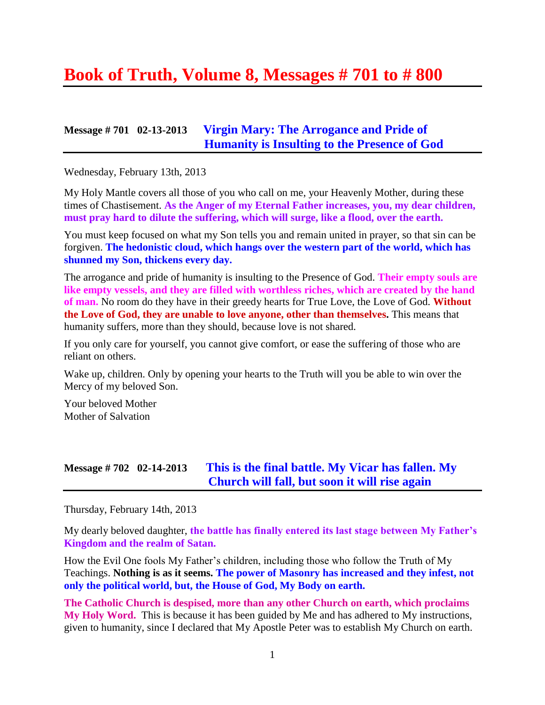# **Book of Truth, Volume 8, Messages # 701 to # 800**

#### **Message # 701 02-13-2013 [Virgin Mary: The Arrogance and Pride of](http://www.thewarningsecondcoming.com/virgin-mary-the-arrogance-and-pride-of-humanity-is-insulting-to-the-presence-of-god/)  [Humanity is Insulting to the Presence of God](http://www.thewarningsecondcoming.com/virgin-mary-the-arrogance-and-pride-of-humanity-is-insulting-to-the-presence-of-god/)**

Wednesday, February 13th, 2013

My Holy Mantle covers all those of you who call on me, your Heavenly Mother, during these times of Chastisement. **As the Anger of my Eternal Father increases, you, my dear children, must pray hard to dilute the suffering, which will surge, like a flood, over the earth.**

You must keep focused on what my Son tells you and remain united in prayer, so that sin can be forgiven. **The hedonistic cloud, which hangs over the western part of the world, which has shunned my Son, thickens every day.**

The arrogance and pride of humanity is insulting to the Presence of God. **Their empty souls are like empty vessels, and they are filled with worthless riches, which are created by the hand of man.** No room do they have in their greedy hearts for True Love, the Love of God. **Without the Love of God, they are unable to love anyone, other than themselves.** This means that humanity suffers, more than they should, because love is not shared.

If you only care for yourself, you cannot give comfort, or ease the suffering of those who are reliant on others.

Wake up, children. Only by opening your hearts to the Truth will you be able to win over the Mercy of my beloved Son.

Your beloved Mother Mother of Salvation

#### **Message # 702 02-14-2013 [This is the final battle. My Vicar has fallen. My](http://www.thewarningsecondcoming.com/this-is-the-final-battle-my-vicar-has-fallen-my-church-will-fall-but-soon-it-will-rise-again/)  [Church will fall, but soon it will rise again](http://www.thewarningsecondcoming.com/this-is-the-final-battle-my-vicar-has-fallen-my-church-will-fall-but-soon-it-will-rise-again/)**

Thursday, February 14th, 2013

My dearly beloved daughter, **the battle has finally entered its last stage between My Father's Kingdom and the realm of Satan.**

How the Evil One fools My Father's children, including those who follow the Truth of My Teachings. **Nothing is as it seems. The power of Masonry has increased and they infest, not only the political world, but, the House of God, My Body on earth.**

**The Catholic Church is despised, more than any other Church on earth, which proclaims My Holy Word.** This is because it has been guided by Me and has adhered to My instructions, given to humanity, since I declared that My Apostle Peter was to establish My Church on earth.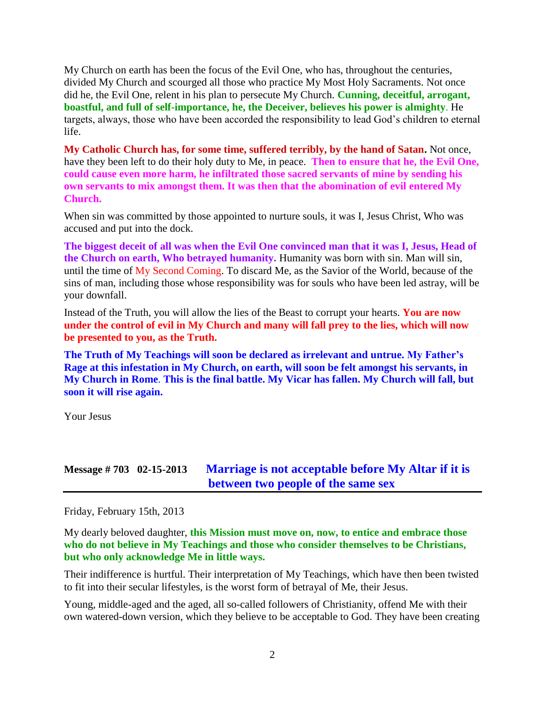My Church on earth has been the focus of the Evil One, who has, throughout the centuries, divided My Church and scourged all those who practice My Most Holy Sacraments. Not once did he, the Evil One, relent in his plan to persecute My Church. **Cunning, deceitful, arrogant, boastful, and full of self-importance, he, the Deceiver, believes his power is almighty**. He targets, always, those who have been accorded the responsibility to lead God's children to eternal life.

**My Catholic Church has, for some time, suffered terribly, by the hand of Satan.** Not once, have they been left to do their holy duty to Me, in peace. **Then to ensure that he, the Evil One, could cause even more harm, he infiltrated those sacred servants of mine by sending his own servants to mix amongst them. It was then that the abomination of evil entered My Church.**

When sin was committed by those appointed to nurture souls, it was I, Jesus Christ, Who was accused and put into the dock.

**The biggest deceit of all was when the Evil One convinced man that it was I, Jesus, Head of the Church on earth, Who betrayed humanity.** Humanity was born with sin. Man will sin, until the time of My Second Coming. To discard Me, as the Savior of the World, because of the sins of man, including those whose responsibility was for souls who have been led astray, will be your downfall.

Instead of the Truth, you will allow the lies of the Beast to corrupt your hearts. **You are now under the control of evil in My Church and many will fall prey to the lies, which will now be presented to you, as the Truth.**

**The Truth of My Teachings will soon be declared as irrelevant and untrue. My Father's Rage at this infestation in My Church, on earth, will soon be felt amongst his servants, in My Church in Rome**. **This is the final battle. My Vicar has fallen. My Church will fall, but soon it will rise again.**

Your Jesus

#### **Message # 703 02-15-2013 [Marriage is not acceptable before My Altar if it is](http://www.thewarningsecondcoming.com/marriage-is-not-acceptable-before-my-altar-if-it-is-between-two-people-of-the-same-sex/)  [between two people of the same sex](http://www.thewarningsecondcoming.com/marriage-is-not-acceptable-before-my-altar-if-it-is-between-two-people-of-the-same-sex/)**

Friday, February 15th, 2013

My dearly beloved daughter, **this Mission must move on, now, to entice and embrace those who do not believe in My Teachings and those who consider themselves to be Christians, but who only acknowledge Me in little ways.**

Their indifference is hurtful. Their interpretation of My Teachings, which have then been twisted to fit into their secular lifestyles, is the worst form of betrayal of Me, their Jesus.

Young, middle-aged and the aged, all so-called followers of Christianity, offend Me with their own watered-down version, which they believe to be acceptable to God. They have been creating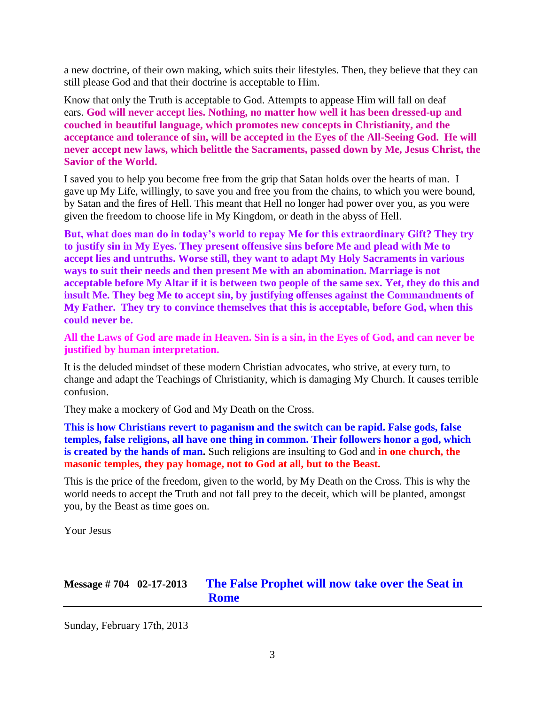a new doctrine, of their own making, which suits their lifestyles. Then, they believe that they can still please God and that their doctrine is acceptable to Him.

Know that only the Truth is acceptable to God. Attempts to appease Him will fall on deaf ears. **God will never accept lies. Nothing, no matter how well it has been dressed-up and couched in beautiful language, which promotes new concepts in Christianity, and the acceptance and tolerance of sin, will be accepted in the Eyes of the All-Seeing God. He will never accept new laws, which belittle the Sacraments, passed down by Me, Jesus Christ, the Savior of the World.**

I saved you to help you become free from the grip that Satan holds over the hearts of man. I gave up My Life, willingly, to save you and free you from the chains, to which you were bound, by Satan and the fires of Hell. This meant that Hell no longer had power over you, as you were given the freedom to choose life in My Kingdom, or death in the abyss of Hell.

**But, what does man do in today's world to repay Me for this extraordinary Gift? They try to justify sin in My Eyes. They present offensive sins before Me and plead with Me to accept lies and untruths. Worse still, they want to adapt My Holy Sacraments in various ways to suit their needs and then present Me with an abomination. Marriage is not acceptable before My Altar if it is between two people of the same sex. Yet, they do this and insult Me. They beg Me to accept sin, by justifying offenses against the Commandments of My Father. They try to convince themselves that this is acceptable, before God, when this could never be.**

**All the Laws of God are made in Heaven. Sin is a sin, in the Eyes of God, and can never be justified by human interpretation.**

It is the deluded mindset of these modern Christian advocates, who strive, at every turn, to change and adapt the Teachings of Christianity, which is damaging My Church. It causes terrible confusion.

They make a mockery of God and My Death on the Cross.

**This is how Christians revert to paganism and the switch can be rapid. False gods, false temples, false religions, all have one thing in common. Their followers honor a god, which is created by the hands of man.** Such religions are insulting to God and **in one church, the masonic temples, they pay homage, not to God at all, but to the Beast.** 

This is the price of the freedom, given to the world, by My Death on the Cross. This is why the world needs to accept the Truth and not fall prey to the deceit, which will be planted, amongst you, by the Beast as time goes on.

Your Jesus

# **Message # 704 02-17-2013 [The False Prophet will now take over the Seat in](http://www.thewarningsecondcoming.com/the-false-prophet-will-now-take-over-the-seat-in-rome/)  [Rome](http://www.thewarningsecondcoming.com/the-false-prophet-will-now-take-over-the-seat-in-rome/)**

Sunday, February 17th, 2013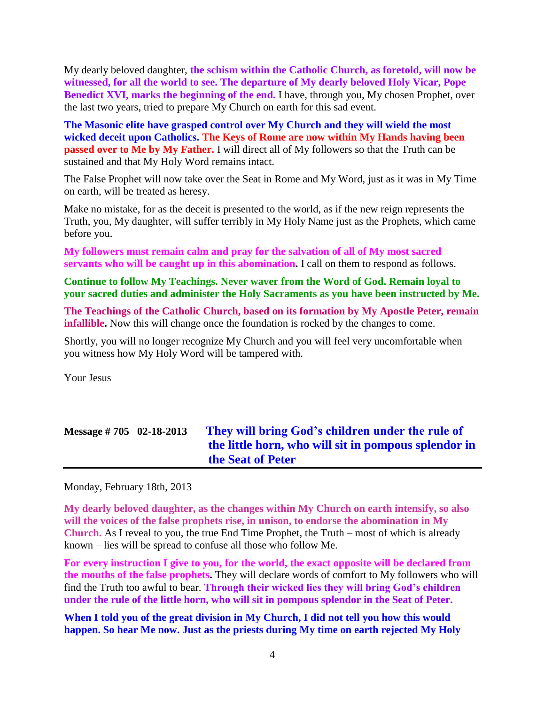My dearly beloved daughter, **the schism within the Catholic Church, as foretold, will now be witnessed, for all the world to see. The departure of My dearly beloved Holy Vicar, Pope Benedict XVI, marks the beginning of the end.** I have, through you, My chosen Prophet, over the last two years, tried to prepare My Church on earth for this sad event.

**The Masonic elite have grasped control over My Church and they will wield the most wicked deceit upon Catholics. The Keys of Rome are now within My Hands having been passed over to Me by My Father.** I will direct all of My followers so that the Truth can be sustained and that My Holy Word remains intact.

The False Prophet will now take over the Seat in Rome and My Word, just as it was in My Time on earth, will be treated as heresy.

Make no mistake, for as the deceit is presented to the world, as if the new reign represents the Truth, you, My daughter, will suffer terribly in My Holy Name just as the Prophets, which came before you.

**My followers must remain calm and pray for the salvation of all of My most sacred servants who will be caught up in this abomination.** I call on them to respond as follows.

**Continue to follow My Teachings. Never waver from the Word of God. Remain loyal to your sacred duties and administer the Holy Sacraments as you have been instructed by Me.**

**The Teachings of the Catholic Church, based on its formation by My Apostle Peter, remain infallible.** Now this will change once the foundation is rocked by the changes to come.

Shortly, you will no longer recognize My Church and you will feel very uncomfortable when you witness how My Holy Word will be tampered with.

Your Jesus

# **Message # 705 02-18-2013 [They will bring God's children under the rule of](http://www.thewarningsecondcoming.com/they-will-bring-gods-children-under-the-rule-of-the-little-horn-who-will-sit-in-pompous-splendour-in-the-seat-of-peter/)  [the little horn, who will sit in pompous splendor in](http://www.thewarningsecondcoming.com/they-will-bring-gods-children-under-the-rule-of-the-little-horn-who-will-sit-in-pompous-splendour-in-the-seat-of-peter/)  [the Seat of Peter](http://www.thewarningsecondcoming.com/they-will-bring-gods-children-under-the-rule-of-the-little-horn-who-will-sit-in-pompous-splendour-in-the-seat-of-peter/)**

Monday, February 18th, 2013

**My dearly beloved daughter, as the changes within My Church on earth intensify, so also will the voices of the false prophets rise, in unison, to endorse the abomination in My Church.** As I reveal to you, the true End Time Prophet, the Truth – most of which is already known – lies will be spread to confuse all those who follow Me.

**For every instruction I give to you, for the world, the exact opposite will be declared from the mouths of the false prophets.** They will declare words of comfort to My followers who will find the Truth too awful to bear. **Through their wicked lies they will bring God's children under the rule of the little horn, who will sit in pompous splendor in the Seat of Peter.**

**When I told you of the great division in My Church, I did not tell you how this would happen. So hear Me now. Just as the priests during My time on earth rejected My Holy**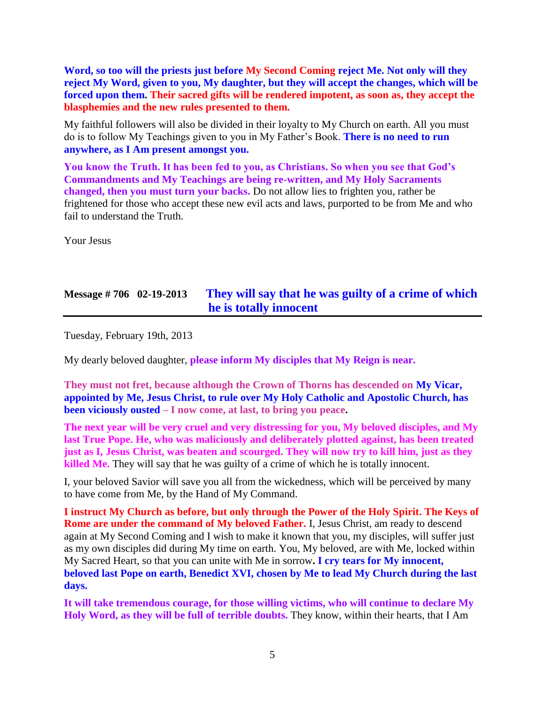**Word, so too will the priests just before My Second Coming reject Me. Not only will they reject My Word, given to you, My daughter, but they will accept the changes, which will be forced upon them. Their sacred gifts will be rendered impotent, as soon as, they accept the blasphemies and the new rules presented to them.**

My faithful followers will also be divided in their loyalty to My Church on earth. All you must do is to follow My Teachings given to you in My Father's Book. **There is no need to run anywhere, as I Am present amongst you.**

**You know the Truth. It has been fed to you, as Christians. So when you see that God's Commandments and My Teachings are being re-written, and My Holy Sacraments changed, then you must turn your backs.** Do not allow lies to frighten you, rather be frightened for those who accept these new evil acts and laws, purported to be from Me and who fail to understand the Truth.

Your Jesus

# **Message # 706 02-19-2013 [They will say that he was guilty of a crime of which](http://www.thewarningsecondcoming.com/they-will-say-that-he-was-guilty-of-a-crime-of-which-he-is-totally-innocent/)  [he is totally innocent](http://www.thewarningsecondcoming.com/they-will-say-that-he-was-guilty-of-a-crime-of-which-he-is-totally-innocent/)**

Tuesday, February 19th, 2013

My dearly beloved daughter, **please inform My disciples that My Reign is near.**

**They must not fret, because although the Crown of Thorns has descended on My Vicar, appointed by Me, Jesus Christ, to rule over My Holy Catholic and Apostolic Church, has been viciously ousted – I now come, at last, to bring you peace.**

**The next year will be very cruel and very distressing for you, My beloved disciples, and My last True Pope. He, who was maliciously and deliberately plotted against, has been treated just as I, Jesus Christ, was beaten and scourged. They will now try to kill him, just as they killed Me.** They will say that he was guilty of a crime of which he is totally innocent.

I, your beloved Savior will save you all from the wickedness, which will be perceived by many to have come from Me, by the Hand of My Command.

**I instruct My Church as before, but only through the Power of the Holy Spirit. The Keys of Rome are under the command of My beloved Father.** I, Jesus Christ, am ready to descend again at My Second Coming and I wish to make it known that you, my disciples, will suffer just as my own disciples did during My time on earth. You, My beloved, are with Me, locked within My Sacred Heart, so that you can unite with Me in sorrow**. I cry tears for My innocent, beloved last Pope on earth, Benedict XVI, chosen by Me to lead My Church during the last days.**

**It will take tremendous courage, for those willing victims, who will continue to declare My Holy Word, as they will be full of terrible doubts.** They know, within their hearts, that I Am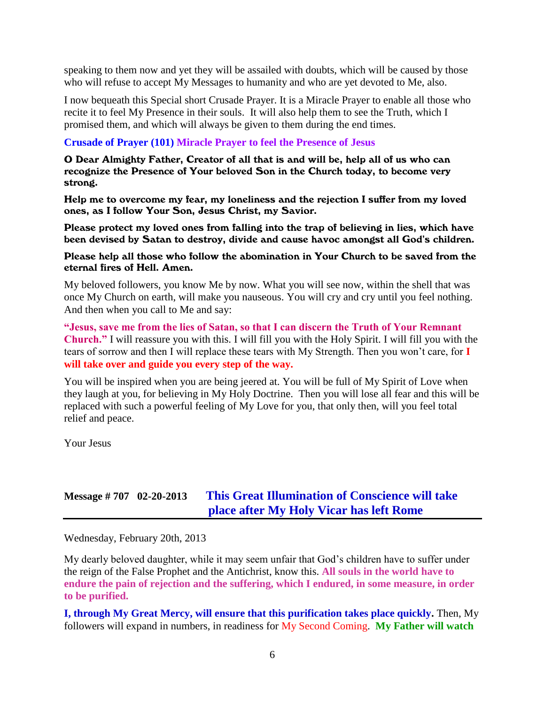speaking to them now and yet they will be assailed with doubts, which will be caused by those who will refuse to accept My Messages to humanity and who are yet devoted to Me, also.

I now bequeath this Special short Crusade Prayer. It is a Miracle Prayer to enable all those who recite it to feel My Presence in their souls. It will also help them to see the Truth, which I promised them, and which will always be given to them during the end times.

#### **Crusade of Prayer (101) Miracle Prayer to feel the Presence of Jesus**

O Dear Almighty Father, Creator of all that is and will be, help all of us who can recognize the Presence of Your beloved Son in the Church today, to become very strong.

Help me to overcome my fear, my loneliness and the rejection I suffer from my loved ones, as I follow Your Son, Jesus Christ, my Savior.

Please protect my loved ones from falling into the trap of believing in lies, which have been devised by Satan to destroy, divide and cause havoc amongst all God's children.

#### Please help all those who follow the abomination in Your Church to be saved from the eternal fires of Hell. Amen.

My beloved followers, you know Me by now. What you will see now, within the shell that was once My Church on earth, will make you nauseous. You will cry and cry until you feel nothing. And then when you call to Me and say:

**"Jesus, save me from the lies of Satan, so that I can discern the Truth of Your Remnant Church."** I will reassure you with this. I will fill you with the Holy Spirit. I will fill you with the tears of sorrow and then I will replace these tears with My Strength. Then you won't care, for **I will take over and guide you every step of the way.**

You will be inspired when you are being jeered at. You will be full of My Spirit of Love when they laugh at you, for believing in My Holy Doctrine. Then you will lose all fear and this will be replaced with such a powerful feeling of My Love for you, that only then, will you feel total relief and peace.

Your Jesus

# **Message # 707 02-20-2013 [This Great Illumination of Conscience will take](http://www.thewarningsecondcoming.com/this-great-illumination-of-conscience-will-take-place-after-my-holy-vicar-has-left-rome/)  [place after My Holy Vicar has left Rome](http://www.thewarningsecondcoming.com/this-great-illumination-of-conscience-will-take-place-after-my-holy-vicar-has-left-rome/)**

Wednesday, February 20th, 2013

My dearly beloved daughter, while it may seem unfair that God's children have to suffer under the reign of the False Prophet and the Antichrist, know this. **All souls in the world have to endure the pain of rejection and the suffering, which I endured, in some measure, in order to be purified.**

**I, through My Great Mercy, will ensure that this purification takes place quickly.** Then, My followers will expand in numbers, in readiness for My Second Coming. **My Father will watch**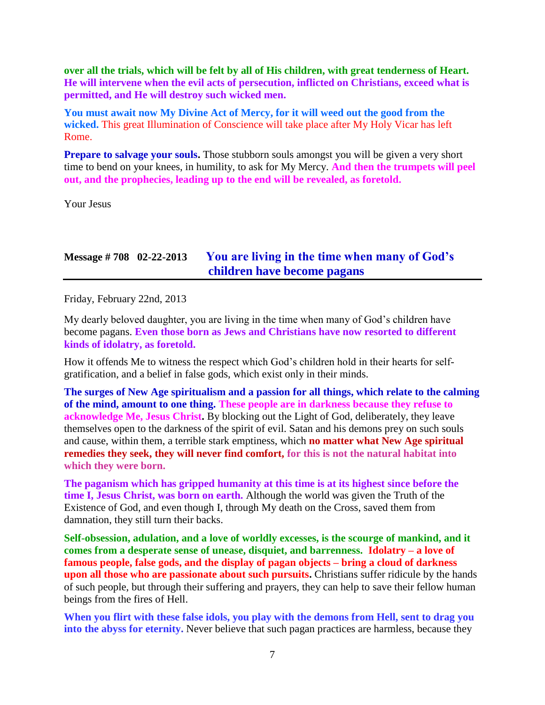**over all the trials, which will be felt by all of His children, with great tenderness of Heart. He will intervene when the evil acts of persecution, inflicted on Christians, exceed what is permitted, and He will destroy such wicked men.**

**You must await now My Divine Act of Mercy, for it will weed out the good from the wicked.** This great Illumination of Conscience will take place after My Holy Vicar has left Rome.

**Prepare to salvage your souls.** Those stubborn souls amongst you will be given a very short time to bend on your knees, in humility, to ask for My Mercy. **And then the trumpets will peel out, and the prophecies, leading up to the end will be revealed, as foretold.**

Your Jesus

# **Message # 708 02-22-2013 [You are living in the time when many of God's](http://www.thewarningsecondcoming.com/you-are-living-in-the-time-when-many-of-gods-children-have-become-pagans/)  [children have become pagans](http://www.thewarningsecondcoming.com/you-are-living-in-the-time-when-many-of-gods-children-have-become-pagans/)**

Friday, February 22nd, 2013

My dearly beloved daughter, you are living in the time when many of God's children have become pagans. **Even those born as Jews and Christians have now resorted to different kinds of idolatry, as foretold.**

How it offends Me to witness the respect which God's children hold in their hearts for selfgratification, and a belief in false gods, which exist only in their minds.

**The surges of New Age spiritualism and a passion for all things, which relate to the calming of the mind, amount to one thing. These people are in darkness because they refuse to acknowledge Me, Jesus Christ.** By blocking out the Light of God, deliberately, they leave themselves open to the darkness of the spirit of evil. Satan and his demons prey on such souls and cause, within them, a terrible stark emptiness, which **no matter what New Age spiritual remedies they seek, they will never find comfort, for this is not the natural habitat into which they were born.**

**The paganism which has gripped humanity at this time is at its highest since before the time I, Jesus Christ, was born on earth.** Although the world was given the Truth of the Existence of God, and even though I, through My death on the Cross, saved them from damnation, they still turn their backs.

**Self-obsession, adulation, and a love of worldly excesses, is the scourge of mankind, and it comes from a desperate sense of unease, disquiet, and barrenness. Idolatry – a love of famous people, false gods, and the display of pagan objects – bring a cloud of darkness upon all those who are passionate about such pursuits.** Christians suffer ridicule by the hands of such people, but through their suffering and prayers, they can help to save their fellow human beings from the fires of Hell.

**When you flirt with these false idols, you play with the demons from Hell, sent to drag you into the abyss for eternity.** Never believe that such pagan practices are harmless, because they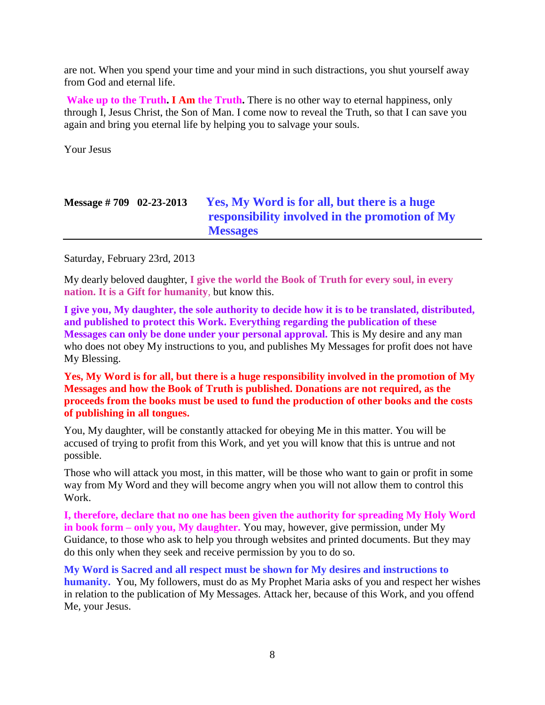are not. When you spend your time and your mind in such distractions, you shut yourself away from God and eternal life.

**Wake up to the Truth. I Am the Truth.** There is no other way to eternal happiness, only through I, Jesus Christ, the Son of Man. I come now to reveal the Truth, so that I can save you again and bring you eternal life by helping you to salvage your souls.

Your Jesus

| Message $\# 709$ 02-23-2013 | Yes, My Word is for all, but there is a huge   |
|-----------------------------|------------------------------------------------|
|                             | responsibility involved in the promotion of My |
|                             | <b>Messages</b>                                |

Saturday, February 23rd, 2013

My dearly beloved daughter, **I give the world the Book of Truth for every soul, in every nation. It is a Gift for humanity**, but know this.

**I give you, My daughter, the sole authority to decide how it is to be translated, distributed, and published to protect this Work. Everything regarding the publication of these Messages can only be done under your personal approval.** This is My desire and any man who does not obey My instructions to you, and publishes My Messages for profit does not have My Blessing.

**Yes, My Word is for all, but there is a huge responsibility involved in the promotion of My Messages and how the Book of Truth is published. Donations are not required, as the proceeds from the books must be used to fund the production of other books and the costs of publishing in all tongues.**

You, My daughter, will be constantly attacked for obeying Me in this matter. You will be accused of trying to profit from this Work, and yet you will know that this is untrue and not possible.

Those who will attack you most, in this matter, will be those who want to gain or profit in some way from My Word and they will become angry when you will not allow them to control this Work.

**I, therefore, declare that no one has been given the authority for spreading My Holy Word in book form – only you, My daughter.** You may, however, give permission, under My Guidance, to those who ask to help you through websites and printed documents. But they may do this only when they seek and receive permission by you to do so.

**My Word is Sacred and all respect must be shown for My desires and instructions to humanity.** You, My followers, must do as My Prophet Maria asks of you and respect her wishes in relation to the publication of My Messages. Attack her, because of this Work, and you offend Me, your Jesus.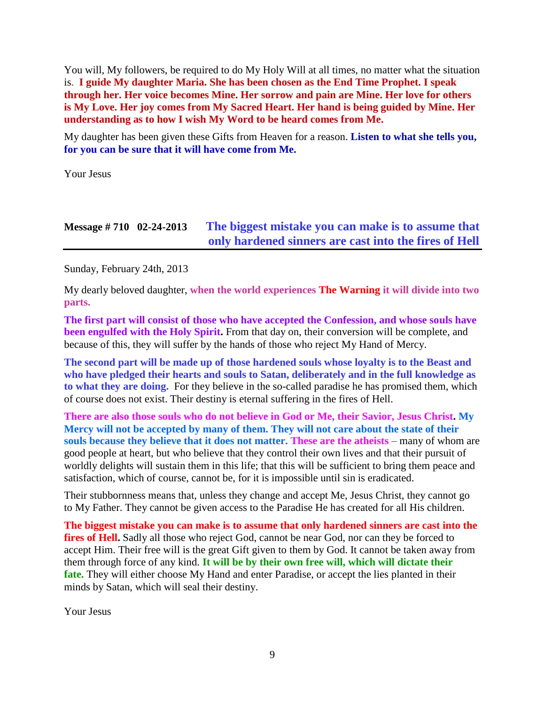You will, My followers, be required to do My Holy Will at all times, no matter what the situation is. **I guide My daughter Maria. She has been chosen as the End Time Prophet. I speak through her. Her voice becomes Mine. Her sorrow and pain are Mine. Her love for others is My Love. Her joy comes from My Sacred Heart. Her hand is being guided by Mine. Her understanding as to how I wish My Word to be heard comes from Me.**

My daughter has been given these Gifts from Heaven for a reason. **Listen to what she tells you, for you can be sure that it will have come from Me.**

Your Jesus

# **Message # 710 02-24-2013 [The biggest mistake you can make is to assume that](http://www.thewarningsecondcoming.com/the-biggest-mistake-you-can-make-is-to-assume-that-only-hardened-sinners-are-cast-into-the-fires-of-hell/)  [only hardened sinners are cast into the fires of Hell](http://www.thewarningsecondcoming.com/the-biggest-mistake-you-can-make-is-to-assume-that-only-hardened-sinners-are-cast-into-the-fires-of-hell/)**

Sunday, February 24th, 2013

My dearly beloved daughter, **when the world experiences The Warning it will divide into two parts.**

**The first part will consist of those who have accepted the Confession, and whose souls have been engulfed with the Holy Spirit.** From that day on, their conversion will be complete, and because of this, they will suffer by the hands of those who reject My Hand of Mercy.

**The second part will be made up of those hardened souls whose loyalty is to the Beast and who have pledged their hearts and souls to Satan, deliberately and in the full knowledge as to what they are doing.** For they believe in the so-called paradise he has promised them, which of course does not exist. Their destiny is eternal suffering in the fires of Hell.

**There are also those souls who do not believe in God or Me, their Savior, Jesus Christ. My Mercy will not be accepted by many of them. They will not care about the state of their souls because they believe that it does not matter. These are the atheists** – many of whom are good people at heart, but who believe that they control their own lives and that their pursuit of worldly delights will sustain them in this life; that this will be sufficient to bring them peace and satisfaction, which of course, cannot be, for it is impossible until sin is eradicated.

Their stubbornness means that, unless they change and accept Me, Jesus Christ, they cannot go to My Father. They cannot be given access to the Paradise He has created for all His children.

**The biggest mistake you can make is to assume that only hardened sinners are cast into the**  fires of Hell. Sadly all those who reject God, cannot be near God, nor can they be forced to accept Him. Their free will is the great Gift given to them by God. It cannot be taken away from them through force of any kind. **It will be by their own free will, which will dictate their fate.** They will either choose My Hand and enter Paradise, or accept the lies planted in their minds by Satan, which will seal their destiny.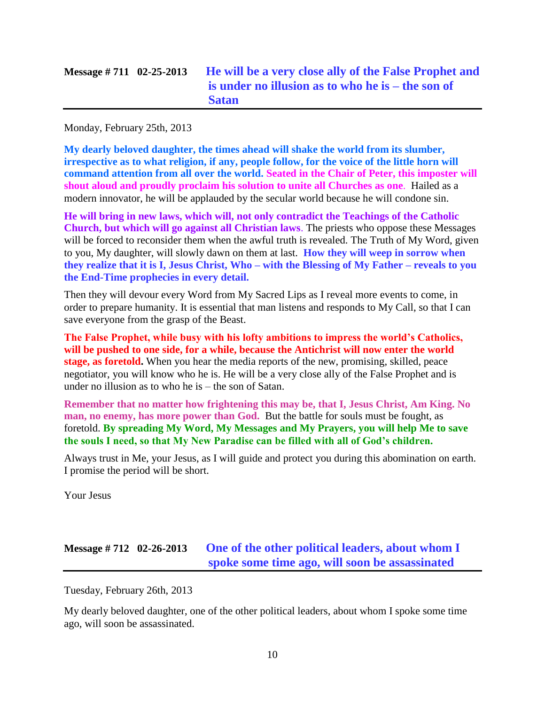| Message $\# 711 \quad 02 - 25 - 2013$ | He will be a very close ally of the False Prophet and<br>is under no illusion as to who he is – the son of<br><b>Satan</b> |
|---------------------------------------|----------------------------------------------------------------------------------------------------------------------------|
|                                       |                                                                                                                            |

Monday, February 25th, 2013

**My dearly beloved daughter, the times ahead will shake the world from its slumber, irrespective as to what religion, if any, people follow, for the voice of the little horn will command attention from all over the world. Seated in the Chair of Peter, this imposter will shout aloud and proudly proclaim his solution to unite all Churches as one**. Hailed as a modern innovator, he will be applauded by the secular world because he will condone sin.

**He will bring in new laws, which will, not only contradict the Teachings of the Catholic Church, but which will go against all Christian laws**. The priests who oppose these Messages will be forced to reconsider them when the awful truth is revealed. The Truth of My Word, given to you, My daughter, will slowly dawn on them at last. **How they will weep in sorrow when they realize that it is I, Jesus Christ, Who – with the Blessing of My Father – reveals to you the End-Time prophecies in every detail.**

Then they will devour every Word from My Sacred Lips as I reveal more events to come, in order to prepare humanity. It is essential that man listens and responds to My Call, so that I can save everyone from the grasp of the Beast.

**The False Prophet, while busy with his lofty ambitions to impress the world's Catholics, will be pushed to one side, for a while, because the Antichrist will now enter the world stage, as foretold.** When you hear the media reports of the new, promising, skilled, peace negotiator, you will know who he is. He will be a very close ally of the False Prophet and is under no illusion as to who he is – the son of Satan.

**Remember that no matter how frightening this may be, that I, Jesus Christ, Am King. No man, no enemy, has more power than God.** But the battle for souls must be fought, as foretold. **By spreading My Word, My Messages and My Prayers, you will help Me to save the souls I need, so that My New Paradise can be filled with all of God's children.**

Always trust in Me, your Jesus, as I will guide and protect you during this abomination on earth. I promise the period will be short.

Your Jesus

### **Message # 712 02-26-2013 [One of the other political leaders, about whom I](http://www.thewarningsecondcoming.com/one-of-the-other-political-leaders-about-whom-i-spoke-some-time-ago-will-soon-be-assassinated/)  [spoke some time ago, will soon be assassinated](http://www.thewarningsecondcoming.com/one-of-the-other-political-leaders-about-whom-i-spoke-some-time-ago-will-soon-be-assassinated/)**

Tuesday, February 26th, 2013

My dearly beloved daughter, one of the other political leaders, about whom I spoke some time ago, will soon be assassinated.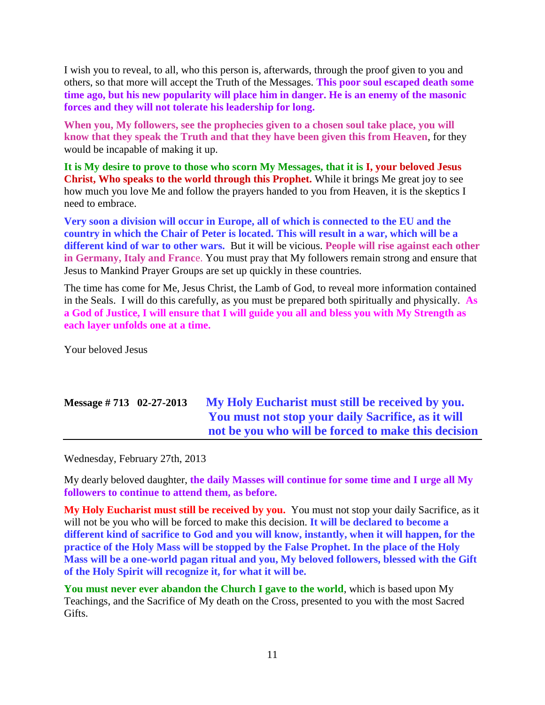I wish you to reveal, to all, who this person is, afterwards, through the proof given to you and others, so that more will accept the Truth of the Messages. **This poor soul escaped death some time ago, but his new popularity will place him in danger. He is an enemy of the masonic forces and they will not tolerate his leadership for long.**

**When you, My followers, see the prophecies given to a chosen soul take place, you will know that they speak the Truth and that they have been given this from Heaven**, for they would be incapable of making it up.

**It is My desire to prove to those who scorn My Messages, that it is I, your beloved Jesus Christ, Who speaks to the world through this Prophet.** While it brings Me great joy to see how much you love Me and follow the prayers handed to you from Heaven, it is the skeptics I need to embrace.

**Very soon a division will occur in Europe, all of which is connected to the EU and the country in which the Chair of Peter is located. This will result in a war, which will be a different kind of war to other wars.** But it will be vicious. **People will rise against each other in Germany, Italy and Franc**e. You must pray that My followers remain strong and ensure that Jesus to Mankind Prayer Groups are set up quickly in these countries.

The time has come for Me, Jesus Christ, the Lamb of God, to reveal more information contained in the Seals. I will do this carefully, as you must be prepared both spiritually and physically. **As a God of Justice, I will ensure that I will guide you all and bless you with My Strength as each layer unfolds one at a time.**

Your beloved Jesus

# **Message # 713 02-27-2013 [My Holy Eucharist must still be received by you.](http://www.thewarningsecondcoming.com/my-holy-eucharist-must-still-be-received-by-you-you-must-not-stop-your-daily-sacrifice-as-it-will-not-be-you-who-will-be-forced-to-make-this-decision/)  [You must not stop your daily Sacrifice, as it will](http://www.thewarningsecondcoming.com/my-holy-eucharist-must-still-be-received-by-you-you-must-not-stop-your-daily-sacrifice-as-it-will-not-be-you-who-will-be-forced-to-make-this-decision/)  [not be you who will be forced to make this decision](http://www.thewarningsecondcoming.com/my-holy-eucharist-must-still-be-received-by-you-you-must-not-stop-your-daily-sacrifice-as-it-will-not-be-you-who-will-be-forced-to-make-this-decision/)**

Wednesday, February 27th, 2013

My dearly beloved daughter, **the daily Masses will continue for some time and I urge all My followers to continue to attend them, as before.**

**My Holy Eucharist must still be received by you.** You must not stop your daily Sacrifice, as it will not be you who will be forced to make this decision. **It will be declared to become a different kind of sacrifice to God and you will know, instantly, when it will happen, for the practice of the Holy Mass will be stopped by the False Prophet. In the place of the Holy Mass will be a one-world pagan ritual and you, My beloved followers, blessed with the Gift of the Holy Spirit will recognize it, for what it will be.**

**You must never ever abandon the Church I gave to the world**, which is based upon My Teachings, and the Sacrifice of My death on the Cross, presented to you with the most Sacred Gifts.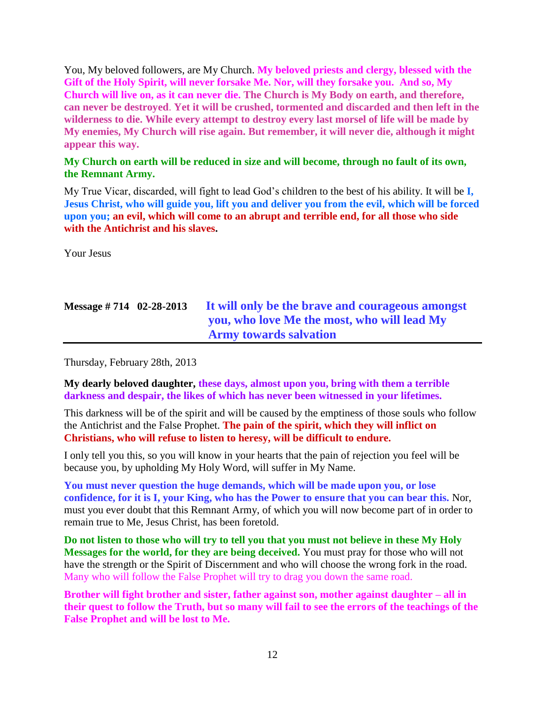You, My beloved followers, are My Church. **My beloved priests and clergy, blessed with the Gift of the Holy Spirit, will never forsake Me. Nor, will they forsake you. And so, My Church will live on, as it can never die. The Church is My Body on earth, and therefore, can never be destroyed**. **Yet it will be crushed, tormented and discarded and then left in the wilderness to die. While every attempt to destroy every last morsel of life will be made by My enemies, My Church will rise again. But remember, it will never die, although it might appear this way.**

#### **My Church on earth will be reduced in size and will become, through no fault of its own, the Remnant Army.**

My True Vicar, discarded, will fight to lead God's children to the best of his ability. It will be **I, Jesus Christ, who will guide you, lift you and deliver you from the evil, which will be forced upon you; an evil, which will come to an abrupt and terrible end, for all those who side with the Antichrist and his slaves.**

Your Jesus

| Message $\# 714 \quad 02 - 28 - 2013$ | It will only be the brave and courageous amongst |
|---------------------------------------|--------------------------------------------------|
|                                       | you, who love Me the most, who will lead My      |
|                                       | <b>Army towards salvation</b>                    |

Thursday, February 28th, 2013

**My dearly beloved daughter, these days, almost upon you, bring with them a terrible darkness and despair, the likes of which has never been witnessed in your lifetimes.**

This darkness will be of the spirit and will be caused by the emptiness of those souls who follow the Antichrist and the False Prophet. **The pain of the spirit, which they will inflict on Christians, who will refuse to listen to heresy, will be difficult to endure.**

I only tell you this, so you will know in your hearts that the pain of rejection you feel will be because you, by upholding My Holy Word, will suffer in My Name.

**You must never question the huge demands, which will be made upon you, or lose confidence, for it is I, your King, who has the Power to ensure that you can bear this.** Nor, must you ever doubt that this Remnant Army, of which you will now become part of in order to remain true to Me, Jesus Christ, has been foretold.

**Do not listen to those who will try to tell you that you must not believe in these My Holy Messages for the world, for they are being deceived.** You must pray for those who will not have the strength or the Spirit of Discernment and who will choose the wrong fork in the road. Many who will follow the False Prophet will try to drag you down the same road.

**Brother will fight brother and sister, father against son, mother against daughter – all in their quest to follow the Truth, but so many will fail to see the errors of the teachings of the False Prophet and will be lost to Me.**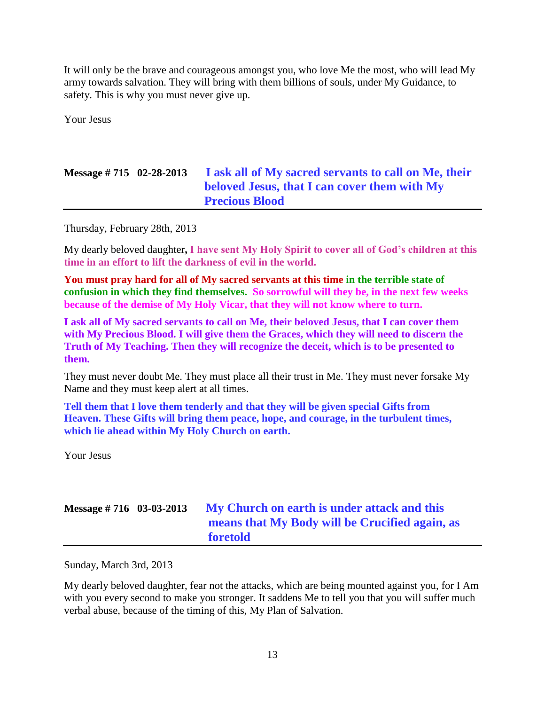It will only be the brave and courageous amongst you, who love Me the most, who will lead My army towards salvation. They will bring with them billions of souls, under My Guidance, to safety. This is why you must never give up.

Your Jesus

# **Message # 715 02-28-2013 [I ask all of My sacred servants to call on Me, their](http://www.thewarningsecondcoming.com/i-ask-all-of-my-sacred-servant-to-call-on-me-their-beloved-jesus-that-i-can-cover-them-with-my-precious-blood/)  [beloved Jesus, that I can cover them with My](http://www.thewarningsecondcoming.com/i-ask-all-of-my-sacred-servant-to-call-on-me-their-beloved-jesus-that-i-can-cover-them-with-my-precious-blood/)  [Precious Blood](http://www.thewarningsecondcoming.com/i-ask-all-of-my-sacred-servant-to-call-on-me-their-beloved-jesus-that-i-can-cover-them-with-my-precious-blood/)**

Thursday, February 28th, 2013

My dearly beloved daughter**, I have sent My Holy Spirit to cover all of God's children at this time in an effort to lift the darkness of evil in the world.**

**You must pray hard for all of My sacred servants at this time in the terrible state of confusion in which they find themselves. So sorrowful will they be, in the next few weeks because of the demise of My Holy Vicar, that they will not know where to turn.** 

**I ask all of My sacred servants to call on Me, their beloved Jesus, that I can cover them with My Precious Blood. I will give them the Graces, which they will need to discern the Truth of My Teaching. Then they will recognize the deceit, which is to be presented to them.**

They must never doubt Me. They must place all their trust in Me. They must never forsake My Name and they must keep alert at all times.

**Tell them that I love them tenderly and that they will be given special Gifts from Heaven. These Gifts will bring them peace, hope, and courage, in the turbulent times, which lie ahead within My Holy Church on earth.**

Your Jesus

# **Message # 716 03-03-2013 [My Church on earth is under attack and this](http://www.thewarningsecondcoming.com/my-church-on-earth-is-under-attack-and-this-means-that-my-body-will-be-crucified-again-as-foretold/)  [means that My Body will be Crucified again, as](http://www.thewarningsecondcoming.com/my-church-on-earth-is-under-attack-and-this-means-that-my-body-will-be-crucified-again-as-foretold/)  [foretold](http://www.thewarningsecondcoming.com/my-church-on-earth-is-under-attack-and-this-means-that-my-body-will-be-crucified-again-as-foretold/)**

Sunday, March 3rd, 2013

My dearly beloved daughter, fear not the attacks, which are being mounted against you, for I Am with you every second to make you stronger. It saddens Me to tell you that you will suffer much verbal abuse, because of the timing of this, My Plan of Salvation.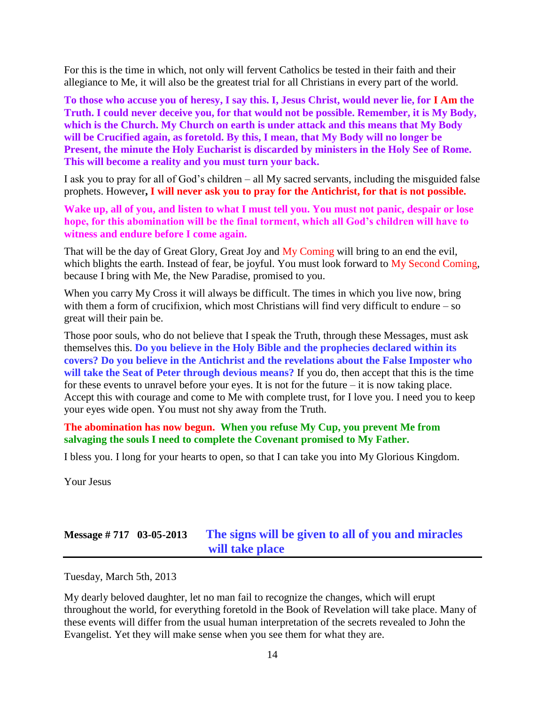For this is the time in which, not only will fervent Catholics be tested in their faith and their allegiance to Me, it will also be the greatest trial for all Christians in every part of the world.

**To those who accuse you of heresy, I say this. I, Jesus Christ, would never lie, for I Am the Truth. I could never deceive you, for that would not be possible. Remember, it is My Body, which is the Church. My Church on earth is under attack and this means that My Body will be Crucified again, as foretold. By this, I mean, that My Body will no longer be Present, the minute the Holy Eucharist is discarded by ministers in the Holy See of Rome. This will become a reality and you must turn your back.**

I ask you to pray for all of God's children – all My sacred servants, including the misguided false prophets. However**, I will never ask you to pray for the Antichrist, for that is not possible.**

**Wake up, all of you, and listen to what I must tell you. You must not panic, despair or lose hope, for this abomination will be the final torment, which all God's children will have to witness and endure before I come again.**

That will be the day of Great Glory, Great Joy and My Coming will bring to an end the evil, which blights the earth. Instead of fear, be joyful. You must look forward to My Second Coming, because I bring with Me, the New Paradise, promised to you.

When you carry My Cross it will always be difficult. The times in which you live now, bring with them a form of crucifixion, which most Christians will find very difficult to endure – so great will their pain be.

Those poor souls, who do not believe that I speak the Truth, through these Messages, must ask themselves this. **Do you believe in the Holy Bible and the prophecies declared within its covers? Do you believe in the Antichrist and the revelations about the False Imposter who will take the Seat of Peter through devious means?** If you do, then accept that this is the time for these events to unravel before your eyes. It is not for the future – it is now taking place. Accept this with courage and come to Me with complete trust, for I love you. I need you to keep your eyes wide open. You must not shy away from the Truth.

**The abomination has now begun. When you refuse My Cup, you prevent Me from salvaging the souls I need to complete the Covenant promised to My Father.**

I bless you. I long for your hearts to open, so that I can take you into My Glorious Kingdom.

Your Jesus

# **Message # 717 03-05-2013 [The signs will be given to all of you and miracles](http://www.thewarningsecondcoming.com/the-signs-will-be-given-to-all-of-you-and-miracles-will-take-place/)  [will take place](http://www.thewarningsecondcoming.com/the-signs-will-be-given-to-all-of-you-and-miracles-will-take-place/)**

Tuesday, March 5th, 2013

My dearly beloved daughter, let no man fail to recognize the changes, which will erupt throughout the world, for everything foretold in the Book of Revelation will take place. Many of these events will differ from the usual human interpretation of the secrets revealed to John the Evangelist. Yet they will make sense when you see them for what they are.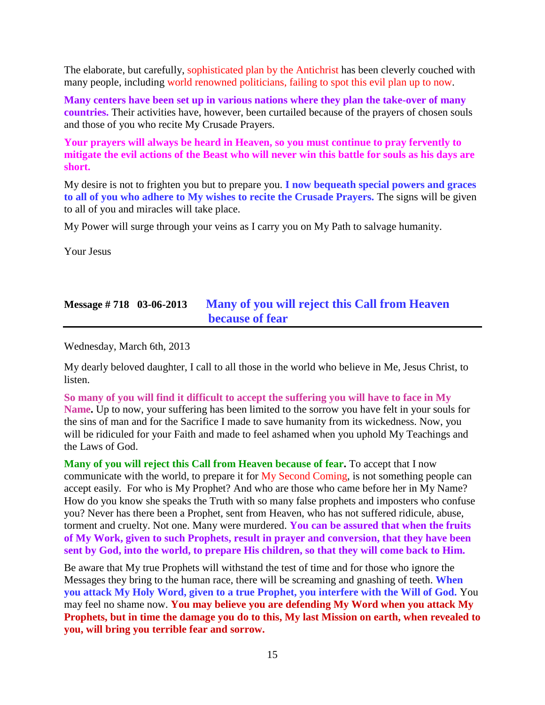The elaborate, but carefully, sophisticated plan by the Antichrist has been cleverly couched with many people, including world renowned politicians, failing to spot this evil plan up to now.

**Many centers have been set up in various nations where they plan the take-over of many countries.** Their activities have, however, been curtailed because of the prayers of chosen souls and those of you who recite My Crusade Prayers.

**Your prayers will always be heard in Heaven, so you must continue to pray fervently to mitigate the evil actions of the Beast who will never win this battle for souls as his days are short.**

My desire is not to frighten you but to prepare you. **I now bequeath special powers and graces to all of you who adhere to My wishes to recite the Crusade Prayers.** The signs will be given to all of you and miracles will take place.

My Power will surge through your veins as I carry you on My Path to salvage humanity.

Your Jesus

### **Message # 718 03-06-2013 [Many of you will reject this Call from Heaven](http://www.thewarningsecondcoming.com/many-of-you-will-reject-this-call-from-heaven-because-of-fear/)  [because of fear](http://www.thewarningsecondcoming.com/many-of-you-will-reject-this-call-from-heaven-because-of-fear/)**

Wednesday, March 6th, 2013

My dearly beloved daughter, I call to all those in the world who believe in Me, Jesus Christ, to listen.

**So many of you will find it difficult to accept the suffering you will have to face in My Name.** Up to now, your suffering has been limited to the sorrow you have felt in your souls for the sins of man and for the Sacrifice I made to save humanity from its wickedness. Now, you will be ridiculed for your Faith and made to feel ashamed when you uphold My Teachings and the Laws of God.

**Many of you will reject this Call from Heaven because of fear.** To accept that I now communicate with the world, to prepare it for My Second Coming, is not something people can accept easily. For who is My Prophet? And who are those who came before her in My Name? How do you know she speaks the Truth with so many false prophets and imposters who confuse you? Never has there been a Prophet, sent from Heaven, who has not suffered ridicule, abuse, torment and cruelty. Not one. Many were murdered. **You can be assured that when the fruits of My Work, given to such Prophets, result in prayer and conversion, that they have been sent by God, into the world, to prepare His children, so that they will come back to Him.**

Be aware that My true Prophets will withstand the test of time and for those who ignore the Messages they bring to the human race, there will be screaming and gnashing of teeth. **When you attack My Holy Word, given to a true Prophet, you interfere with the Will of God.** You may feel no shame now. **You may believe you are defending My Word when you attack My Prophets, but in time the damage you do to this, My last Mission on earth, when revealed to you, will bring you terrible fear and sorrow.**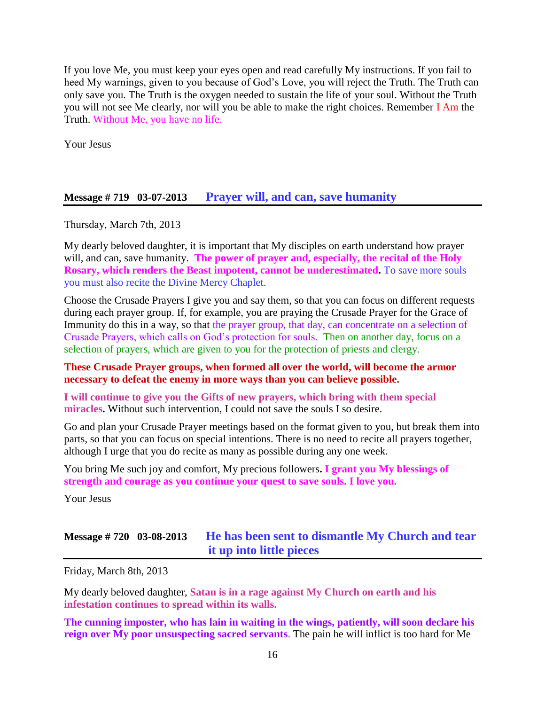If you love Me, you must keep your eyes open and read carefully My instructions. If you fail to heed My warnings, given to you because of God's Love, you will reject the Truth. The Truth can only save you. The Truth is the oxygen needed to sustain the life of your soul. Without the Truth you will not see Me clearly, nor will you be able to make the right choices. Remember I Am the Truth. Without Me, you have no life.

Your Jesus

#### **Message # 719 03-07-2013 [Prayer will, and can, save humanity](http://www.thewarningsecondcoming.com/prayer-will-and-can-save-humanity/)**

Thursday, March 7th, 2013

My dearly beloved daughter, it is important that My disciples on earth understand how prayer will, and can, save humanity. **The power of prayer and, especially, the recital of the Holy Rosary, which renders the Beast impotent, cannot be underestimated.** To save more souls you must also recite the Divine Mercy Chaplet.

Choose the Crusade Prayers I give you and say them, so that you can focus on different requests during each prayer group. If, for example, you are praying the Crusade Prayer for the Grace of Immunity do this in a way, so that the prayer group, that day, can concentrate on a selection of Crusade Prayers, which calls on God's protection for souls. Then on another day, focus on a selection of prayers, which are given to you for the protection of priests and clergy.

#### **These Crusade Prayer groups, when formed all over the world, will become the armor necessary to defeat the enemy in more ways than you can believe possible.**

**I will continue to give you the Gifts of new prayers, which bring with them special miracles.** Without such intervention, I could not save the souls I so desire.

Go and plan your Crusade Prayer meetings based on the format given to you, but break them into parts, so that you can focus on special intentions. There is no need to recite all prayers together, although I urge that you do recite as many as possible during any one week.

You bring Me such joy and comfort, My precious followers**. I grant you My blessings of strength and courage as you continue your quest to save souls. I love you.**

Your Jesus

### **Message # 720 03-08-2013 [He has been sent to dismantle My Church and tear](http://www.thewarningsecondcoming.com/he-has-been-sent-to-dismantle-my-church-and-tear-it-up-into-little-pieces/)  [it up into little pieces](http://www.thewarningsecondcoming.com/he-has-been-sent-to-dismantle-my-church-and-tear-it-up-into-little-pieces/)**

Friday, March 8th, 2013

My dearly beloved daughter, **Satan is in a rage against My Church on earth and his infestation continues to spread within its walls.**

**The cunning imposter, who has lain in waiting in the wings, patiently, will soon declare his reign over My poor unsuspecting sacred servants**. The pain he will inflict is too hard for Me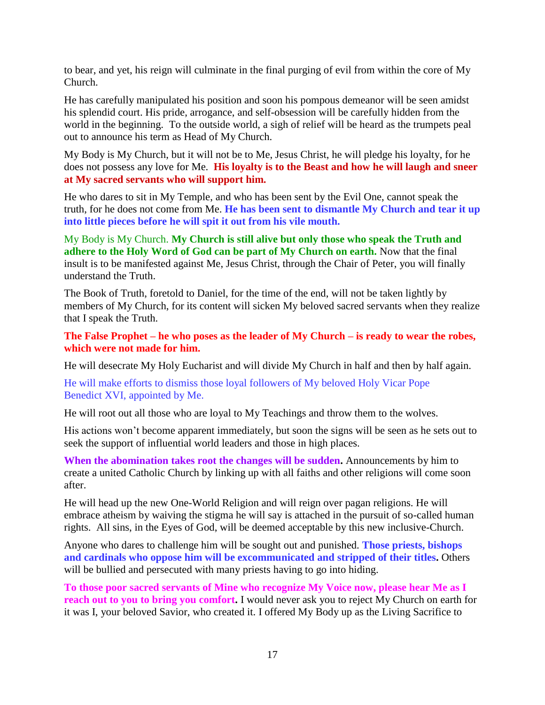to bear, and yet, his reign will culminate in the final purging of evil from within the core of My Church.

He has carefully manipulated his position and soon his pompous demeanor will be seen amidst his splendid court. His pride, arrogance, and self-obsession will be carefully hidden from the world in the beginning. To the outside world, a sigh of relief will be heard as the trumpets peal out to announce his term as Head of My Church.

My Body is My Church, but it will not be to Me, Jesus Christ, he will pledge his loyalty, for he does not possess any love for Me. **His loyalty is to the Beast and how he will laugh and sneer at My sacred servants who will support him.**

He who dares to sit in My Temple, and who has been sent by the Evil One, cannot speak the truth, for he does not come from Me. **He has been sent to dismantle My Church and tear it up into little pieces before he will spit it out from his vile mouth.**

My Body is My Church. **My Church is still alive but only those who speak the Truth and adhere to the Holy Word of God can be part of My Church on earth.** Now that the final insult is to be manifested against Me, Jesus Christ, through the Chair of Peter, you will finally understand the Truth.

The Book of Truth, foretold to Daniel, for the time of the end, will not be taken lightly by members of My Church, for its content will sicken My beloved sacred servants when they realize that I speak the Truth.

**The False Prophet – he who poses as the leader of My Church – is ready to wear the robes, which were not made for him.**

He will desecrate My Holy Eucharist and will divide My Church in half and then by half again.

He will make efforts to dismiss those loyal followers of My beloved Holy Vicar Pope Benedict XVI, appointed by Me.

He will root out all those who are loyal to My Teachings and throw them to the wolves.

His actions won't become apparent immediately, but soon the signs will be seen as he sets out to seek the support of influential world leaders and those in high places.

**When the abomination takes root the changes will be sudden.** Announcements by him to create a united Catholic Church by linking up with all faiths and other religions will come soon after.

He will head up the new One-World Religion and will reign over pagan religions. He will embrace atheism by waiving the stigma he will say is attached in the pursuit of so-called human rights. All sins, in the Eyes of God, will be deemed acceptable by this new inclusive-Church.

Anyone who dares to challenge him will be sought out and punished. **Those priests, bishops and cardinals who oppose him will be excommunicated and stripped of their titles.** Others will be bullied and persecuted with many priests having to go into hiding.

**To those poor sacred servants of Mine who recognize My Voice now, please hear Me as I reach out to you to bring you comfort.** I would never ask you to reject My Church on earth for it was I, your beloved Savior, who created it. I offered My Body up as the Living Sacrifice to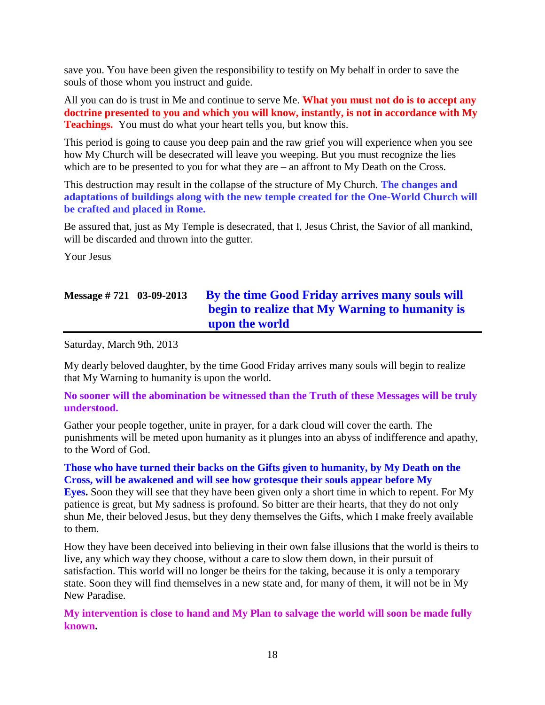save you. You have been given the responsibility to testify on My behalf in order to save the souls of those whom you instruct and guide.

All you can do is trust in Me and continue to serve Me. **What you must not do is to accept any doctrine presented to you and which you will know, instantly, is not in accordance with My Teachings.** You must do what your heart tells you, but know this.

This period is going to cause you deep pain and the raw grief you will experience when you see how My Church will be desecrated will leave you weeping. But you must recognize the lies which are to be presented to you for what they are – an affront to My Death on the Cross.

This destruction may result in the collapse of the structure of My Church. **The changes and adaptations of buildings along with the new temple created for the One-World Church will be crafted and placed in Rome.**

Be assured that, just as My Temple is desecrated, that I, Jesus Christ, the Savior of all mankind, will be discarded and thrown into the gutter.

Your Jesus

# **Message # 721 03-09-2013 [By the time Good Friday arrives many souls will](http://www.thewarningsecondcoming.com/by-the-time-good-friday-arrives-many-souls-will-begin-to-realize-that-my-warning-to-humanity-is-upon-the-world/)  [begin to realize that My Warning to humanity is](http://www.thewarningsecondcoming.com/by-the-time-good-friday-arrives-many-souls-will-begin-to-realize-that-my-warning-to-humanity-is-upon-the-world/)  [upon the world](http://www.thewarningsecondcoming.com/by-the-time-good-friday-arrives-many-souls-will-begin-to-realize-that-my-warning-to-humanity-is-upon-the-world/)**

Saturday, March 9th, 2013

My dearly beloved daughter, by the time Good Friday arrives many souls will begin to realize that My Warning to humanity is upon the world.

**No sooner will the abomination be witnessed than the Truth of these Messages will be truly understood.**

Gather your people together, unite in prayer, for a dark cloud will cover the earth. The punishments will be meted upon humanity as it plunges into an abyss of indifference and apathy, to the Word of God.

#### **Those who have turned their backs on the Gifts given to humanity, by My Death on the Cross, will be awakened and will see how grotesque their souls appear before My**

**Eyes.** Soon they will see that they have been given only a short time in which to repent. For My patience is great, but My sadness is profound. So bitter are their hearts, that they do not only shun Me, their beloved Jesus, but they deny themselves the Gifts, which I make freely available to them.

How they have been deceived into believing in their own false illusions that the world is theirs to live, any which way they choose, without a care to slow them down, in their pursuit of satisfaction. This world will no longer be theirs for the taking, because it is only a temporary state. Soon they will find themselves in a new state and, for many of them, it will not be in My New Paradise.

**My intervention is close to hand and My Plan to salvage the world will soon be made fully known.**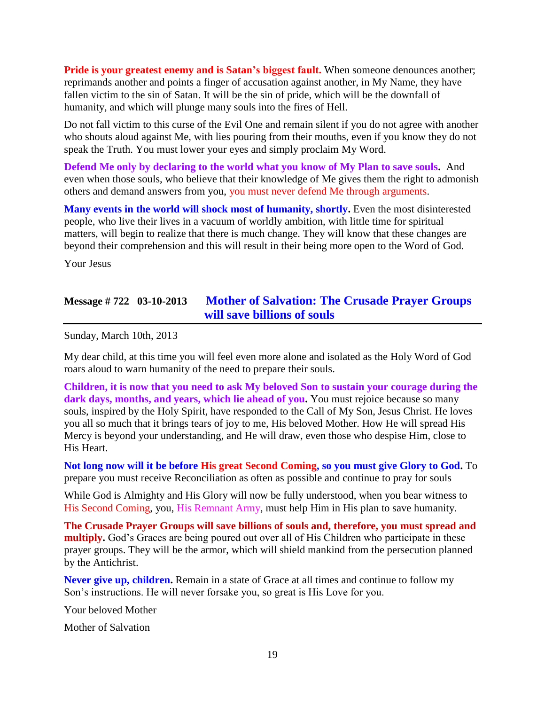**Pride is your greatest enemy and is Satan's biggest fault.** When someone denounces another; reprimands another and points a finger of accusation against another, in My Name, they have fallen victim to the sin of Satan. It will be the sin of pride, which will be the downfall of humanity, and which will plunge many souls into the fires of Hell.

Do not fall victim to this curse of the Evil One and remain silent if you do not agree with another who shouts aloud against Me, with lies pouring from their mouths, even if you know they do not speak the Truth. You must lower your eyes and simply proclaim My Word.

**Defend Me only by declaring to the world what you know of My Plan to save souls.** And even when those souls, who believe that their knowledge of Me gives them the right to admonish others and demand answers from you, you must never defend Me through arguments.

**Many events in the world will shock most of humanity, shortly.** Even the most disinterested people, who live their lives in a vacuum of worldly ambition, with little time for spiritual matters, will begin to realize that there is much change. They will know that these changes are beyond their comprehension and this will result in their being more open to the Word of God.

Your Jesus

### **Message # 722 03-10-2013 [Mother of Salvation: The Crusade Prayer Groups](http://www.thewarningsecondcoming.com/mother-of-salvation-the-crusade-prayer-groups-will-save-billions-of-souls/)  [will save billions of souls](http://www.thewarningsecondcoming.com/mother-of-salvation-the-crusade-prayer-groups-will-save-billions-of-souls/)**

Sunday, March 10th, 2013

My dear child, at this time you will feel even more alone and isolated as the Holy Word of God roars aloud to warn humanity of the need to prepare their souls.

**Children, it is now that you need to ask My beloved Son to sustain your courage during the**  dark days, months, and years, which lie ahead of you. You must rejoice because so many souls, inspired by the Holy Spirit, have responded to the Call of My Son, Jesus Christ. He loves you all so much that it brings tears of joy to me, His beloved Mother. How He will spread His Mercy is beyond your understanding, and He will draw, even those who despise Him, close to His Heart.

**Not long now will it be before His great Second Coming, so you must give Glory to God.** To prepare you must receive Reconciliation as often as possible and continue to pray for souls

While God is Almighty and His Glory will now be fully understood, when you bear witness to His Second Coming, you, His Remnant Army, must help Him in His plan to save humanity.

**The Crusade Prayer Groups will save billions of souls and, therefore, you must spread and multiply.** God's Graces are being poured out over all of His Children who participate in these prayer groups. They will be the armor, which will shield mankind from the persecution planned by the Antichrist.

**Never give up, children.** Remain in a state of Grace at all times and continue to follow my Son's instructions. He will never forsake you, so great is His Love for you.

Your beloved Mother

Mother of Salvation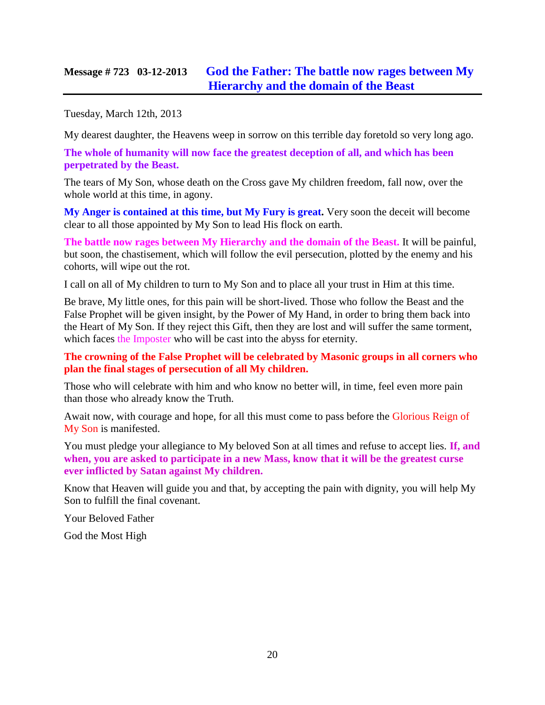### **Message # 723 03-12-2013 [God the Father: The battle now rages between My](http://www.thewarningsecondcoming.com/god-the-father-the-battle-now-rages-between-my-hierarchy-and-the-domain-of-the-beast/)  [Hierarchy and the domain of the Beast](http://www.thewarningsecondcoming.com/god-the-father-the-battle-now-rages-between-my-hierarchy-and-the-domain-of-the-beast/)**

Tuesday, March 12th, 2013

My dearest daughter, the Heavens weep in sorrow on this terrible day foretold so very long ago.

**The whole of humanity will now face the greatest deception of all, and which has been perpetrated by the Beast.**

The tears of My Son, whose death on the Cross gave My children freedom, fall now, over the whole world at this time, in agony.

**My Anger is contained at this time, but My Fury is great.** Very soon the deceit will become clear to all those appointed by My Son to lead His flock on earth.

**The battle now rages between My Hierarchy and the domain of the Beast.** It will be painful, but soon, the chastisement, which will follow the evil persecution, plotted by the enemy and his cohorts, will wipe out the rot.

I call on all of My children to turn to My Son and to place all your trust in Him at this time.

Be brave, My little ones, for this pain will be short-lived. Those who follow the Beast and the False Prophet will be given insight, by the Power of My Hand, in order to bring them back into the Heart of My Son. If they reject this Gift, then they are lost and will suffer the same torment, which faces the Imposter who will be cast into the abyss for eternity.

#### **The crowning of the False Prophet will be celebrated by Masonic groups in all corners who plan the final stages of persecution of all My children.**

Those who will celebrate with him and who know no better will, in time, feel even more pain than those who already know the Truth.

Await now, with courage and hope, for all this must come to pass before the Glorious Reign of My Son is manifested.

You must pledge your allegiance to My beloved Son at all times and refuse to accept lies. **If, and when, you are asked to participate in a new Mass, know that it will be the greatest curse ever inflicted by Satan against My children.**

Know that Heaven will guide you and that, by accepting the pain with dignity, you will help My Son to fulfill the final covenant.

Your Beloved Father

God the Most High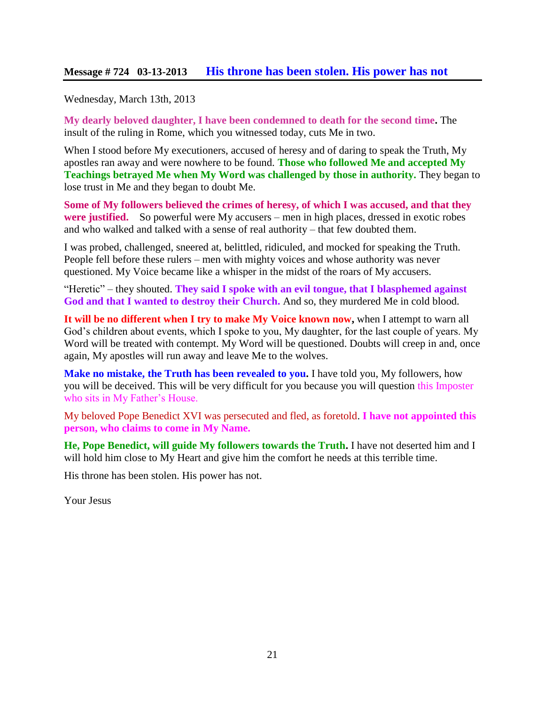#### **Message # 724 03-13-2013 [His throne has been stolen. His power has not](http://www.thewarningsecondcoming.com/his-throne-has-been-stolen-his-power-has-not/)**

#### Wednesday, March 13th, 2013

**My dearly beloved daughter, I have been condemned to death for the second time.** The insult of the ruling in Rome, which you witnessed today, cuts Me in two.

When I stood before My executioners, accused of heresy and of daring to speak the Truth, My apostles ran away and were nowhere to be found. **Those who followed Me and accepted My Teachings betrayed Me when My Word was challenged by those in authority.** They began to lose trust in Me and they began to doubt Me.

**Some of My followers believed the crimes of heresy, of which I was accused, and that they were justified.** So powerful were My accusers – men in high places, dressed in exotic robes and who walked and talked with a sense of real authority – that few doubted them.

I was probed, challenged, sneered at, belittled, ridiculed, and mocked for speaking the Truth. People fell before these rulers – men with mighty voices and whose authority was never questioned. My Voice became like a whisper in the midst of the roars of My accusers.

"Heretic" – they shouted. **They said I spoke with an evil tongue, that I blasphemed against God and that I wanted to destroy their Church.** And so, they murdered Me in cold blood.

**It will be no different when I try to make My Voice known now,** when I attempt to warn all God's children about events, which I spoke to you, My daughter, for the last couple of years. My Word will be treated with contempt. My Word will be questioned. Doubts will creep in and, once again, My apostles will run away and leave Me to the wolves.

**Make no mistake, the Truth has been revealed to you.** I have told you, My followers, how you will be deceived. This will be very difficult for you because you will question this Imposter who sits in My Father's House.

My beloved Pope Benedict XVI was persecuted and fled, as foretold. **I have not appointed this person, who claims to come in My Name.**

**He, Pope Benedict, will guide My followers towards the Truth.** I have not deserted him and I will hold him close to My Heart and give him the comfort he needs at this terrible time.

His throne has been stolen. His power has not.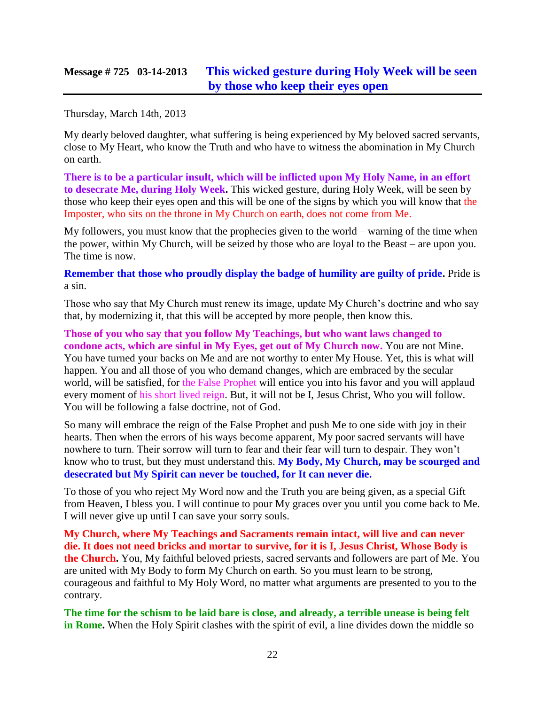### **Message # 725 03-14-2013 [This wicked gesture during Holy Week will be seen](http://www.thewarningsecondcoming.com/this-wicked-gesture-during-holy-week-will-be-seen-by-those-who-keep-their-eyes-open/)  [by those who keep their eyes open](http://www.thewarningsecondcoming.com/this-wicked-gesture-during-holy-week-will-be-seen-by-those-who-keep-their-eyes-open/)**

Thursday, March 14th, 2013

My dearly beloved daughter, what suffering is being experienced by My beloved sacred servants, close to My Heart, who know the Truth and who have to witness the abomination in My Church on earth.

**There is to be a particular insult, which will be inflicted upon My Holy Name, in an effort to desecrate Me, during Holy Week.** This wicked gesture, during Holy Week, will be seen by those who keep their eyes open and this will be one of the signs by which you will know that the Imposter, who sits on the throne in My Church on earth, does not come from Me.

My followers, you must know that the prophecies given to the world – warning of the time when the power, within My Church, will be seized by those who are loyal to the Beast – are upon you. The time is now.

**Remember that those who proudly display the badge of humility are guilty of pride.** Pride is a sin.

Those who say that My Church must renew its image, update My Church's doctrine and who say that, by modernizing it, that this will be accepted by more people, then know this.

**Those of you who say that you follow My Teachings, but who want laws changed to condone acts, which are sinful in My Eyes, get out of My Church now.** You are not Mine. You have turned your backs on Me and are not worthy to enter My House. Yet, this is what will happen. You and all those of you who demand changes, which are embraced by the secular world, will be satisfied, for the False Prophet will entice you into his favor and you will applaud every moment of his short lived reign. But, it will not be I, Jesus Christ, Who you will follow. You will be following a false doctrine, not of God.

So many will embrace the reign of the False Prophet and push Me to one side with joy in their hearts. Then when the errors of his ways become apparent, My poor sacred servants will have nowhere to turn. Their sorrow will turn to fear and their fear will turn to despair. They won't know who to trust, but they must understand this. **My Body, My Church, may be scourged and desecrated but My Spirit can never be touched, for It can never die.**

To those of you who reject My Word now and the Truth you are being given, as a special Gift from Heaven, I bless you. I will continue to pour My graces over you until you come back to Me. I will never give up until I can save your sorry souls.

**My Church, where My Teachings and Sacraments remain intact, will live and can never die. It does not need bricks and mortar to survive, for it is I, Jesus Christ, Whose Body is the Church.** You, My faithful beloved priests, sacred servants and followers are part of Me. You are united with My Body to form My Church on earth. So you must learn to be strong, courageous and faithful to My Holy Word, no matter what arguments are presented to you to the contrary.

**The time for the schism to be laid bare is close, and already, a terrible unease is being felt in Rome.** When the Holy Spirit clashes with the spirit of evil, a line divides down the middle so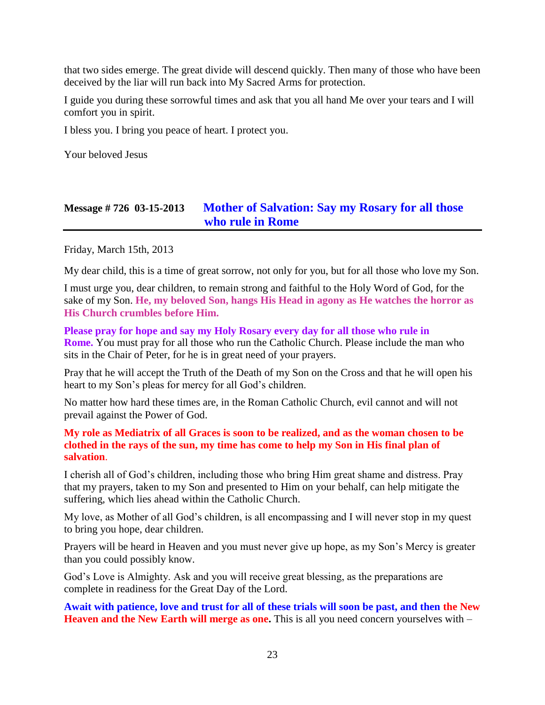that two sides emerge. The great divide will descend quickly. Then many of those who have been deceived by the liar will run back into My Sacred Arms for protection.

I guide you during these sorrowful times and ask that you all hand Me over your tears and I will comfort you in spirit.

I bless you. I bring you peace of heart. I protect you.

Your beloved Jesus

### **Message # 726 03-15-2013 [Mother of Salvation: Say my Rosary for all those](http://www.thewarningsecondcoming.com/mother-of-salvation-say-my-rosary-for-all-those-who-rule-in-rome/)  [who rule in Rome](http://www.thewarningsecondcoming.com/mother-of-salvation-say-my-rosary-for-all-those-who-rule-in-rome/)**

Friday, March 15th, 2013

My dear child, this is a time of great sorrow, not only for you, but for all those who love my Son.

I must urge you, dear children, to remain strong and faithful to the Holy Word of God, for the sake of my Son. **He, my beloved Son, hangs His Head in agony as He watches the horror as His Church crumbles before Him.**

**Please pray for hope and say my Holy Rosary every day for all those who rule in Rome.** You must pray for all those who run the Catholic Church. Please include the man who sits in the Chair of Peter, for he is in great need of your prayers.

Pray that he will accept the Truth of the Death of my Son on the Cross and that he will open his heart to my Son's pleas for mercy for all God's children.

No matter how hard these times are, in the Roman Catholic Church, evil cannot and will not prevail against the Power of God.

#### **My role as Mediatrix of all Graces is soon to be realized, and as the woman chosen to be clothed in the rays of the sun, my time has come to help my Son in His final plan of salvation**.

I cherish all of God's children, including those who bring Him great shame and distress. Pray that my prayers, taken to my Son and presented to Him on your behalf, can help mitigate the suffering, which lies ahead within the Catholic Church.

My love, as Mother of all God's children, is all encompassing and I will never stop in my quest to bring you hope, dear children.

Prayers will be heard in Heaven and you must never give up hope, as my Son's Mercy is greater than you could possibly know.

God's Love is Almighty. Ask and you will receive great blessing, as the preparations are complete in readiness for the Great Day of the Lord.

**Await with patience, love and trust for all of these trials will soon be past, and then the New Heaven and the New Earth will merge as one.** This is all you need concern yourselves with –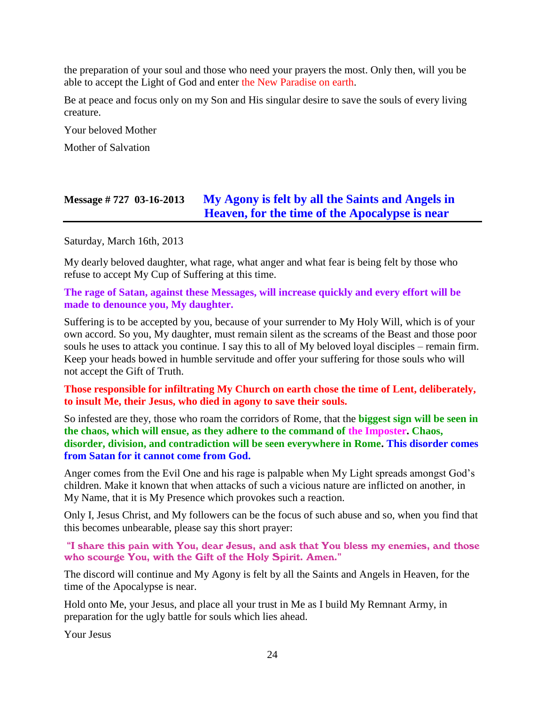the preparation of your soul and those who need your prayers the most. Only then, will you be able to accept the Light of God and enter the New Paradise on earth.

Be at peace and focus only on my Son and His singular desire to save the souls of every living creature.

Your beloved Mother

Mother of Salvation

# **Message # 727 03-16-2013 My [Agony is felt by all the Saints and Angels in](http://www.thewarningsecondcoming.com/my-agony-is-felt-by-all-the-saints-and-angels-in-heaven-for-the-time-of-the-apocalypse-is-near/)  [Heaven, for the time of the Apocalypse is near](http://www.thewarningsecondcoming.com/my-agony-is-felt-by-all-the-saints-and-angels-in-heaven-for-the-time-of-the-apocalypse-is-near/)**

Saturday, March 16th, 2013

My dearly beloved daughter, what rage, what anger and what fear is being felt by those who refuse to accept My Cup of Suffering at this time.

**The rage of Satan, against these Messages, will increase quickly and every effort will be made to denounce you, My daughter.**

Suffering is to be accepted by you, because of your surrender to My Holy Will, which is of your own accord. So you, My daughter, must remain silent as the screams of the Beast and those poor souls he uses to attack you continue. I say this to all of My beloved loyal disciples – remain firm. Keep your heads bowed in humble servitude and offer your suffering for those souls who will not accept the Gift of Truth.

**Those responsible for infiltrating My Church on earth chose the time of Lent, deliberately, to insult Me, their Jesus, who died in agony to save their souls.**

So infested are they, those who roam the corridors of Rome, that the **biggest sign will be seen in the chaos, which will ensue, as they adhere to the command of the Imposter. Chaos, disorder, division, and contradiction will be seen everywhere in Rome. This disorder comes from Satan for it cannot come from God.**

Anger comes from the Evil One and his rage is palpable when My Light spreads amongst God's children. Make it known that when attacks of such a vicious nature are inflicted on another, in My Name, that it is My Presence which provokes such a reaction.

Only I, Jesus Christ, and My followers can be the focus of such abuse and so, when you find that this becomes unbearable, please say this short prayer:

"I share this pain with You, dear Jesus, and ask that You bless my enemies, and those who scourge You, with the Gift of the Holy Spirit. Amen."

The discord will continue and My Agony is felt by all the Saints and Angels in Heaven, for the time of the Apocalypse is near.

Hold onto Me, your Jesus, and place all your trust in Me as I build My Remnant Army, in preparation for the ugly battle for souls which lies ahead.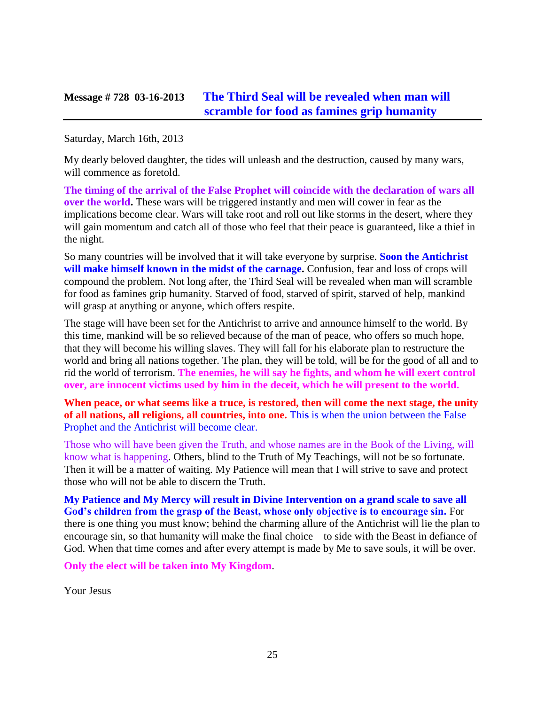### **Message # 728 03-16-2013 [The Third Seal will be revealed when man will](http://www.thewarningsecondcoming.com/the-third-seal-will-be-revealed-when-man-will-scramble-for-food-as-famines-grip-humanity/)  [scramble for food as famines grip humanity](http://www.thewarningsecondcoming.com/the-third-seal-will-be-revealed-when-man-will-scramble-for-food-as-famines-grip-humanity/)**

Saturday, March 16th, 2013

My dearly beloved daughter, the tides will unleash and the destruction, caused by many wars, will commence as foretold.

**The timing of the arrival of the False Prophet will coincide with the declaration of wars all over the world.** These wars will be triggered instantly and men will cower in fear as the implications become clear. Wars will take root and roll out like storms in the desert, where they will gain momentum and catch all of those who feel that their peace is guaranteed, like a thief in the night.

So many countries will be involved that it will take everyone by surprise. **Soon the Antichrist will make himself known in the midst of the carnage.** Confusion, fear and loss of crops will compound the problem. Not long after, the Third Seal will be revealed when man will scramble for food as famines grip humanity. Starved of food, starved of spirit, starved of help, mankind will grasp at anything or anyone, which offers respite.

The stage will have been set for the Antichrist to arrive and announce himself to the world. By this time, mankind will be so relieved because of the man of peace, who offers so much hope, that they will become his willing slaves. They will fall for his elaborate plan to restructure the world and bring all nations together. The plan, they will be told, will be for the good of all and to rid the world of terrorism. **The enemies, he will say he fights, and whom he will exert control over, are innocent victims used by him in the deceit, which he will present to the world.**

**When peace, or what seems like a truce, is restored, then will come the next stage, the unity of all nations, all religions, all countries, into one.** Thi**s** is when the union between the False Prophet and the Antichrist will become clear.

Those who will have been given the Truth, and whose names are in the Book of the Living, will know what is happening. Others, blind to the Truth of My Teachings, will not be so fortunate. Then it will be a matter of waiting. My Patience will mean that I will strive to save and protect those who will not be able to discern the Truth.

**My Patience and My Mercy will result in Divine Intervention on a grand scale to save all God's children from the grasp of the Beast, whose only objective is to encourage sin.** For there is one thing you must know; behind the charming allure of the Antichrist will lie the plan to encourage sin, so that humanity will make the final choice – to side with the Beast in defiance of God. When that time comes and after every attempt is made by Me to save souls, it will be over.

**Only the elect will be taken into My Kingdom**.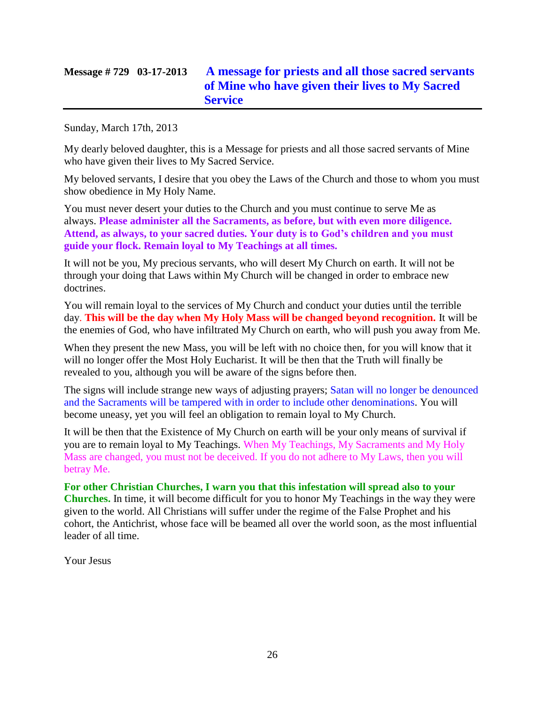# **Message # 729 03-17-2013 [A message for priests and all those sacred servants](http://www.thewarningsecondcoming.com/a-message-for-priests-and-all-those-sacred-servants-of-mine-who-have-given-their-lives-to-my-sacred-service/)  [of Mine who have given their lives to My Sacred](http://www.thewarningsecondcoming.com/a-message-for-priests-and-all-those-sacred-servants-of-mine-who-have-given-their-lives-to-my-sacred-service/)  [Service](http://www.thewarningsecondcoming.com/a-message-for-priests-and-all-those-sacred-servants-of-mine-who-have-given-their-lives-to-my-sacred-service/)**

Sunday, March 17th, 2013

My dearly beloved daughter, this is a Message for priests and all those sacred servants of Mine who have given their lives to My Sacred Service.

My beloved servants, I desire that you obey the Laws of the Church and those to whom you must show obedience in My Holy Name.

You must never desert your duties to the Church and you must continue to serve Me as always. **Please administer all the Sacraments, as before, but with even more diligence. Attend, as always, to your sacred duties. Your duty is to God's children and you must guide your flock. Remain loyal to My Teachings at all times.**

It will not be you, My precious servants, who will desert My Church on earth. It will not be through your doing that Laws within My Church will be changed in order to embrace new doctrines.

You will remain loyal to the services of My Church and conduct your duties until the terrible day. **This will be the day when My Holy Mass will be changed beyond recognition.** It will be the enemies of God, who have infiltrated My Church on earth, who will push you away from Me.

When they present the new Mass, you will be left with no choice then, for you will know that it will no longer offer the Most Holy Eucharist. It will be then that the Truth will finally be revealed to you, although you will be aware of the signs before then.

The signs will include strange new ways of adjusting prayers; Satan will no longer be denounced and the Sacraments will be tampered with in order to include other denominations. You will become uneasy, yet you will feel an obligation to remain loyal to My Church.

It will be then that the Existence of My Church on earth will be your only means of survival if you are to remain loyal to My Teachings. When My Teachings, My Sacraments and My Holy Mass are changed, you must not be deceived. If you do not adhere to My Laws, then you will betray Me.

**For other Christian Churches, I warn you that this infestation will spread also to your Churches.** In time, it will become difficult for you to honor My Teachings in the way they were given to the world. All Christians will suffer under the regime of the False Prophet and his cohort, the Antichrist, whose face will be beamed all over the world soon, as the most influential leader of all time.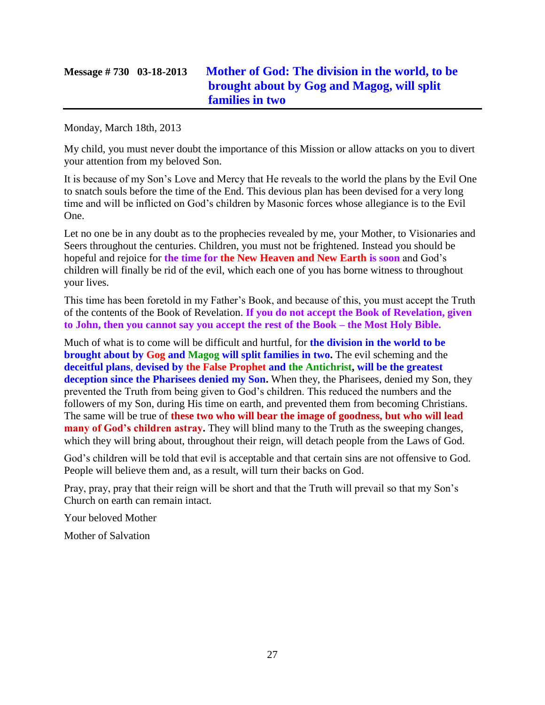# **Message # 730 03-18-2013 [Mother of God: The division in the world, to be](http://www.thewarningsecondcoming.com/mother-of-god-the-division-in-the-world-to-be-brought-about-by-gog-and-magog-will-split-families-in-two/)  [brought about by Gog and Magog, will split](http://www.thewarningsecondcoming.com/mother-of-god-the-division-in-the-world-to-be-brought-about-by-gog-and-magog-will-split-families-in-two/)  [families in two](http://www.thewarningsecondcoming.com/mother-of-god-the-division-in-the-world-to-be-brought-about-by-gog-and-magog-will-split-families-in-two/)**

Monday, March 18th, 2013

My child, you must never doubt the importance of this Mission or allow attacks on you to divert your attention from my beloved Son.

It is because of my Son's Love and Mercy that He reveals to the world the plans by the Evil One to snatch souls before the time of the End. This devious plan has been devised for a very long time and will be inflicted on God's children by Masonic forces whose allegiance is to the Evil One.

Let no one be in any doubt as to the prophecies revealed by me, your Mother, to Visionaries and Seers throughout the centuries. Children, you must not be frightened. Instead you should be hopeful and rejoice for **the time for the New Heaven and New Earth is soon** and God's children will finally be rid of the evil, which each one of you has borne witness to throughout your lives.

This time has been foretold in my Father's Book, and because of this, you must accept the Truth of the contents of the Book of Revelation. **If you do not accept the Book of Revelation, given to John, then you cannot say you accept the rest of the Book – the Most Holy Bible.**

Much of what is to come will be difficult and hurtful, for **the division in the world to be brought about by Gog and Magog will split families in two.** The evil scheming and the **deceitful plans**, **devised by the False Prophet and the Antichrist, will be the greatest deception since the Pharisees denied my Son.** When they, the Pharisees, denied my Son, they prevented the Truth from being given to God's children. This reduced the numbers and the followers of my Son, during His time on earth, and prevented them from becoming Christians. The same will be true of **these two who will bear the image of goodness, but who will lead many of God's children astray.** They will blind many to the Truth as the sweeping changes, which they will bring about, throughout their reign, will detach people from the Laws of God.

God's children will be told that evil is acceptable and that certain sins are not offensive to God. People will believe them and, as a result, will turn their backs on God.

Pray, pray, pray that their reign will be short and that the Truth will prevail so that my Son's Church on earth can remain intact.

Your beloved Mother

Mother of Salvation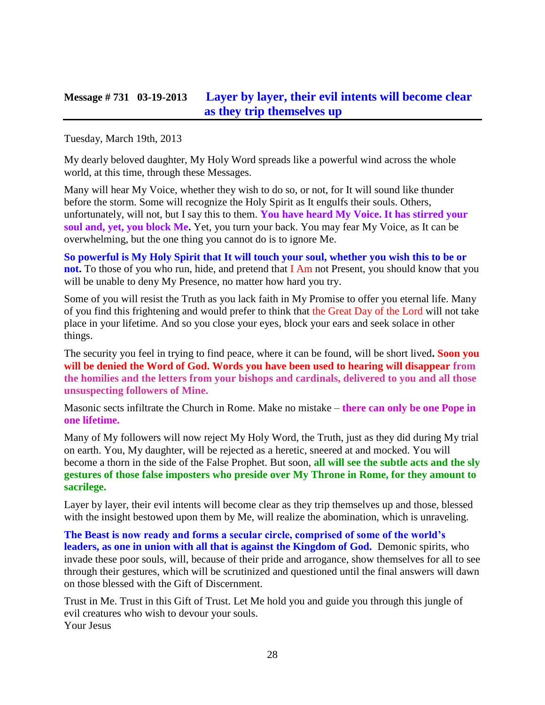#### **Message # 731 03-19-2013 [Layer by layer, their evil intents will become clear](http://www.thewarningsecondcoming.com/layer-by-layer-their-evil-intents-will-become-clear-as-they-trip-themselves-up/)  [as they trip themselves up](http://www.thewarningsecondcoming.com/layer-by-layer-their-evil-intents-will-become-clear-as-they-trip-themselves-up/)**

Tuesday, March 19th, 2013

My dearly beloved daughter, My Holy Word spreads like a powerful wind across the whole world, at this time, through these Messages.

Many will hear My Voice, whether they wish to do so, or not, for It will sound like thunder before the storm. Some will recognize the Holy Spirit as It engulfs their souls. Others, unfortunately, will not, but I say this to them. **You have heard My Voice. It has stirred your soul and, yet, you block Me.** Yet, you turn your back. You may fear My Voice, as It can be overwhelming, but the one thing you cannot do is to ignore Me.

**So powerful is My Holy Spirit that It will touch your soul, whether you wish this to be or not.** To those of you who run, hide, and pretend that I Am not Present, you should know that you will be unable to deny My Presence, no matter how hard you try.

Some of you will resist the Truth as you lack faith in My Promise to offer you eternal life. Many of you find this frightening and would prefer to think that the Great Day of the Lord will not take place in your lifetime. And so you close your eyes, block your ears and seek solace in other things.

The security you feel in trying to find peace, where it can be found, will be short lived**. Soon you will be denied the Word of God. Words you have been used to hearing will disappear from the homilies and the letters from your bishops and cardinals, delivered to you and all those unsuspecting followers of Mine.**

Masonic sects infiltrate the Church in Rome. Make no mistake – **there can only be one Pope in one lifetime.**

Many of My followers will now reject My Holy Word, the Truth, just as they did during My trial on earth. You, My daughter, will be rejected as a heretic, sneered at and mocked. You will become a thorn in the side of the False Prophet. But soon, **all will see the subtle acts and the sly gestures of those false imposters who preside over My Throne in Rome, for they amount to sacrilege.**

Layer by layer, their evil intents will become clear as they trip themselves up and those, blessed with the insight bestowed upon them by Me, will realize the abomination, which is unraveling.

**The Beast is now ready and forms a secular circle, comprised of some of the world's leaders, as one in union with all that is against the Kingdom of God.** Demonic spirits, who invade these poor souls, will, because of their pride and arrogance, show themselves for all to see through their gestures, which will be scrutinized and questioned until the final answers will dawn on those blessed with the Gift of Discernment.

Trust in Me. Trust in this Gift of Trust. Let Me hold you and guide you through this jungle of evil creatures who wish to devour your souls. Your Jesus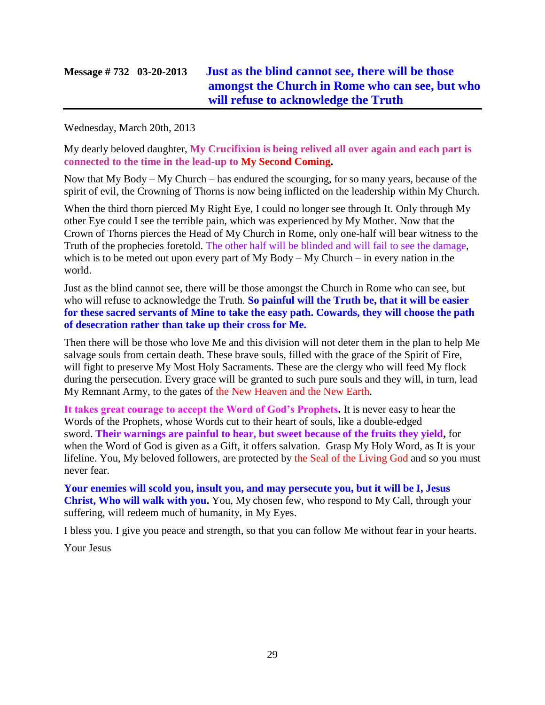# **Message # 732 03-20-2013 [Just as the blind cannot see, there will be those](http://www.thewarningsecondcoming.com/just-as-the-blind-cannot-see-there-will-be-those-amongst-the-church-in-rome-who-can-see-but-who-will-refuse-to-acknowledge-the-truth/)  [amongst the Church in Rome who can see, but who](http://www.thewarningsecondcoming.com/just-as-the-blind-cannot-see-there-will-be-those-amongst-the-church-in-rome-who-can-see-but-who-will-refuse-to-acknowledge-the-truth/)  [will refuse to acknowledge the Truth](http://www.thewarningsecondcoming.com/just-as-the-blind-cannot-see-there-will-be-those-amongst-the-church-in-rome-who-can-see-but-who-will-refuse-to-acknowledge-the-truth/)**

Wednesday, March 20th, 2013

My dearly beloved daughter, **My Crucifixion is being relived all over again and each part is connected to the time in the lead-up to My Second Coming.**

Now that My Body – My Church – has endured the scourging, for so many years, because of the spirit of evil, the Crowning of Thorns is now being inflicted on the leadership within My Church.

When the third thorn pierced My Right Eye, I could no longer see through It. Only through My other Eye could I see the terrible pain, which was experienced by My Mother. Now that the Crown of Thorns pierces the Head of My Church in Rome, only one-half will bear witness to the Truth of the prophecies foretold. The other half will be blinded and will fail to see the damage, which is to be meted out upon every part of My Body – My Church – in every nation in the world.

Just as the blind cannot see, there will be those amongst the Church in Rome who can see, but who will refuse to acknowledge the Truth. **So painful will the Truth be, that it will be easier for these sacred servants of Mine to take the easy path. Cowards, they will choose the path of desecration rather than take up their cross for Me.**

Then there will be those who love Me and this division will not deter them in the plan to help Me salvage souls from certain death. These brave souls, filled with the grace of the Spirit of Fire, will fight to preserve My Most Holy Sacraments. These are the clergy who will feed My flock during the persecution. Every grace will be granted to such pure souls and they will, in turn, lead My Remnant Army, to the gates of the New Heaven and the New Earth.

**It takes great courage to accept the Word of God's Prophets.** It is never easy to hear the Words of the Prophets, whose Words cut to their heart of souls, like a double-edged sword. **Their warnings are painful to hear, but sweet because of the fruits they yield,** for when the Word of God is given as a Gift, it offers salvation. Grasp My Holy Word, as It is your lifeline. You, My beloved followers, are protected by the Seal of the Living God and so you must never fear.

**Your enemies will scold you, insult you, and may persecute you, but it will be I, Jesus Christ, Who will walk with you.** You, My chosen few, who respond to My Call, through your suffering, will redeem much of humanity, in My Eyes.

I bless you. I give you peace and strength, so that you can follow Me without fear in your hearts.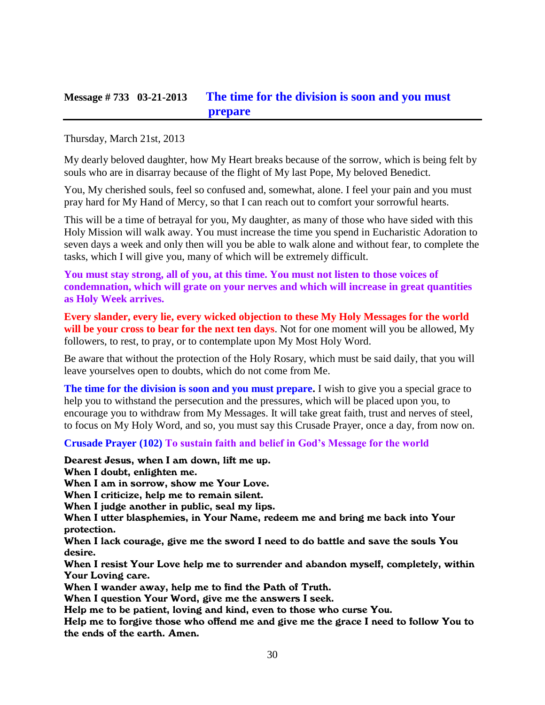#### **Message # 733 03-21-2013 [The time for the division is soon and you must](http://www.thewarningsecondcoming.com/the-time-for-the-division-is-soon-and-you-must-prepare/)  [prepare](http://www.thewarningsecondcoming.com/the-time-for-the-division-is-soon-and-you-must-prepare/)**

Thursday, March 21st, 2013

My dearly beloved daughter, how My Heart breaks because of the sorrow, which is being felt by souls who are in disarray because of the flight of My last Pope, My beloved Benedict.

You, My cherished souls, feel so confused and, somewhat, alone. I feel your pain and you must pray hard for My Hand of Mercy, so that I can reach out to comfort your sorrowful hearts.

This will be a time of betrayal for you, My daughter, as many of those who have sided with this Holy Mission will walk away. You must increase the time you spend in Eucharistic Adoration to seven days a week and only then will you be able to walk alone and without fear, to complete the tasks, which I will give you, many of which will be extremely difficult.

**You must stay strong, all of you, at this time. You must not listen to those voices of condemnation, which will grate on your nerves and which will increase in great quantities as Holy Week arrives.**

**Every slander, every lie, every wicked objection to these My Holy Messages for the world will be your cross to bear for the next ten days**. Not for one moment will you be allowed, My followers, to rest, to pray, or to contemplate upon My Most Holy Word.

Be aware that without the protection of the Holy Rosary, which must be said daily, that you will leave yourselves open to doubts, which do not come from Me.

**The time for the division is soon and you must prepare.** I wish to give you a special grace to help you to withstand the persecution and the pressures, which will be placed upon you, to encourage you to withdraw from My Messages. It will take great faith, trust and nerves of steel, to focus on My Holy Word, and so, you must say this Crusade Prayer, once a day, from now on.

**Crusade Prayer (102) To sustain faith and belief in God's Message for the world**

Dearest Jesus, when I am down, lift me up. When I doubt, enlighten me.

When I am in sorrow, show me Your Love.

When I criticize, help me to remain silent.

When I judge another in public, seal my lips.

When I utter blasphemies, in Your Name, redeem me and bring me back into Your protection.

When I lack courage, give me the sword I need to do battle and save the souls You desire.

When I resist Your Love help me to surrender and abandon myself, completely, within Your Loving care.

When I wander away, help me to find the Path of Truth.

When I question Your Word, give me the answers I seek.

Help me to be patient, loving and kind, even to those who curse You.

Help me to forgive those who offend me and give me the grace I need to follow You to the ends of the earth. Amen.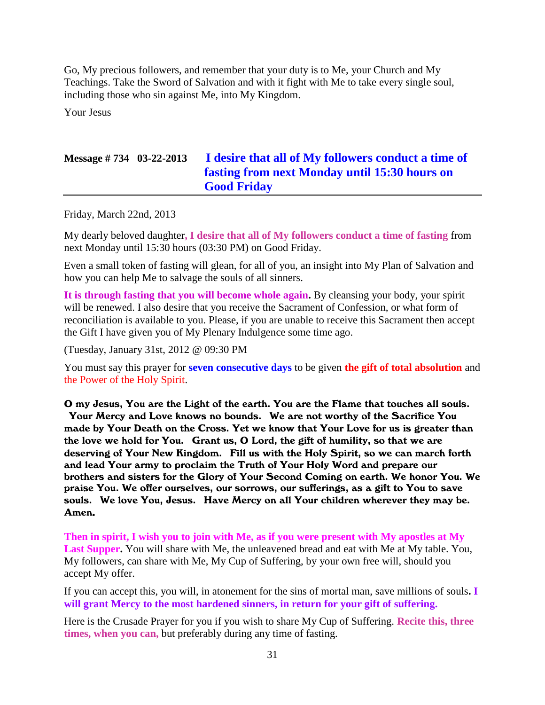Go, My precious followers, and remember that your duty is to Me, your Church and My Teachings. Take the Sword of Salvation and with it fight with Me to take every single soul, including those who sin against Me, into My Kingdom.

Your Jesus

# **Message # 734 03-22-2013 [I desire that all of My followers conduct a time of](http://www.thewarningsecondcoming.com/i-desire-that-all-of-my-followers-conduct-a-time-of-fasting-from-next-monday-until-1530-hours-on-good-friday/)  [fasting from next Monday until 15:30 hours on](http://www.thewarningsecondcoming.com/i-desire-that-all-of-my-followers-conduct-a-time-of-fasting-from-next-monday-until-1530-hours-on-good-friday/)  [Good Friday](http://www.thewarningsecondcoming.com/i-desire-that-all-of-my-followers-conduct-a-time-of-fasting-from-next-monday-until-1530-hours-on-good-friday/)**

Friday, March 22nd, 2013

My dearly beloved daughter**, I desire that all of My followers conduct a time of fasting** from next Monday until 15:30 hours (03:30 PM) on Good Friday.

Even a small token of fasting will glean, for all of you, an insight into My Plan of Salvation and how you can help Me to salvage the souls of all sinners.

**It is through fasting that you will become whole again.** By cleansing your body, your spirit will be renewed. I also desire that you receive the Sacrament of Confession, or what form of reconciliation is available to you. Please, if you are unable to receive this Sacrament then accept the Gift I have given you of My Plenary Indulgence some time ago.

(Tuesday, January 31st, 2012 @ 09:30 PM

You must say this prayer for **seven consecutive days** to be given **the gift of total absolution** and the Power of the Holy Spirit.

O my Jesus, You are the Light of the earth. You are the Flame that touches all souls. Your Mercy and Love knows no bounds. We are not worthy of the Sacrifice You made by Your Death on the Cross. Yet we know that Your Love for us is greater than the love we hold for You. Grant us, O Lord, the gift of humility, so that we are deserving of Your New Kingdom. Fill us with the Holy Spirit, so we can march forth and lead Your army to proclaim the Truth of Your Holy Word and prepare our brothers and sisters for the Glory of Your Second Coming on earth. We honor You. We praise You. We offer ourselves, our sorrows, our sufferings, as a gift to You to save souls. We love You, Jesus. Have Mercy on all Your children wherever they may be. Amen.

**Then in spirit, I wish you to join with Me, as if you were present with My apostles at My Last Supper.** You will share with Me, the unleavened bread and eat with Me at My table. You, My followers, can share with Me, My Cup of Suffering, by your own free will, should you accept My offer.

If you can accept this, you will, in atonement for the sins of mortal man, save millions of souls**. I will grant Mercy to the most hardened sinners, in return for your gift of suffering.**

Here is the Crusade Prayer for you if you wish to share My Cup of Suffering. **Recite this, three times, when you can,** but preferably during any time of fasting.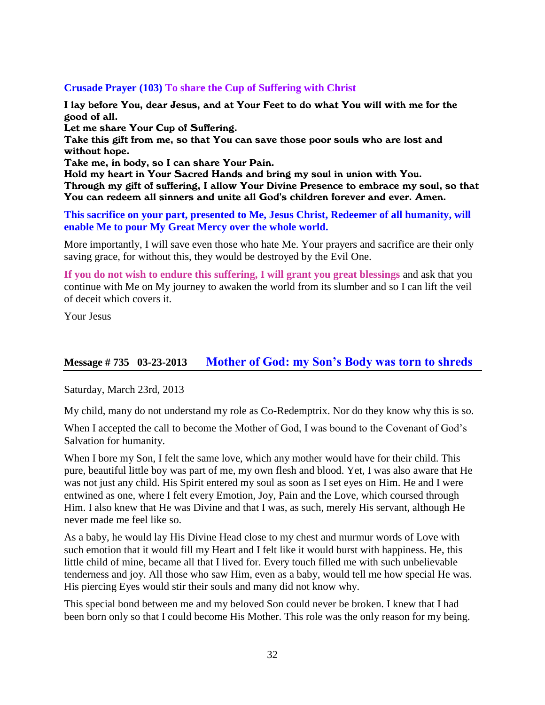#### **Crusade Prayer (103) To share the Cup of Suffering with Christ**

I lay before You, dear Jesus, and at Your Feet to do what You will with me for the good of all.

Let me share Your Cup of Suffering.

Take this gift from me, so that You can save those poor souls who are lost and without hope.

Take me, in body, so I can share Your Pain.

Hold my heart in Your Sacred Hands and bring my soul in union with You. Through my gift of suffering, I allow Your Divine Presence to embrace my soul, so that You can redeem all sinners and unite all God's children forever and ever. Amen.

**This sacrifice on your part, presented to Me, Jesus Christ, Redeemer of all humanity, will enable Me to pour My Great Mercy over the whole world.**

More importantly, I will save even those who hate Me. Your prayers and sacrifice are their only saving grace, for without this, they would be destroyed by the Evil One.

**If you do not wish to endure this suffering, I will grant you great blessings** and ask that you continue with Me on My journey to awaken the world from its slumber and so I can lift the veil of deceit which covers it.

Your Jesus

#### **Message # 735 03-23-2013 [Mother of God: my Son's Body was torn to shreds](http://www.thewarningsecondcoming.com/mother-of-god-my-sons-body-was-torn-to-shreds/)**

Saturday, March 23rd, 2013

My child, many do not understand my role as Co-Redemptrix. Nor do they know why this is so.

When I accepted the call to become the Mother of God, I was bound to the Covenant of God's Salvation for humanity.

When I bore my Son, I felt the same love, which any mother would have for their child. This pure, beautiful little boy was part of me, my own flesh and blood. Yet, I was also aware that He was not just any child. His Spirit entered my soul as soon as I set eyes on Him. He and I were entwined as one, where I felt every Emotion, Joy, Pain and the Love, which coursed through Him. I also knew that He was Divine and that I was, as such, merely His servant, although He never made me feel like so.

As a baby, he would lay His Divine Head close to my chest and murmur words of Love with such emotion that it would fill my Heart and I felt like it would burst with happiness. He, this little child of mine, became all that I lived for. Every touch filled me with such unbelievable tenderness and joy. All those who saw Him, even as a baby, would tell me how special He was. His piercing Eyes would stir their souls and many did not know why.

This special bond between me and my beloved Son could never be broken. I knew that I had been born only so that I could become His Mother. This role was the only reason for my being.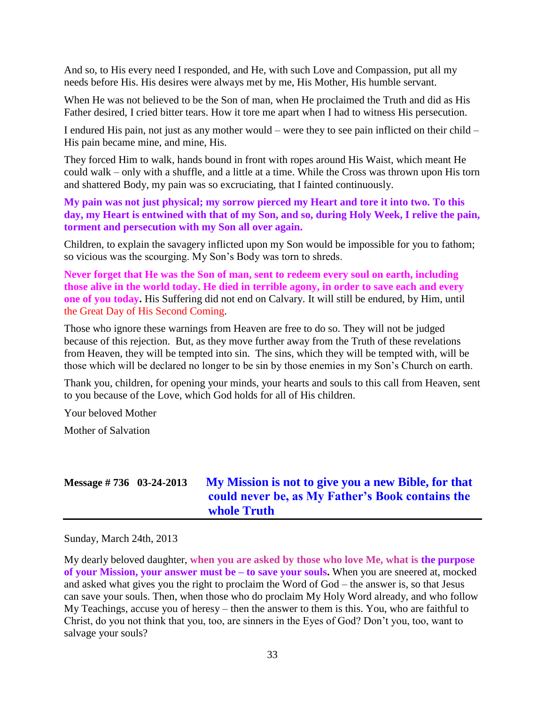And so, to His every need I responded, and He, with such Love and Compassion, put all my needs before His. His desires were always met by me, His Mother, His humble servant.

When He was not believed to be the Son of man, when He proclaimed the Truth and did as His Father desired, I cried bitter tears. How it tore me apart when I had to witness His persecution.

I endured His pain, not just as any mother would – were they to see pain inflicted on their child – His pain became mine, and mine, His.

They forced Him to walk, hands bound in front with ropes around His Waist, which meant He could walk – only with a shuffle, and a little at a time. While the Cross was thrown upon His torn and shattered Body, my pain was so excruciating, that I fainted continuously.

**My pain was not just physical; my sorrow pierced my Heart and tore it into two. To this day, my Heart is entwined with that of my Son, and so, during Holy Week, I relive the pain, torment and persecution with my Son all over again.**

Children, to explain the savagery inflicted upon my Son would be impossible for you to fathom; so vicious was the scourging. My Son's Body was torn to shreds.

**Never forget that He was the Son of man, sent to redeem every soul on earth, including those alive in the world today. He died in terrible agony, in order to save each and every one of you today.** His Suffering did not end on Calvary. It will still be endured, by Him, until the Great Day of His Second Coming.

Those who ignore these warnings from Heaven are free to do so. They will not be judged because of this rejection. But, as they move further away from the Truth of these revelations from Heaven, they will be tempted into sin. The sins, which they will be tempted with, will be those which will be declared no longer to be sin by those enemies in my Son's Church on earth.

Thank you, children, for opening your minds, your hearts and souls to this call from Heaven, sent to you because of the Love, which God holds for all of His children.

Your beloved Mother

Mother of Salvation

# **Message # 736 03-24-2013 [My Mission is not to give you a new Bible, for that](http://www.thewarningsecondcoming.com/my-mission-is-not-to-give-you-a-new-bible-for-that-could-never-be-as-my-fathers-book-contains-the-whole-truth/)  [could never be, as My Father's Book contains the](http://www.thewarningsecondcoming.com/my-mission-is-not-to-give-you-a-new-bible-for-that-could-never-be-as-my-fathers-book-contains-the-whole-truth/)  [whole Truth](http://www.thewarningsecondcoming.com/my-mission-is-not-to-give-you-a-new-bible-for-that-could-never-be-as-my-fathers-book-contains-the-whole-truth/)**

Sunday, March 24th, 2013

My dearly beloved daughter, **when you are asked by those who love Me, what is the purpose of your Mission, your answer must be – to save your souls.** When you are sneered at, mocked and asked what gives you the right to proclaim the Word of God – the answer is, so that Jesus can save your souls. Then, when those who do proclaim My Holy Word already, and who follow My Teachings, accuse you of heresy – then the answer to them is this. You, who are faithful to Christ, do you not think that you, too, are sinners in the Eyes of God? Don't you, too, want to salvage your souls?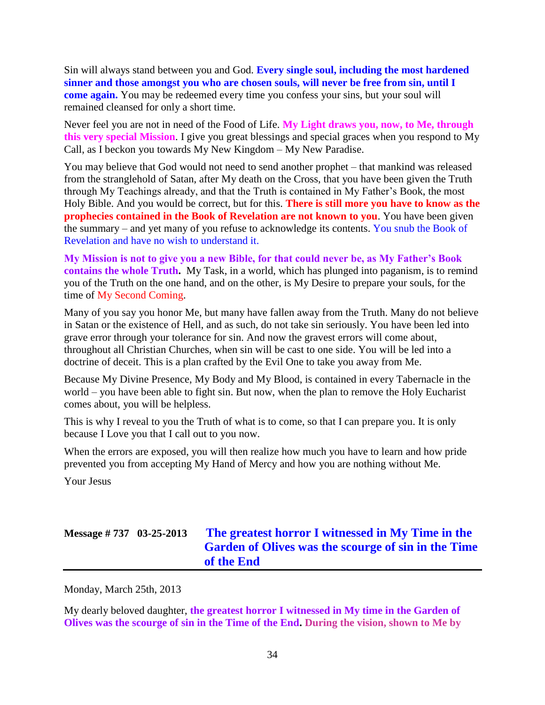Sin will always stand between you and God. **Every single soul, including the most hardened sinner and those amongst you who are chosen souls, will never be free from sin, until I come again.** You may be redeemed every time you confess your sins, but your soul will remained cleansed for only a short time.

Never feel you are not in need of the Food of Life. **My Light draws you, now, to Me, through this very special Mission**. I give you great blessings and special graces when you respond to My Call, as I beckon you towards My New Kingdom – My New Paradise.

You may believe that God would not need to send another prophet – that mankind was released from the stranglehold of Satan, after My death on the Cross, that you have been given the Truth through My Teachings already, and that the Truth is contained in My Father's Book, the most Holy Bible. And you would be correct, but for this. **There is still more you have to know as the prophecies contained in the Book of Revelation are not known to you**. You have been given the summary – and yet many of you refuse to acknowledge its contents. You snub the Book of Revelation and have no wish to understand it.

**My Mission is not to give you a new Bible, for that could never be, as My Father's Book contains the whole Truth.** My Task, in a world, which has plunged into paganism, is to remind you of the Truth on the one hand, and on the other, is My Desire to prepare your souls, for the time of My Second Coming.

Many of you say you honor Me, but many have fallen away from the Truth. Many do not believe in Satan or the existence of Hell, and as such, do not take sin seriously. You have been led into grave error through your tolerance for sin. And now the gravest errors will come about, throughout all Christian Churches, when sin will be cast to one side. You will be led into a doctrine of deceit. This is a plan crafted by the Evil One to take you away from Me.

Because My Divine Presence, My Body and My Blood, is contained in every Tabernacle in the world – you have been able to fight sin. But now, when the plan to remove the Holy Eucharist comes about, you will be helpless.

This is why I reveal to you the Truth of what is to come, so that I can prepare you. It is only because I Love you that I call out to you now.

When the errors are exposed, you will then realize how much you have to learn and how pride prevented you from accepting My Hand of Mercy and how you are nothing without Me.

Your Jesus

# **Message # 737 03-25-2013 [The greatest horror I witnessed in My Time in the](http://www.thewarningsecondcoming.com/the-greatest-horror-i-witnessed-in-my-time-in-the-garden-of-olives-was-the-scourge-of-sin-in-the-time-of-the-end/)  Garden of Olives [was the scourge of sin in the Time](http://www.thewarningsecondcoming.com/the-greatest-horror-i-witnessed-in-my-time-in-the-garden-of-olives-was-the-scourge-of-sin-in-the-time-of-the-end/)  [of the End](http://www.thewarningsecondcoming.com/the-greatest-horror-i-witnessed-in-my-time-in-the-garden-of-olives-was-the-scourge-of-sin-in-the-time-of-the-end/)**

Monday, March 25th, 2013

My dearly beloved daughter, **the greatest horror I witnessed in My time in the Garden of Olives was the scourge of sin in the Time of the End. During the vision, shown to Me by**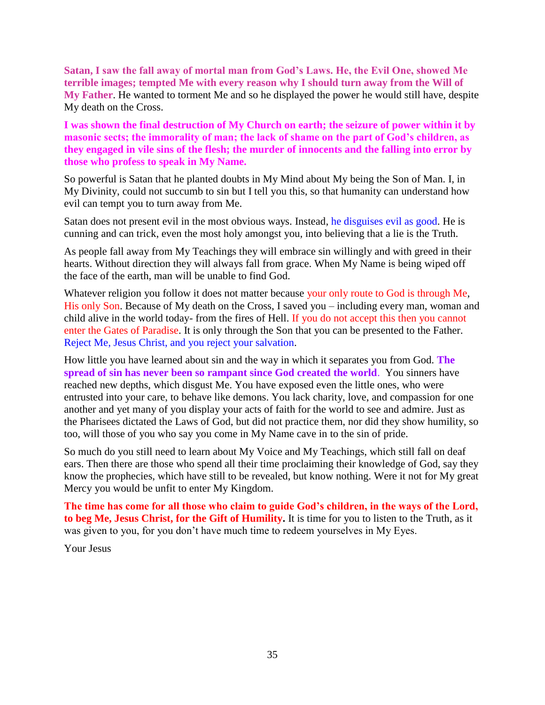**Satan, I saw the fall away of mortal man from God's Laws. He, the Evil One, showed Me terrible images; tempted Me with every reason why I should turn away from the Will of My Father**. He wanted to torment Me and so he displayed the power he would still have, despite My death on the Cross.

**I was shown the final destruction of My Church on earth; the seizure of power within it by masonic sects; the immorality of man; the lack of shame on the part of God's children, as they engaged in vile sins of the flesh; the murder of innocents and the falling into error by those who profess to speak in My Name.**

So powerful is Satan that he planted doubts in My Mind about My being the Son of Man. I, in My Divinity, could not succumb to sin but I tell you this, so that humanity can understand how evil can tempt you to turn away from Me.

Satan does not present evil in the most obvious ways. Instead, he disguises evil as good. He is cunning and can trick, even the most holy amongst you, into believing that a lie is the Truth.

As people fall away from My Teachings they will embrace sin willingly and with greed in their hearts. Without direction they will always fall from grace. When My Name is being wiped off the face of the earth, man will be unable to find God.

Whatever religion you follow it does not matter because your only route to God is through Me, His only Son. Because of My death on the Cross, I saved you – including every man, woman and child alive in the world today- from the fires of Hell. If you do not accept this then you cannot enter the Gates of Paradise. It is only through the Son that you can be presented to the Father. Reject Me, Jesus Christ, and you reject your salvation.

How little you have learned about sin and the way in which it separates you from God. **The spread of sin has never been so rampant since God created the world**. You sinners have reached new depths, which disgust Me. You have exposed even the little ones, who were entrusted into your care, to behave like demons. You lack charity, love, and compassion for one another and yet many of you display your acts of faith for the world to see and admire. Just as the Pharisees dictated the Laws of God, but did not practice them, nor did they show humility, so too, will those of you who say you come in My Name cave in to the sin of pride.

So much do you still need to learn about My Voice and My Teachings, which still fall on deaf ears. Then there are those who spend all their time proclaiming their knowledge of God, say they know the prophecies, which have still to be revealed, but know nothing. Were it not for My great Mercy you would be unfit to enter My Kingdom.

**The time has come for all those who claim to guide God's children, in the ways of the Lord, to beg Me, Jesus Christ, for the Gift of Humility.** It is time for you to listen to the Truth, as it was given to you, for you don't have much time to redeem yourselves in My Eyes.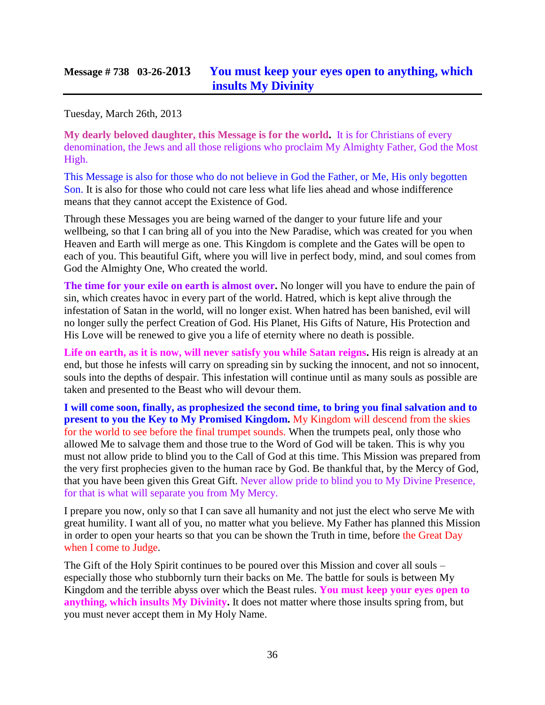#### **Message # 738 03-26-2013 [You must keep your eyes open to anything, which](http://www.thewarningsecondcoming.com/you-must-keep-your-eyes-open-to-anything-which-insults-my-divinity/)  [insults My Divinity](http://www.thewarningsecondcoming.com/you-must-keep-your-eyes-open-to-anything-which-insults-my-divinity/)**

Tuesday, March 26th, 2013

**My dearly beloved daughter, this Message is for the world.** It is for Christians of every denomination, the Jews and all those religions who proclaim My Almighty Father, God the Most High.

This Message is also for those who do not believe in God the Father, or Me, His only begotten Son. It is also for those who could not care less what life lies ahead and whose indifference means that they cannot accept the Existence of God.

Through these Messages you are being warned of the danger to your future life and your wellbeing, so that I can bring all of you into the New Paradise, which was created for you when Heaven and Earth will merge as one. This Kingdom is complete and the Gates will be open to each of you. This beautiful Gift, where you will live in perfect body, mind, and soul comes from God the Almighty One, Who created the world.

**The time for your exile on earth is almost over.** No longer will you have to endure the pain of sin, which creates havoc in every part of the world. Hatred, which is kept alive through the infestation of Satan in the world, will no longer exist. When hatred has been banished, evil will no longer sully the perfect Creation of God. His Planet, His Gifts of Nature, His Protection and His Love will be renewed to give you a life of eternity where no death is possible.

**Life on earth, as it is now, will never satisfy you while Satan reigns.** His reign is already at an end, but those he infests will carry on spreading sin by sucking the innocent, and not so innocent, souls into the depths of despair. This infestation will continue until as many souls as possible are taken and presented to the Beast who will devour them.

**I will come soon, finally, as prophesized the second time, to bring you final salvation and to present to you the Key to My Promised Kingdom.** My Kingdom will descend from the skies for the world to see before the final trumpet sounds. When the trumpets peal, only those who allowed Me to salvage them and those true to the Word of God will be taken. This is why you must not allow pride to blind you to the Call of God at this time. This Mission was prepared from the very first prophecies given to the human race by God. Be thankful that, by the Mercy of God, that you have been given this Great Gift. Never allow pride to blind you to My Divine Presence, for that is what will separate you from My Mercy.

I prepare you now, only so that I can save all humanity and not just the elect who serve Me with great humility. I want all of you, no matter what you believe. My Father has planned this Mission in order to open your hearts so that you can be shown the Truth in time, before the Great Day when I come to Judge.

The Gift of the Holy Spirit continues to be poured over this Mission and cover all souls – especially those who stubbornly turn their backs on Me. The battle for souls is between My Kingdom and the terrible abyss over which the Beast rules. **You must keep your eyes open to anything, which insults My Divinity.** It does not matter where those insults spring from, but you must never accept them in My Holy Name.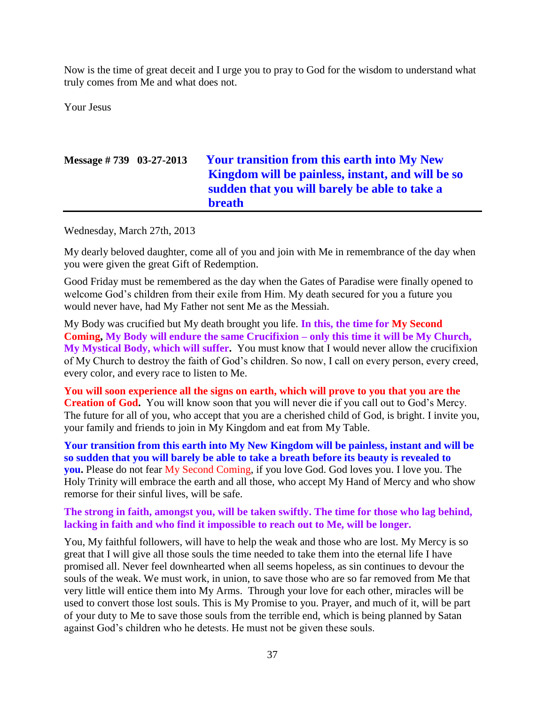Now is the time of great deceit and I urge you to pray to God for the wisdom to understand what truly comes from Me and what does not.

Your Jesus

| Message $\# 739$ 03-27-2013 |  | <b>Your transition from this earth into My New</b> |
|-----------------------------|--|----------------------------------------------------|
|                             |  | Kingdom will be painless, instant, and will be so  |
|                             |  | sudden that you will barely be able to take a      |
|                             |  | <b>breath</b>                                      |

Wednesday, March 27th, 2013

My dearly beloved daughter, come all of you and join with Me in remembrance of the day when you were given the great Gift of Redemption.

Good Friday must be remembered as the day when the Gates of Paradise were finally opened to welcome God's children from their exile from Him. My death secured for you a future you would never have, had My Father not sent Me as the Messiah.

My Body was crucified but My death brought you life. **In this, the time for My Second Coming, My Body will endure the same Crucifixion – only this time it will be My Church, My Mystical Body, which will suffer.** You must know that I would never allow the crucifixion of My Church to destroy the faith of God's children. So now, I call on every person, every creed, every color, and every race to listen to Me.

**You will soon experience all the signs on earth, which will prove to you that you are the Creation of God.** You will know soon that you will never die if you call out to God's Mercy. The future for all of you, who accept that you are a cherished child of God, is bright. I invite you, your family and friends to join in My Kingdom and eat from My Table.

**Your transition from this earth into My New Kingdom will be painless, instant and will be so sudden that you will barely be able to take a breath before its beauty is revealed to you.** Please do not fear My Second Coming, if you love God. God loves you. I love you. The Holy Trinity will embrace the earth and all those, who accept My Hand of Mercy and who show remorse for their sinful lives, will be safe.

**The strong in faith, amongst you, will be taken swiftly. The time for those who lag behind, lacking in faith and who find it impossible to reach out to Me, will be longer.**

You, My faithful followers, will have to help the weak and those who are lost. My Mercy is so great that I will give all those souls the time needed to take them into the eternal life I have promised all. Never feel downhearted when all seems hopeless, as sin continues to devour the souls of the weak. We must work, in union, to save those who are so far removed from Me that very little will entice them into My Arms. Through your love for each other, miracles will be used to convert those lost souls. This is My Promise to you. Prayer, and much of it, will be part of your duty to Me to save those souls from the terrible end, which is being planned by Satan against God's children who he detests. He must not be given these souls.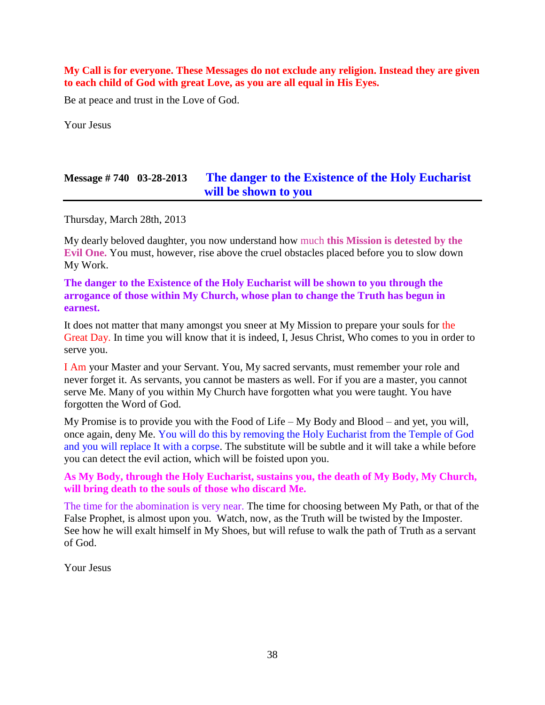**My Call is for everyone. These Messages do not exclude any religion. Instead they are given to each child of God with great Love, as you are all equal in His Eyes.**

Be at peace and trust in the Love of God.

Your Jesus

## **Message # 740 03-28-2013 [The danger to the Existence of the Holy Eucharist](http://www.thewarningsecondcoming.com/the-danger-to-the-existence-of-the-holy-eucharist-will-be-shown-to-you/)  [will be shown to you](http://www.thewarningsecondcoming.com/the-danger-to-the-existence-of-the-holy-eucharist-will-be-shown-to-you/)**

Thursday, March 28th, 2013

My dearly beloved daughter, you now understand how much **this Mission is detested by the Evil One.** You must, however, rise above the cruel obstacles placed before you to slow down My Work.

**The danger to the Existence of the Holy Eucharist will be shown to you through the arrogance of those within My Church, whose plan to change the Truth has begun in earnest.**

It does not matter that many amongst you sneer at My Mission to prepare your souls for the Great Day. In time you will know that it is indeed, I, Jesus Christ, Who comes to you in order to serve you.

I Am your Master and your Servant. You, My sacred servants, must remember your role and never forget it. As servants, you cannot be masters as well. For if you are a master, you cannot serve Me. Many of you within My Church have forgotten what you were taught. You have forgotten the Word of God.

My Promise is to provide you with the Food of Life – My Body and Blood – and yet, you will, once again, deny Me. You will do this by removing the Holy Eucharist from the Temple of God and you will replace It with a corpse. The substitute will be subtle and it will take a while before you can detect the evil action, which will be foisted upon you.

#### **As My Body, through the Holy Eucharist, sustains you, the death of My Body, My Church, will bring death to the souls of those who discard Me.**

The time for the abomination is very near. The time for choosing between My Path, or that of the False Prophet, is almost upon you. Watch, now, as the Truth will be twisted by the Imposter. See how he will exalt himself in My Shoes, but will refuse to walk the path of Truth as a servant of God.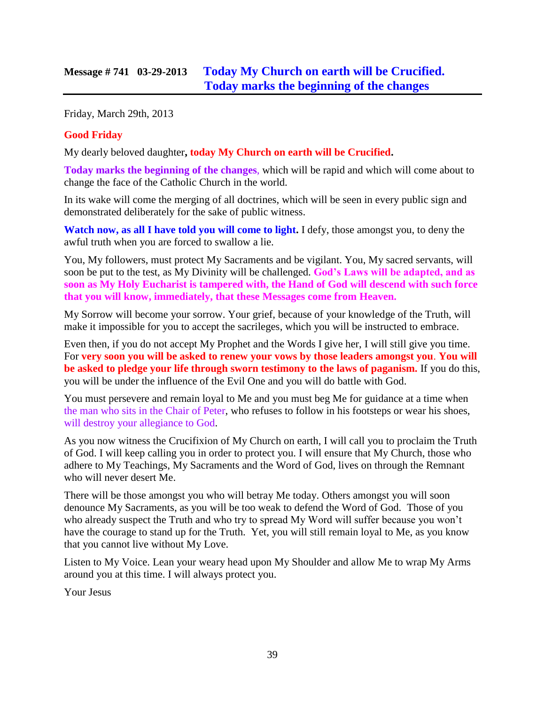Friday, March 29th, 2013

### **Good Friday**

My dearly beloved daughter**, today My Church on earth will be Crucified.**

**Today marks the beginning of the changes**, which will be rapid and which will come about to change the face of the Catholic Church in the world.

In its wake will come the merging of all doctrines, which will be seen in every public sign and demonstrated deliberately for the sake of public witness.

**Watch now, as all I have told you will come to light.** I defy, those amongst you, to deny the awful truth when you are forced to swallow a lie.

You, My followers, must protect My Sacraments and be vigilant. You, My sacred servants, will soon be put to the test, as My Divinity will be challenged. **God's Laws will be adapted, and as soon as My Holy Eucharist is tampered with, the Hand of God will descend with such force that you will know, immediately, that these Messages come from Heaven.**

My Sorrow will become your sorrow. Your grief, because of your knowledge of the Truth, will make it impossible for you to accept the sacrileges, which you will be instructed to embrace.

Even then, if you do not accept My Prophet and the Words I give her, I will still give you time. For **very soon you will be asked to renew your vows by those leaders amongst you**. **You will be asked to pledge your life through sworn testimony to the laws of paganism.** If you do this, you will be under the influence of the Evil One and you will do battle with God.

You must persevere and remain loyal to Me and you must beg Me for guidance at a time when the man who sits in the Chair of Peter, who refuses to follow in his footsteps or wear his shoes, will destroy your allegiance to God.

As you now witness the Crucifixion of My Church on earth, I will call you to proclaim the Truth of God. I will keep calling you in order to protect you. I will ensure that My Church, those who adhere to My Teachings, My Sacraments and the Word of God, lives on through the Remnant who will never desert Me.

There will be those amongst you who will betray Me today. Others amongst you will soon denounce My Sacraments, as you will be too weak to defend the Word of God. Those of you who already suspect the Truth and who try to spread My Word will suffer because you won't have the courage to stand up for the Truth. Yet, you will still remain loyal to Me, as you know that you cannot live without My Love.

Listen to My Voice. Lean your weary head upon My Shoulder and allow Me to wrap My Arms around you at this time. I will always protect you.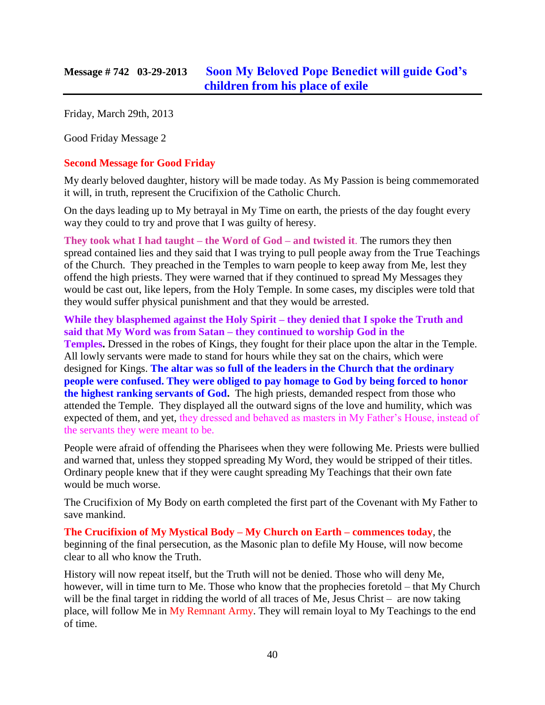Friday, March 29th, 2013

Good Friday Message 2

#### **Second Message for Good Friday**

My dearly beloved daughter, history will be made today. As My Passion is being commemorated it will, in truth, represent the Crucifixion of the Catholic Church.

On the days leading up to My betrayal in My Time on earth, the priests of the day fought every way they could to try and prove that I was guilty of heresy.

**They took what I had taught – the Word of God – and twisted it**. The rumors they then spread contained lies and they said that I was trying to pull people away from the True Teachings of the Church. They preached in the Temples to warn people to keep away from Me, lest they offend the high priests. They were warned that if they continued to spread My Messages they would be cast out, like lepers, from the Holy Temple. In some cases, my disciples were told that they would suffer physical punishment and that they would be arrested.

**While they blasphemed against the Holy Spirit – they denied that I spoke the Truth and said that My Word was from Satan – they continued to worship God in the Temples.** Dressed in the robes of Kings, they fought for their place upon the altar in the Temple. All lowly servants were made to stand for hours while they sat on the chairs, which were designed for Kings. **The altar was so full of the leaders in the Church that the ordinary people were confused. They were obliged to pay homage to God by being forced to honor the highest ranking servants of God.** The high priests, demanded respect from those who attended the Temple. They displayed all the outward signs of the love and humility, which was expected of them, and yet, they dressed and behaved as masters in My Father's House, instead of the servants they were meant to be.

People were afraid of offending the Pharisees when they were following Me. Priests were bullied and warned that, unless they stopped spreading My Word, they would be stripped of their titles. Ordinary people knew that if they were caught spreading My Teachings that their own fate would be much worse.

The Crucifixion of My Body on earth completed the first part of the Covenant with My Father to save mankind.

**The Crucifixion of My Mystical Body – My Church on Earth – commences today**, the beginning of the final persecution, as the Masonic plan to defile My House, will now become clear to all who know the Truth.

History will now repeat itself, but the Truth will not be denied. Those who will deny Me, however, will in time turn to Me. Those who know that the prophecies foretold – that My Church will be the final target in ridding the world of all traces of Me, Jesus Christ – are now taking place, will follow Me in My Remnant Army. They will remain loyal to My Teachings to the end of time.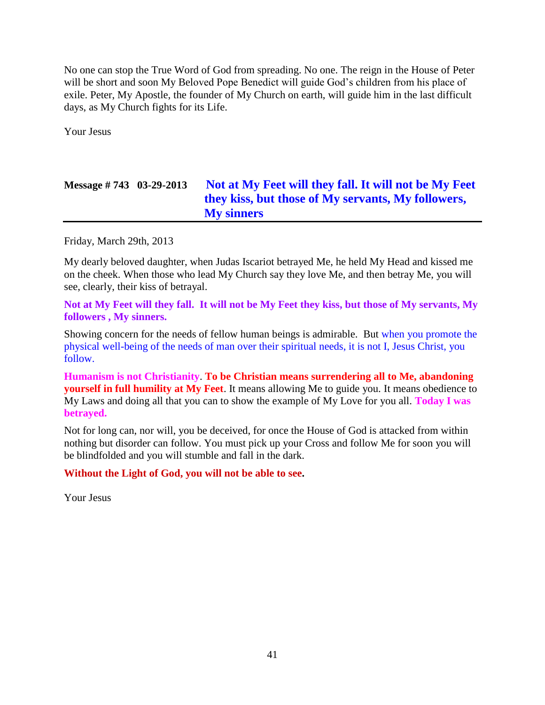No one can stop the True Word of God from spreading. No one. The reign in the House of Peter will be short and soon My Beloved Pope Benedict will guide God's children from his place of exile. Peter, My Apostle, the founder of My Church on earth, will guide him in the last difficult days, as My Church fights for its Life.

Your Jesus

# **Message # 743 03-29-2013 [Not at My Feet will they fall. It will not be My Feet](http://www.thewarningsecondcoming.com/not-at-my-feet-will-they-fall-it-will-not-be-my-feet-they-kiss-but-those-of-my-servants-my-followers-my-sinners/)  [they kiss, but those of My servants, My followers,](http://www.thewarningsecondcoming.com/not-at-my-feet-will-they-fall-it-will-not-be-my-feet-they-kiss-but-those-of-my-servants-my-followers-my-sinners/)  [My sinners](http://www.thewarningsecondcoming.com/not-at-my-feet-will-they-fall-it-will-not-be-my-feet-they-kiss-but-those-of-my-servants-my-followers-my-sinners/)**

Friday, March 29th, 2013

My dearly beloved daughter, when Judas Iscariot betrayed Me, he held My Head and kissed me on the cheek. When those who lead My Church say they love Me, and then betray Me, you will see, clearly, their kiss of betrayal.

**Not at My Feet will they fall. It will not be My Feet they kiss, but those of My servants, My followers , My sinners.**

Showing concern for the needs of fellow human beings is admirable. But when you promote the physical well-being of the needs of man over their spiritual needs, it is not I, Jesus Christ, you follow.

**Humanism is not Christianity**. **To be Christian means surrendering all to Me, abandoning yourself in full humility at My Feet**. It means allowing Me to guide you. It means obedience to My Laws and doing all that you can to show the example of My Love for you all. **Today I was betrayed.**

Not for long can, nor will, you be deceived, for once the House of God is attacked from within nothing but disorder can follow. You must pick up your Cross and follow Me for soon you will be blindfolded and you will stumble and fall in the dark.

#### **Without the Light of God, you will not be able to see.**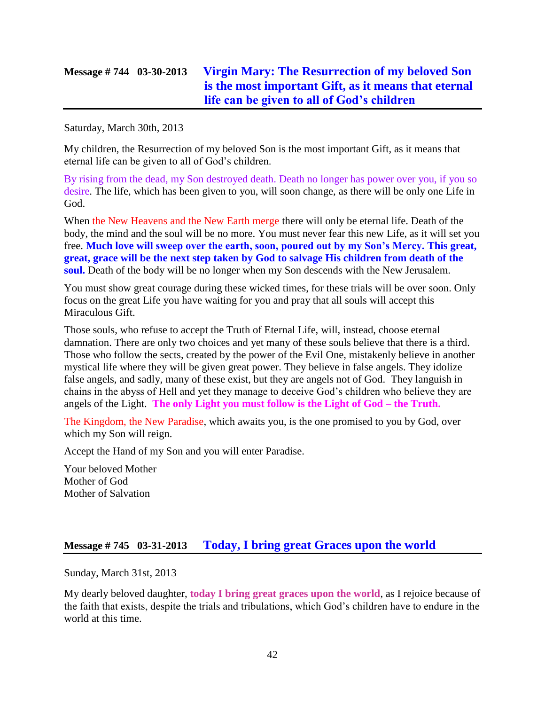## **Message # 744 03-30-2013 [Virgin Mary: The Resurrection of my beloved Son](http://www.thewarningsecondcoming.com/14723/)  [is the most important Gift, as it means that eternal](http://www.thewarningsecondcoming.com/14723/)  [life can be given to all of God's children](http://www.thewarningsecondcoming.com/14723/)**

Saturday, March 30th, 2013

My children, the Resurrection of my beloved Son is the most important Gift, as it means that eternal life can be given to all of God's children.

By rising from the dead, my Son destroyed death. Death no longer has power over you, if you so desire. The life, which has been given to you, will soon change, as there will be only one Life in God.

When the New Heavens and the New Earth merge there will only be eternal life. Death of the body, the mind and the soul will be no more. You must never fear this new Life, as it will set you free. **Much love will sweep over the earth, soon, poured out by my Son's Mercy. This great, great, grace will be the next step taken by God to salvage His children from death of the soul.** Death of the body will be no longer when my Son descends with the New Jerusalem.

You must show great courage during these wicked times, for these trials will be over soon. Only focus on the great Life you have waiting for you and pray that all souls will accept this Miraculous Gift.

Those souls, who refuse to accept the Truth of Eternal Life, will, instead, choose eternal damnation. There are only two choices and yet many of these souls believe that there is a third. Those who follow the sects, created by the power of the Evil One, mistakenly believe in another mystical life where they will be given great power. They believe in false angels. They idolize false angels, and sadly, many of these exist, but they are angels not of God. They languish in chains in the abyss of Hell and yet they manage to deceive God's children who believe they are angels of the Light. **The only Light you must follow is the Light of God – the Truth.**

The Kingdom, the New Paradise, which awaits you, is the one promised to you by God, over which my Son will reign.

Accept the Hand of my Son and you will enter Paradise.

Your beloved Mother Mother of God Mother of Salvation

### **Message # 745 03-31-2013 [Today, I bring great Graces upon the world](http://www.thewarningsecondcoming.com/today-i-bring-great-graces-upon-the-world/)**

Sunday, March 31st, 2013

My dearly beloved daughter, **today I bring great graces upon the world**, as I rejoice because of the faith that exists, despite the trials and tribulations, which God's children have to endure in the world at this time.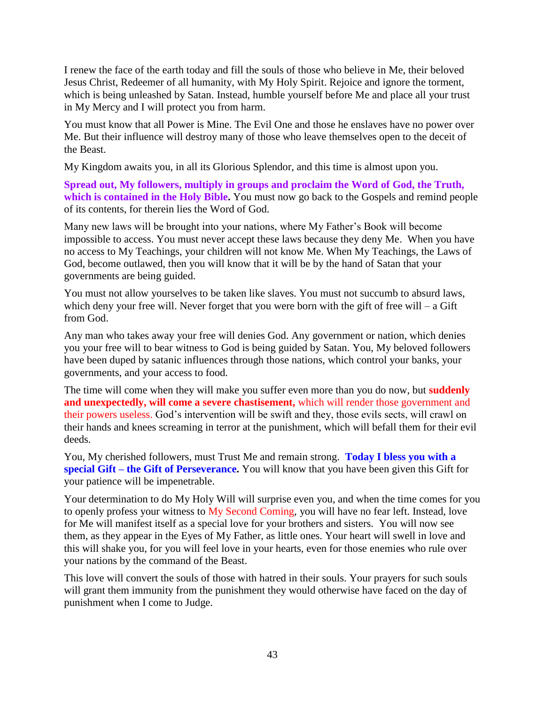I renew the face of the earth today and fill the souls of those who believe in Me, their beloved Jesus Christ, Redeemer of all humanity, with My Holy Spirit. Rejoice and ignore the torment, which is being unleashed by Satan. Instead, humble yourself before Me and place all your trust in My Mercy and I will protect you from harm.

You must know that all Power is Mine. The Evil One and those he enslaves have no power over Me. But their influence will destroy many of those who leave themselves open to the deceit of the Beast.

My Kingdom awaits you, in all its Glorious Splendor, and this time is almost upon you.

**Spread out, My followers, multiply in groups and proclaim the Word of God, the Truth, which is contained in the Holy Bible.** You must now go back to the Gospels and remind people of its contents, for therein lies the Word of God.

Many new laws will be brought into your nations, where My Father's Book will become impossible to access. You must never accept these laws because they deny Me. When you have no access to My Teachings, your children will not know Me. When My Teachings, the Laws of God, become outlawed, then you will know that it will be by the hand of Satan that your governments are being guided.

You must not allow yourselves to be taken like slaves. You must not succumb to absurd laws, which deny your free will. Never forget that you were born with the gift of free will  $-$  a Gift from God.

Any man who takes away your free will denies God. Any government or nation, which denies you your free will to bear witness to God is being guided by Satan. You, My beloved followers have been duped by satanic influences through those nations, which control your banks, your governments, and your access to food.

The time will come when they will make you suffer even more than you do now, but **suddenly and unexpectedly, will come a severe chastisement,** which will render those government and their powers useless. God's intervention will be swift and they, those evils sects, will crawl on their hands and knees screaming in terror at the punishment, which will befall them for their evil deeds.

You, My cherished followers, must Trust Me and remain strong. **Today I bless you with a special Gift – the Gift of Perseverance.** You will know that you have been given this Gift for your patience will be impenetrable.

Your determination to do My Holy Will will surprise even you, and when the time comes for you to openly profess your witness to My Second Coming, you will have no fear left. Instead, love for Me will manifest itself as a special love for your brothers and sisters. You will now see them, as they appear in the Eyes of My Father, as little ones. Your heart will swell in love and this will shake you, for you will feel love in your hearts, even for those enemies who rule over your nations by the command of the Beast.

This love will convert the souls of those with hatred in their souls. Your prayers for such souls will grant them immunity from the punishment they would otherwise have faced on the day of punishment when I come to Judge.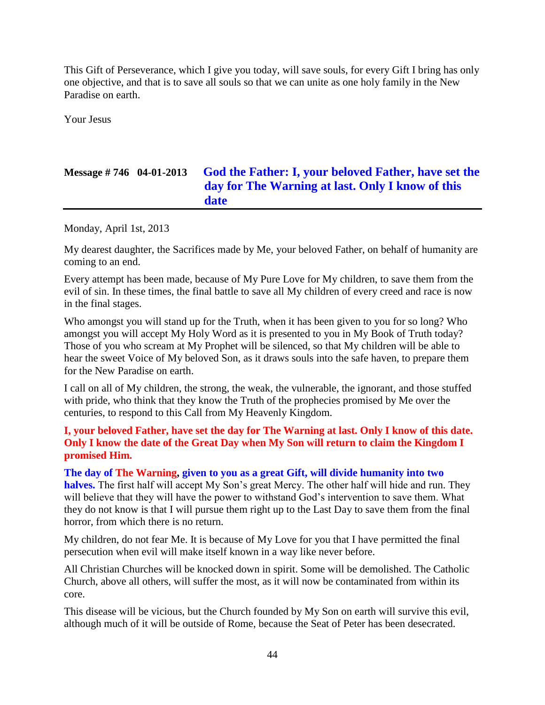This Gift of Perseverance, which I give you today, will save souls, for every Gift I bring has only one objective, and that is to save all souls so that we can unite as one holy family in the New Paradise on earth.

Your Jesus

## **Message # 746 04-01-2013 [God the Father: I, your beloved Father, have set the](http://www.thewarningsecondcoming.com/god-the-father-i-your-beloved-father-have-set-the-day-for-the-warning-at-last-only-i-know-of-this-date/)  [day for The Warning at last. Only I know of this](http://www.thewarningsecondcoming.com/god-the-father-i-your-beloved-father-have-set-the-day-for-the-warning-at-last-only-i-know-of-this-date/)  [date](http://www.thewarningsecondcoming.com/god-the-father-i-your-beloved-father-have-set-the-day-for-the-warning-at-last-only-i-know-of-this-date/)**

Monday, April 1st, 2013

My dearest daughter, the Sacrifices made by Me, your beloved Father, on behalf of humanity are coming to an end.

Every attempt has been made, because of My Pure Love for My children, to save them from the evil of sin. In these times, the final battle to save all My children of every creed and race is now in the final stages.

Who amongst you will stand up for the Truth, when it has been given to you for so long? Who amongst you will accept My Holy Word as it is presented to you in My Book of Truth today? Those of you who scream at My Prophet will be silenced, so that My children will be able to hear the sweet Voice of My beloved Son, as it draws souls into the safe haven, to prepare them for the New Paradise on earth.

I call on all of My children, the strong, the weak, the vulnerable, the ignorant, and those stuffed with pride, who think that they know the Truth of the prophecies promised by Me over the centuries, to respond to this Call from My Heavenly Kingdom.

#### **I, your beloved Father, have set the day for The Warning at last. Only I know of this date. Only I know the date of the Great Day when My Son will return to claim the Kingdom I promised Him.**

**The day of The Warning, given to you as a great Gift, will divide humanity into two halves.** The first half will accept My Son's great Mercy. The other half will hide and run. They will believe that they will have the power to withstand God's intervention to save them. What they do not know is that I will pursue them right up to the Last Day to save them from the final horror, from which there is no return.

My children, do not fear Me. It is because of My Love for you that I have permitted the final persecution when evil will make itself known in a way like never before.

All Christian Churches will be knocked down in spirit. Some will be demolished. The Catholic Church, above all others, will suffer the most, as it will now be contaminated from within its core.

This disease will be vicious, but the Church founded by My Son on earth will survive this evil, although much of it will be outside of Rome, because the Seat of Peter has been desecrated.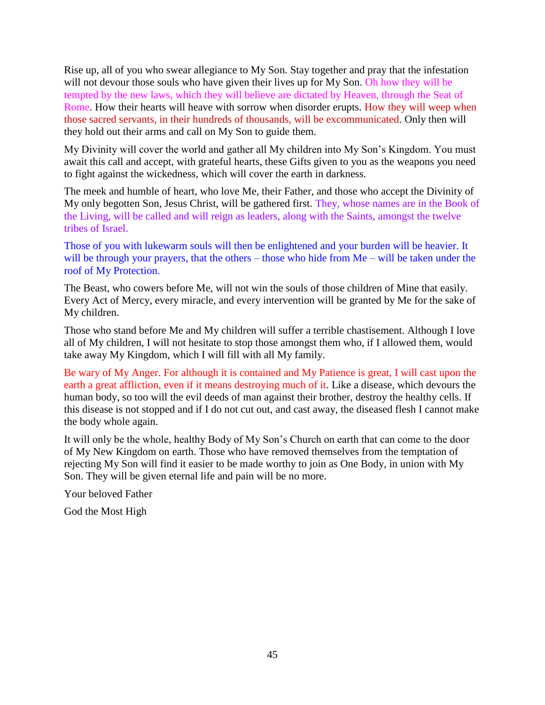Rise up, all of you who swear allegiance to My Son. Stay together and pray that the infestation will not devour those souls who have given their lives up for My Son. Oh how they will be tempted by the new laws, which they will believe are dictated by Heaven, through the Seat of Rome. How their hearts will heave with sorrow when disorder erupts. How they will weep when those sacred servants, in their hundreds of thousands, will be excommunicated. Only then will they hold out their arms and call on My Son to guide them.

My Divinity will cover the world and gather all My children into My Son's Kingdom. You must await this call and accept, with grateful hearts, these Gifts given to you as the weapons you need to fight against the wickedness, which will cover the earth in darkness.

The meek and humble of heart, who love Me, their Father, and those who accept the Divinity of My only begotten Son, Jesus Christ, will be gathered first. They, whose names are in the Book of the Living, will be called and will reign as leaders, along with the Saints, amongst the twelve tribes of Israel.

Those of you with lukewarm souls will then be enlightened and your burden will be heavier. It will be through your prayers, that the others – those who hide from Me – will be taken under the roof of My Protection.

The Beast, who cowers before Me, will not win the souls of those children of Mine that easily. Every Act of Mercy, every miracle, and every intervention will be granted by Me for the sake of My children.

Those who stand before Me and My children will suffer a terrible chastisement. Although I love all of My children, I will not hesitate to stop those amongst them who, if I allowed them, would take away My Kingdom, which I will fill with all My family.

Be wary of My Anger. For although it is contained and My Patience is great, I will cast upon the earth a great affliction, even if it means destroying much of it. Like a disease, which devours the human body, so too will the evil deeds of man against their brother, destroy the healthy cells. If this disease is not stopped and if I do not cut out, and cast away, the diseased flesh I cannot make the body whole again.

It will only be the whole, healthy Body of My Son's Church on earth that can come to the door of My New Kingdom on earth. Those who have removed themselves from the temptation of rejecting My Son will find it easier to be made worthy to join as One Body, in union with My Son. They will be given eternal life and pain will be no more.

Your beloved Father

God the Most High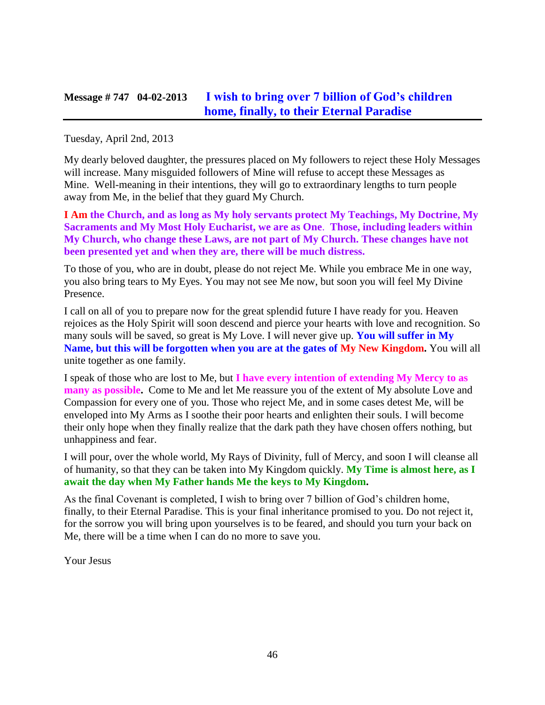### **Message # 747 04-02-2013 [I wish to bring over 7 billion of God's children](http://www.thewarningsecondcoming.com/i-wish-to-bring-over-7-billion-of-gods-children-home-finally-to-their-eternal-paradise/)  [home, finally, to their Eternal Paradise](http://www.thewarningsecondcoming.com/i-wish-to-bring-over-7-billion-of-gods-children-home-finally-to-their-eternal-paradise/)**

Tuesday, April 2nd, 2013

My dearly beloved daughter, the pressures placed on My followers to reject these Holy Messages will increase. Many misguided followers of Mine will refuse to accept these Messages as Mine. Well-meaning in their intentions, they will go to extraordinary lengths to turn people away from Me, in the belief that they guard My Church.

**I Am the Church, and as long as My holy servants protect My Teachings, My Doctrine, My Sacraments and My Most Holy Eucharist, we are as One**. **Those, including leaders within My Church, who change these Laws, are not part of My Church. These changes have not been presented yet and when they are, there will be much distress.**

To those of you, who are in doubt, please do not reject Me. While you embrace Me in one way, you also bring tears to My Eyes. You may not see Me now, but soon you will feel My Divine Presence.

I call on all of you to prepare now for the great splendid future I have ready for you. Heaven rejoices as the Holy Spirit will soon descend and pierce your hearts with love and recognition. So many souls will be saved, so great is My Love. I will never give up. **You will suffer in My Name, but this will be forgotten when you are at the gates of My New Kingdom.** You will all unite together as one family.

I speak of those who are lost to Me, but **I have every intention of extending My Mercy to as many as possible.** Come to Me and let Me reassure you of the extent of My absolute Love and Compassion for every one of you. Those who reject Me, and in some cases detest Me, will be enveloped into My Arms as I soothe their poor hearts and enlighten their souls. I will become their only hope when they finally realize that the dark path they have chosen offers nothing, but unhappiness and fear.

I will pour, over the whole world, My Rays of Divinity, full of Mercy, and soon I will cleanse all of humanity, so that they can be taken into My Kingdom quickly. **My Time is almost here, as I await the day when My Father hands Me the keys to My Kingdom.**

As the final Covenant is completed, I wish to bring over 7 billion of God's children home, finally, to their Eternal Paradise. This is your final inheritance promised to you. Do not reject it, for the sorrow you will bring upon yourselves is to be feared, and should you turn your back on Me, there will be a time when I can do no more to save you.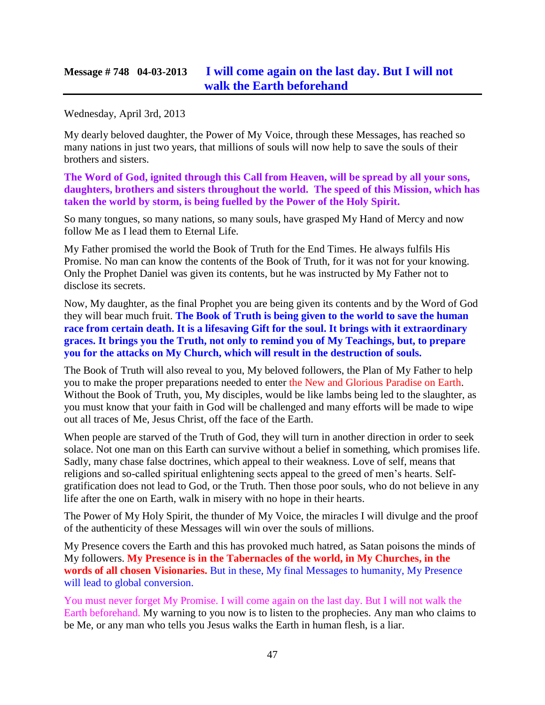## **Message # 748 04-03-2013 [I will come again on the last day. But I will not](http://www.thewarningsecondcoming.com/i-will-come-again-on-the-last-day-but-i-will-not-walk-the-earth-beforehand/)  [walk the Earth beforehand](http://www.thewarningsecondcoming.com/i-will-come-again-on-the-last-day-but-i-will-not-walk-the-earth-beforehand/)**

Wednesday, April 3rd, 2013

My dearly beloved daughter, the Power of My Voice, through these Messages, has reached so many nations in just two years, that millions of souls will now help to save the souls of their brothers and sisters.

**The Word of God, ignited through this Call from Heaven, will be spread by all your sons, daughters, brothers and sisters throughout the world. The speed of this Mission, which has taken the world by storm, is being fuelled by the Power of the Holy Spirit.**

So many tongues, so many nations, so many souls, have grasped My Hand of Mercy and now follow Me as I lead them to Eternal Life.

My Father promised the world the Book of Truth for the End Times. He always fulfils His Promise. No man can know the contents of the Book of Truth, for it was not for your knowing. Only the Prophet Daniel was given its contents, but he was instructed by My Father not to disclose its secrets.

Now, My daughter, as the final Prophet you are being given its contents and by the Word of God they will bear much fruit. **The Book of Truth is being given to the world to save the human race from certain death. It is a lifesaving Gift for the soul. It brings with it extraordinary graces. It brings you the Truth, not only to remind you of My Teachings, but, to prepare you for the attacks on My Church, which will result in the destruction of souls.**

The Book of Truth will also reveal to you, My beloved followers, the Plan of My Father to help you to make the proper preparations needed to enter the New and Glorious Paradise on Earth. Without the Book of Truth, you, My disciples, would be like lambs being led to the slaughter, as you must know that your faith in God will be challenged and many efforts will be made to wipe out all traces of Me, Jesus Christ, off the face of the Earth.

When people are starved of the Truth of God, they will turn in another direction in order to seek solace. Not one man on this Earth can survive without a belief in something, which promises life. Sadly, many chase false doctrines, which appeal to their weakness. Love of self, means that religions and so-called spiritual enlightening sects appeal to the greed of men's hearts. Selfgratification does not lead to God, or the Truth. Then those poor souls, who do not believe in any life after the one on Earth, walk in misery with no hope in their hearts.

The Power of My Holy Spirit, the thunder of My Voice, the miracles I will divulge and the proof of the authenticity of these Messages will win over the souls of millions.

My Presence covers the Earth and this has provoked much hatred, as Satan poisons the minds of My followers. **My Presence is in the Tabernacles of the world, in My Churches, in the words of all chosen Visionaries.** But in these, My final Messages to humanity, My Presence will lead to global conversion.

You must never forget My Promise. I will come again on the last day. But I will not walk the Earth beforehand. My warning to you now is to listen to the prophecies. Any man who claims to be Me, or any man who tells you Jesus walks the Earth in human flesh, is a liar.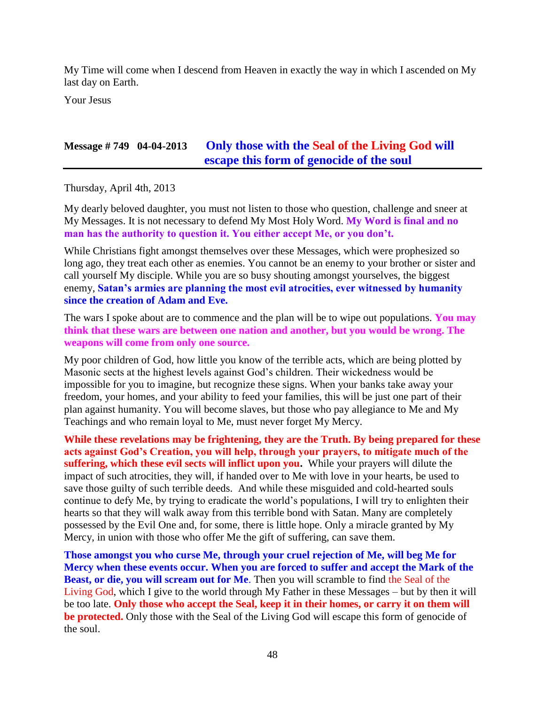My Time will come when I descend from Heaven in exactly the way in which I ascended on My last day on Earth.

Your Jesus

## **Message # 749 04-04-2013 Only those with the [Seal of the Living God](http://www.thewarningsecondcoming.com/only-those-with-the-seal-of-the-living-god-will-escape-this-form-of-genocide-of-the-soul/) will [escape this form of genocide of the soul](http://www.thewarningsecondcoming.com/only-those-with-the-seal-of-the-living-god-will-escape-this-form-of-genocide-of-the-soul/)**

Thursday, April 4th, 2013

My dearly beloved daughter, you must not listen to those who question, challenge and sneer at My Messages. It is not necessary to defend My Most Holy Word. **My Word is final and no man has the authority to question it. You either accept Me, or you don't.**

While Christians fight amongst themselves over these Messages, which were prophesized so long ago, they treat each other as enemies. You cannot be an enemy to your brother or sister and call yourself My disciple. While you are so busy shouting amongst yourselves, the biggest enemy, **Satan's armies are planning the most evil atrocities, ever witnessed by humanity since the creation of Adam and Eve.**

The wars I spoke about are to commence and the plan will be to wipe out populations. **You may think that these wars are between one nation and another, but you would be wrong. The weapons will come from only one source.**

My poor children of God, how little you know of the terrible acts, which are being plotted by Masonic sects at the highest levels against God's children. Their wickedness would be impossible for you to imagine, but recognize these signs. When your banks take away your freedom, your homes, and your ability to feed your families, this will be just one part of their plan against humanity. You will become slaves, but those who pay allegiance to Me and My Teachings and who remain loyal to Me, must never forget My Mercy.

**While these revelations may be frightening, they are the Truth. By being prepared for these acts against God's Creation, you will help, through your prayers, to mitigate much of the suffering, which these evil sects will inflict upon you.** While your prayers will dilute the impact of such atrocities, they will, if handed over to Me with love in your hearts, be used to save those guilty of such terrible deeds. And while these misguided and cold-hearted souls continue to defy Me, by trying to eradicate the world's populations, I will try to enlighten their hearts so that they will walk away from this terrible bond with Satan. Many are completely possessed by the Evil One and, for some, there is little hope. Only a miracle granted by My Mercy, in union with those who offer Me the gift of suffering, can save them.

**Those amongst you who curse Me, through your cruel rejection of Me, will beg Me for Mercy when these events occur. When you are forced to suffer and accept the Mark of the Beast, or die, you will scream out for Me**. Then you will scramble to find the Seal of the Living God, which I give to the world through My Father in these Messages – but by then it will be too late. **Only those who accept the Seal, keep it in their homes, or carry it on them will be protected.** Only those with the Seal of the Living God will escape this form of genocide of the soul.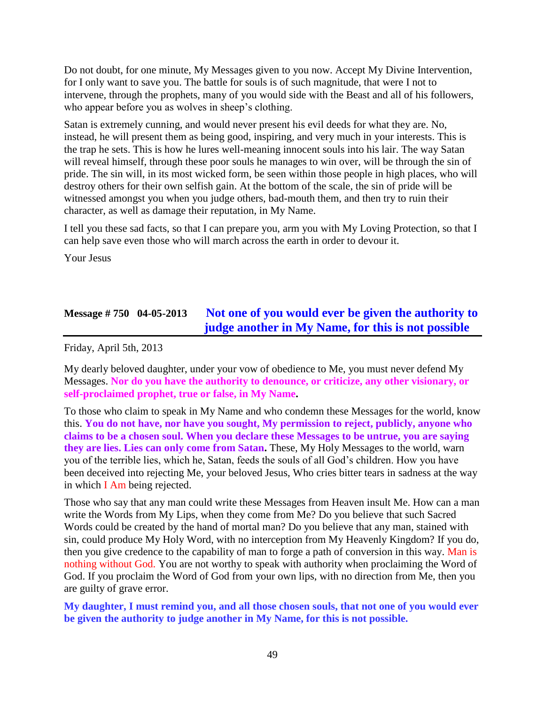Do not doubt, for one minute, My Messages given to you now. Accept My Divine Intervention, for I only want to save you. The battle for souls is of such magnitude, that were I not to intervene, through the prophets, many of you would side with the Beast and all of his followers, who appear before you as wolves in sheep's clothing.

Satan is extremely cunning, and would never present his evil deeds for what they are. No, instead, he will present them as being good, inspiring, and very much in your interests. This is the trap he sets. This is how he lures well-meaning innocent souls into his lair. The way Satan will reveal himself, through these poor souls he manages to win over, will be through the sin of pride. The sin will, in its most wicked form, be seen within those people in high places, who will destroy others for their own selfish gain. At the bottom of the scale, the sin of pride will be witnessed amongst you when you judge others, bad-mouth them, and then try to ruin their character, as well as damage their reputation, in My Name.

I tell you these sad facts, so that I can prepare you, arm you with My Loving Protection, so that I can help save even those who will march across the earth in order to devour it.

Your Jesus

## **Message # 750 04-05-2013 [Not one of you would ever be given the authority to](http://www.thewarningsecondcoming.com/not-one-of-you-would-ever-be-given-the-authority-to-judge-another-in-my-name-for-this-is-not-possible/)  [judge another in My Name, for this is not possible](http://www.thewarningsecondcoming.com/not-one-of-you-would-ever-be-given-the-authority-to-judge-another-in-my-name-for-this-is-not-possible/)**

Friday, April 5th, 2013

My dearly beloved daughter, under your vow of obedience to Me, you must never defend My Messages. **Nor do you have the authority to denounce, or criticize, any other visionary, or self-proclaimed prophet, true or false, in My Name.**

To those who claim to speak in My Name and who condemn these Messages for the world, know this. **You do not have, nor have you sought, My permission to reject, publicly, anyone who claims to be a chosen soul. When you declare these Messages to be untrue, you are saying they are lies. Lies can only come from Satan.** These, My Holy Messages to the world, warn you of the terrible lies, which he, Satan, feeds the souls of all God's children. How you have been deceived into rejecting Me, your beloved Jesus, Who cries bitter tears in sadness at the way in which I Am being rejected.

Those who say that any man could write these Messages from Heaven insult Me. How can a man write the Words from My Lips, when they come from Me? Do you believe that such Sacred Words could be created by the hand of mortal man? Do you believe that any man, stained with sin, could produce My Holy Word, with no interception from My Heavenly Kingdom? If you do, then you give credence to the capability of man to forge a path of conversion in this way. Man is nothing without God. You are not worthy to speak with authority when proclaiming the Word of God. If you proclaim the Word of God from your own lips, with no direction from Me, then you are guilty of grave error.

#### **My daughter, I must remind you, and all those chosen souls, that not one of you would ever be given the authority to judge another in My Name, for this is not possible.**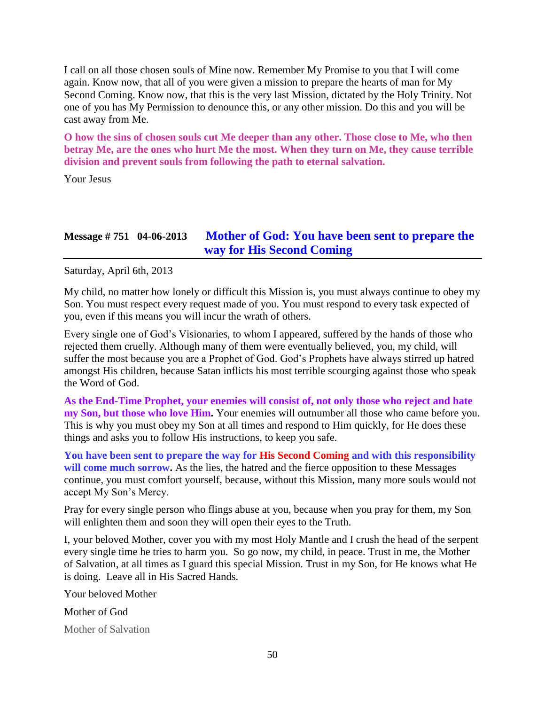I call on all those chosen souls of Mine now. Remember My Promise to you that I will come again. Know now, that all of you were given a mission to prepare the hearts of man for My Second Coming. Know now, that this is the very last Mission, dictated by the Holy Trinity. Not one of you has My Permission to denounce this, or any other mission. Do this and you will be cast away from Me.

**O how the sins of chosen souls cut Me deeper than any other. Those close to Me, who then betray Me, are the ones who hurt Me the most. When they turn on Me, they cause terrible division and prevent souls from following the path to eternal salvation.**

Your Jesus

## **Message # 751 04-06-2013 [Mother of God: You have been sent to prepare the](http://www.thewarningsecondcoming.com/mother-of-god-you-have-been-sent-to-prepare-the-way-for-his-second-coming/)  [way for His Second Coming](http://www.thewarningsecondcoming.com/mother-of-god-you-have-been-sent-to-prepare-the-way-for-his-second-coming/)**

Saturday, April 6th, 2013

My child, no matter how lonely or difficult this Mission is, you must always continue to obey my Son. You must respect every request made of you. You must respond to every task expected of you, even if this means you will incur the wrath of others.

Every single one of God's Visionaries, to whom I appeared, suffered by the hands of those who rejected them cruelly. Although many of them were eventually believed, you, my child, will suffer the most because you are a Prophet of God. God's Prophets have always stirred up hatred amongst His children, because Satan inflicts his most terrible scourging against those who speak the Word of God.

**As the End-Time Prophet, your enemies will consist of, not only those who reject and hate my Son, but those who love Him.** Your enemies will outnumber all those who came before you. This is why you must obey my Son at all times and respond to Him quickly, for He does these things and asks you to follow His instructions, to keep you safe.

**You have been sent to prepare the way for His Second Coming and with this responsibility**  will come much sorrow. As the lies, the hatred and the fierce opposition to these Messages continue, you must comfort yourself, because, without this Mission, many more souls would not accept My Son's Mercy.

Pray for every single person who flings abuse at you, because when you pray for them, my Son will enlighten them and soon they will open their eyes to the Truth.

I, your beloved Mother, cover you with my most Holy Mantle and I crush the head of the serpent every single time he tries to harm you. So go now, my child, in peace. Trust in me, the Mother of Salvation, at all times as I guard this special Mission. Trust in my Son, for He knows what He is doing. Leave all in His Sacred Hands.

Your beloved Mother

Mother of God

Mother of Salvation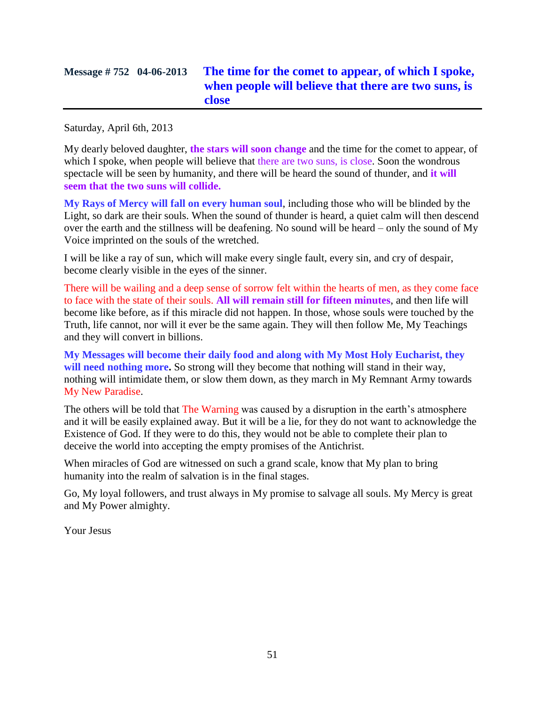# **Message # 752 04-06-2013 [The time for the comet to appear, of which I spoke,](http://www.thewarningsecondcoming.com/the-time-for-the-comet-to-appear-of-which-i-spoke-when-people-will-believe-that-there-are-two-suns-is-close/)  [when people will believe that there are two](http://www.thewarningsecondcoming.com/the-time-for-the-comet-to-appear-of-which-i-spoke-when-people-will-believe-that-there-are-two-suns-is-close/) suns, is [close](http://www.thewarningsecondcoming.com/the-time-for-the-comet-to-appear-of-which-i-spoke-when-people-will-believe-that-there-are-two-suns-is-close/)**

Saturday, April 6th, 2013

My dearly beloved daughter, **the stars will soon change** and the time for the comet to appear, of which I spoke, when people will believe that there are two suns, is close. Soon the wondrous spectacle will be seen by humanity, and there will be heard the sound of thunder, and **it will seem that the two suns will collide.**

**My Rays of Mercy will fall on every human soul**, including those who will be blinded by the Light, so dark are their souls. When the sound of thunder is heard, a quiet calm will then descend over the earth and the stillness will be deafening. No sound will be heard – only the sound of My Voice imprinted on the souls of the wretched.

I will be like a ray of sun, which will make every single fault, every sin, and cry of despair, become clearly visible in the eyes of the sinner.

There will be wailing and a deep sense of sorrow felt within the hearts of men, as they come face to face with the state of their souls. **All will remain still for fifteen minutes**, and then life will become like before, as if this miracle did not happen. In those, whose souls were touched by the Truth, life cannot, nor will it ever be the same again. They will then follow Me, My Teachings and they will convert in billions.

**My Messages will become their daily food and along with My Most Holy Eucharist, they**  will need nothing more. So strong will they become that nothing will stand in their way, nothing will intimidate them, or slow them down, as they march in My Remnant Army towards My New Paradise.

The others will be told that The Warning was caused by a disruption in the earth's atmosphere and it will be easily explained away. But it will be a lie, for they do not want to acknowledge the Existence of God. If they were to do this, they would not be able to complete their plan to deceive the world into accepting the empty promises of the Antichrist.

When miracles of God are witnessed on such a grand scale, know that My plan to bring humanity into the realm of salvation is in the final stages.

Go, My loyal followers, and trust always in My promise to salvage all souls. My Mercy is great and My Power almighty.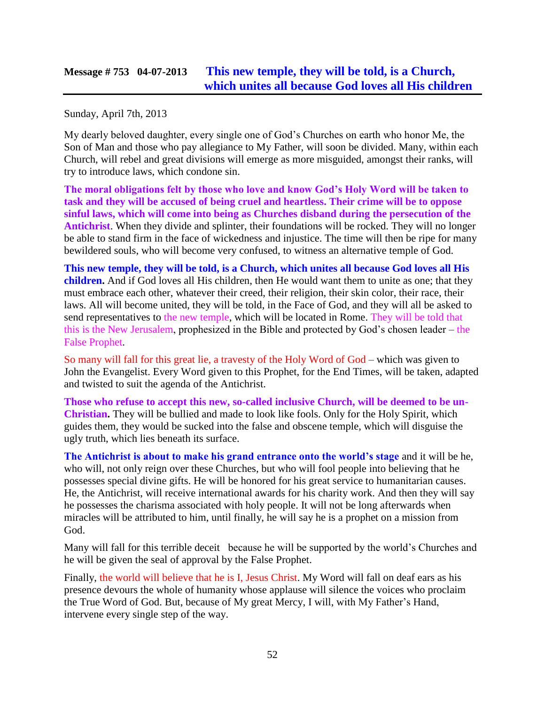## **Message # 753 04-07-2013 [This new temple, they will be told, is a Church,](http://www.thewarningsecondcoming.com/this-new-temple-they-will-be-told-is-a-church-which-unites-all-because-god-loves-all-his-children/)  [which unites all because God loves all His children](http://www.thewarningsecondcoming.com/this-new-temple-they-will-be-told-is-a-church-which-unites-all-because-god-loves-all-his-children/)**

Sunday, April 7th, 2013

My dearly beloved daughter, every single one of God's Churches on earth who honor Me, the Son of Man and those who pay allegiance to My Father, will soon be divided. Many, within each Church, will rebel and great divisions will emerge as more misguided, amongst their ranks, will try to introduce laws, which condone sin.

**The moral obligations felt by those who love and know God's Holy Word will be taken to task and they will be accused of being cruel and heartless. Their crime will be to oppose sinful laws, which will come into being as Churches disband during the persecution of the Antichrist**. When they divide and splinter, their foundations will be rocked. They will no longer be able to stand firm in the face of wickedness and injustice. The time will then be ripe for many bewildered souls, who will become very confused, to witness an alternative temple of God.

**This new temple, they will be told, is a Church, which unites all because God loves all His children.** And if God loves all His children, then He would want them to unite as one; that they must embrace each other, whatever their creed, their religion, their skin color, their race, their laws. All will become united, they will be told, in the Face of God, and they will all be asked to send representatives to the new temple, which will be located in Rome. They will be told that this is the New Jerusalem, prophesized in the Bible and protected by God's chosen leader – the False Prophet.

So many will fall for this great lie, a travesty of the Holy Word of God – which was given to John the Evangelist. Every Word given to this Prophet, for the End Times, will be taken, adapted and twisted to suit the agenda of the Antichrist.

**Those who refuse to accept this new, so-called inclusive Church, will be deemed to be un-Christian.** They will be bullied and made to look like fools. Only for the Holy Spirit, which guides them, they would be sucked into the false and obscene temple, which will disguise the ugly truth, which lies beneath its surface.

**The Antichrist is about to make his grand entrance onto the world's stage** and it will be he, who will, not only reign over these Churches, but who will fool people into believing that he possesses special divine gifts. He will be honored for his great service to humanitarian causes. He, the Antichrist, will receive international awards for his charity work. And then they will say he possesses the charisma associated with holy people. It will not be long afterwards when miracles will be attributed to him, until finally, he will say he is a prophet on a mission from God.

Many will fall for this terrible deceit because he will be supported by the world's Churches and he will be given the seal of approval by the False Prophet.

Finally, the world will believe that he is I, Jesus Christ. My Word will fall on deaf ears as his presence devours the whole of humanity whose applause will silence the voices who proclaim the True Word of God. But, because of My great Mercy, I will, with My Father's Hand, intervene every single step of the way.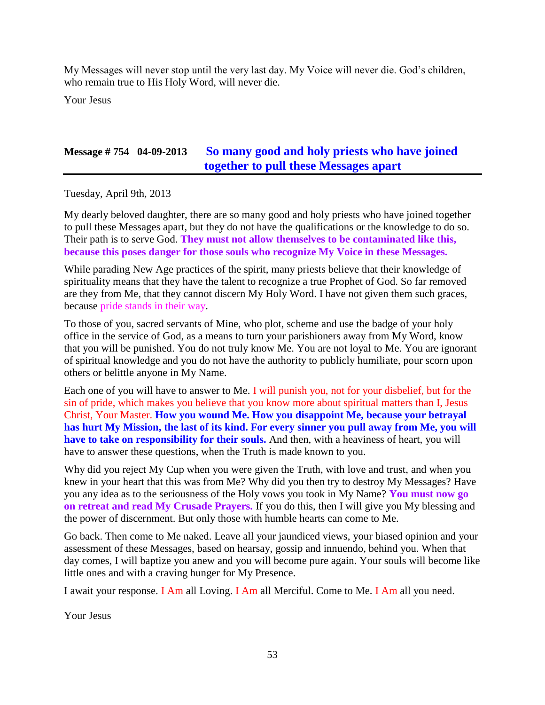My Messages will never stop until the very last day. My Voice will never die. God's children, who remain true to His Holy Word, will never die.

Your Jesus

### **Message # 754 04-09-2013 So many good and [holy priests who have joined](http://www.thewarningsecondcoming.com/so-many-good-and-holy-priests-who-have-joined-together-to-pull-these-messages-apart/)  [together to pull these Messages apart](http://www.thewarningsecondcoming.com/so-many-good-and-holy-priests-who-have-joined-together-to-pull-these-messages-apart/)**

Tuesday, April 9th, 2013

My dearly beloved daughter, there are so many good and holy priests who have joined together to pull these Messages apart, but they do not have the qualifications or the knowledge to do so. Their path is to serve God. **They must not allow themselves to be contaminated like this, because this poses danger for those souls who recognize My Voice in these Messages.**

While parading New Age practices of the spirit, many priests believe that their knowledge of spirituality means that they have the talent to recognize a true Prophet of God. So far removed are they from Me, that they cannot discern My Holy Word. I have not given them such graces, because pride stands in their way.

To those of you, sacred servants of Mine, who plot, scheme and use the badge of your holy office in the service of God, as a means to turn your parishioners away from My Word, know that you will be punished. You do not truly know Me. You are not loyal to Me. You are ignorant of spiritual knowledge and you do not have the authority to publicly humiliate, pour scorn upon others or belittle anyone in My Name.

Each one of you will have to answer to Me. I will punish you, not for your disbelief, but for the sin of pride, which makes you believe that you know more about spiritual matters than I, Jesus Christ, Your Master. **How you wound Me. How you disappoint Me, because your betrayal has hurt My Mission, the last of its kind. For every sinner you pull away from Me, you will have to take on responsibility for their souls.** And then, with a heaviness of heart, you will have to answer these questions, when the Truth is made known to you.

Why did you reject My Cup when you were given the Truth, with love and trust, and when you knew in your heart that this was from Me? Why did you then try to destroy My Messages? Have you any idea as to the seriousness of the Holy vows you took in My Name? **You must now go on retreat and read My Crusade Prayers.** If you do this, then I will give you My blessing and the power of discernment. But only those with humble hearts can come to Me.

Go back. Then come to Me naked. Leave all your jaundiced views, your biased opinion and your assessment of these Messages, based on hearsay, gossip and innuendo, behind you. When that day comes, I will baptize you anew and you will become pure again. Your souls will become like little ones and with a craving hunger for My Presence.

I await your response. I Am all Loving. I Am all Merciful. Come to Me. I Am all you need.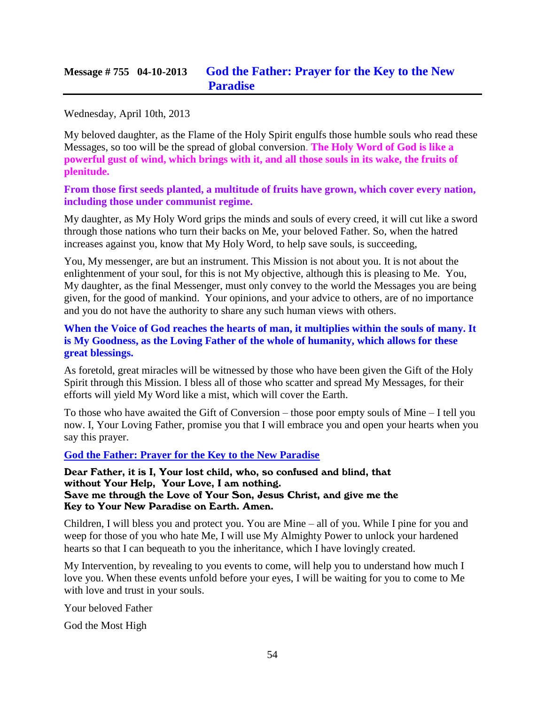## **Message # 755 04-10-2013 [God the Father: Prayer for the Key to the New](http://www.thewarningsecondcoming.com/god-the-father-prayer-for-the-key-to-the-new-paradise/)  [Paradise](http://www.thewarningsecondcoming.com/god-the-father-prayer-for-the-key-to-the-new-paradise/)**

#### Wednesday, April 10th, 2013

My beloved daughter, as the Flame of the Holy Spirit engulfs those humble souls who read these Messages, so too will be the spread of global conversion. **The Holy Word of God is like a powerful gust of wind, which brings with it, and all those souls in its wake, the fruits of plenitude.**

**From those first seeds planted, a multitude of fruits have grown, which cover every nation, including those under communist regime.**

My daughter, as My Holy Word grips the minds and souls of every creed, it will cut like a sword through those nations who turn their backs on Me, your beloved Father. So, when the hatred increases against you, know that My Holy Word, to help save souls, is succeeding,

You, My messenger, are but an instrument. This Mission is not about you. It is not about the enlightenment of your soul, for this is not My objective, although this is pleasing to Me. You, My daughter, as the final Messenger, must only convey to the world the Messages you are being given, for the good of mankind. Your opinions, and your advice to others, are of no importance and you do not have the authority to share any such human views with others.

#### **When the Voice of God reaches the hearts of man, it multiplies within the souls of many. It is My Goodness, as the Loving Father of the whole of humanity, which allows for these great blessings.**

As foretold, great miracles will be witnessed by those who have been given the Gift of the Holy Spirit through this Mission. I bless all of those who scatter and spread My Messages, for their efforts will yield My Word like a mist, which will cover the Earth.

To those who have awaited the Gift of Conversion – those poor empty souls of Mine – I tell you now. I, Your Loving Father, promise you that I will embrace you and open your hearts when you say this prayer.

**God the Father: Prayer for the Key to the New Paradise**

Dear Father, it is I, Your lost child, who, so confused and blind, that without Your Help, Your Love, I am nothing. Save me through the Love of Your Son, Jesus Christ, and give me the Key to Your New Paradise on Earth. Amen.

Children, I will bless you and protect you. You are Mine – all of you. While I pine for you and weep for those of you who hate Me, I will use My Almighty Power to unlock your hardened hearts so that I can bequeath to you the inheritance, which I have lovingly created.

My Intervention, by revealing to you events to come, will help you to understand how much I love you. When these events unfold before your eyes, I will be waiting for you to come to Me with love and trust in your souls.

Your beloved Father

God the Most High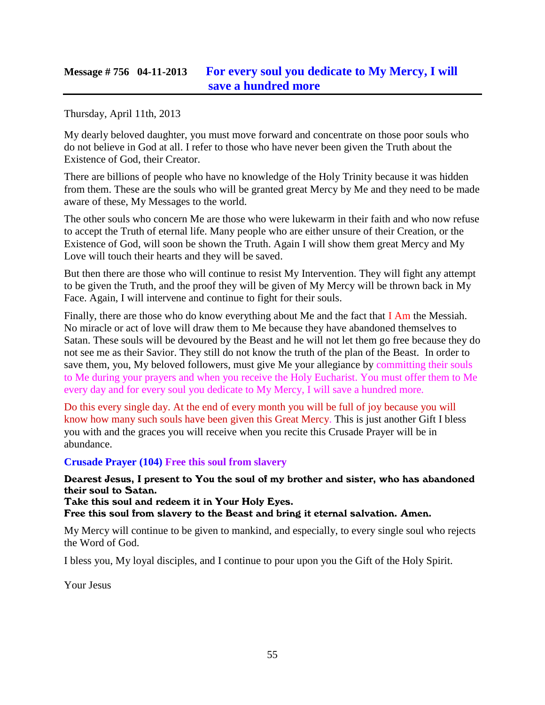## **Message # 756 04-11-2013 [For every soul you dedicate to My Mercy, I will](http://www.thewarningsecondcoming.com/for-every-soul-you-dedicate-to-my-mercy-i-will-save-a-hundred-more-3/)  [save a hundred more](http://www.thewarningsecondcoming.com/for-every-soul-you-dedicate-to-my-mercy-i-will-save-a-hundred-more-3/)**

Thursday, April 11th, 2013

My dearly beloved daughter, you must move forward and concentrate on those poor souls who do not believe in God at all. I refer to those who have never been given the Truth about the Existence of God, their Creator.

There are billions of people who have no knowledge of the Holy Trinity because it was hidden from them. These are the souls who will be granted great Mercy by Me and they need to be made aware of these, My Messages to the world.

The other souls who concern Me are those who were lukewarm in their faith and who now refuse to accept the Truth of eternal life. Many people who are either unsure of their Creation, or the Existence of God, will soon be shown the Truth. Again I will show them great Mercy and My Love will touch their hearts and they will be saved.

But then there are those who will continue to resist My Intervention. They will fight any attempt to be given the Truth, and the proof they will be given of My Mercy will be thrown back in My Face. Again, I will intervene and continue to fight for their souls.

Finally, there are those who do know everything about Me and the fact that I Am the Messiah. No miracle or act of love will draw them to Me because they have abandoned themselves to Satan. These souls will be devoured by the Beast and he will not let them go free because they do not see me as their Savior. They still do not know the truth of the plan of the Beast. In order to save them, you, My beloved followers, must give Me your allegiance by committing their souls to Me during your prayers and when you receive the Holy Eucharist. You must offer them to Me every day and for every soul you dedicate to My Mercy, I will save a hundred more.

Do this every single day. At the end of every month you will be full of joy because you will know how many such souls have been given this Great Mercy. This is just another Gift I bless you with and the graces you will receive when you recite this Crusade Prayer will be in abundance.

#### **Crusade Prayer (104) Free this soul from slavery**

#### Dearest Jesus, I present to You the soul of my brother and sister, who has abandoned their soul to Satan.

Take this soul and redeem it in Your Holy Eyes.

Free this soul from slavery to the Beast and bring it eternal salvation. Amen.

My Mercy will continue to be given to mankind, and especially, to every single soul who rejects the Word of God.

I bless you, My loyal disciples, and I continue to pour upon you the Gift of the Holy Spirit.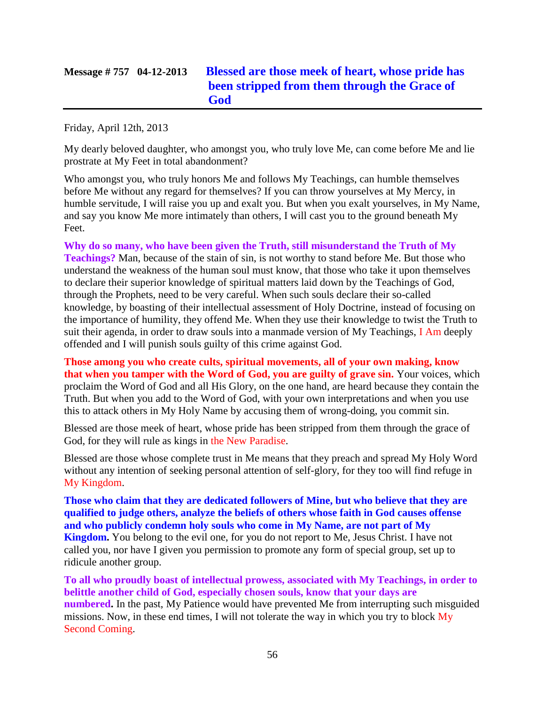# **Message # 757 04-12-2013 [Blessed are those meek of heart, whose pride has](http://www.thewarningsecondcoming.com/blessed-are-those-meek-of-heart-whose-pride-has-been-stripped-from-them-through-the-grace-of-god/)  [been stripped from them](http://www.thewarningsecondcoming.com/blessed-are-those-meek-of-heart-whose-pride-has-been-stripped-from-them-through-the-grace-of-god/) through the Grace of [God](http://www.thewarningsecondcoming.com/blessed-are-those-meek-of-heart-whose-pride-has-been-stripped-from-them-through-the-grace-of-god/)**

Friday, April 12th, 2013

My dearly beloved daughter, who amongst you, who truly love Me, can come before Me and lie prostrate at My Feet in total abandonment?

Who amongst you, who truly honors Me and follows My Teachings, can humble themselves before Me without any regard for themselves? If you can throw yourselves at My Mercy, in humble servitude, I will raise you up and exalt you. But when you exalt yourselves, in My Name, and say you know Me more intimately than others, I will cast you to the ground beneath My Feet.

**Why do so many, who have been given the Truth, still misunderstand the Truth of My Teachings?** Man, because of the stain of sin, is not worthy to stand before Me. But those who understand the weakness of the human soul must know, that those who take it upon themselves to declare their superior knowledge of spiritual matters laid down by the Teachings of God, through the Prophets, need to be very careful. When such souls declare their so-called knowledge, by boasting of their intellectual assessment of Holy Doctrine, instead of focusing on the importance of humility, they offend Me. When they use their knowledge to twist the Truth to suit their agenda, in order to draw souls into a manmade version of My Teachings, I Am deeply offended and I will punish souls guilty of this crime against God.

**Those among you who create cults, spiritual movements, all of your own making, know that when you tamper with the Word of God, you are guilty of grave sin.** Your voices, which proclaim the Word of God and all His Glory, on the one hand, are heard because they contain the Truth. But when you add to the Word of God, with your own interpretations and when you use this to attack others in My Holy Name by accusing them of wrong-doing, you commit sin.

Blessed are those meek of heart, whose pride has been stripped from them through the grace of God, for they will rule as kings in the New Paradise.

Blessed are those whose complete trust in Me means that they preach and spread My Holy Word without any intention of seeking personal attention of self-glory, for they too will find refuge in My Kingdom.

**Those who claim that they are dedicated followers of Mine, but who believe that they are qualified to judge others, analyze the beliefs of others whose faith in God causes offense and who publicly condemn holy souls who come in My Name, are not part of My Kingdom.** You belong to the evil one, for you do not report to Me, Jesus Christ. I have not called you, nor have I given you permission to promote any form of special group, set up to ridicule another group.

**To all who proudly boast of intellectual prowess, associated with My Teachings, in order to belittle another child of God, especially chosen souls, know that your days are numbered.** In the past, My Patience would have prevented Me from interrupting such misguided missions. Now, in these end times, I will not tolerate the way in which you try to block My Second Coming.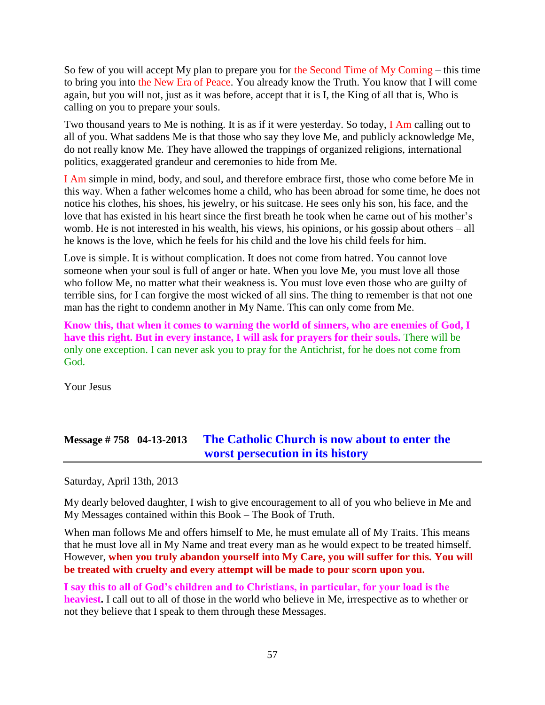So few of you will accept My plan to prepare you for the Second Time of My Coming – this time to bring you into the New Era of Peace. You already know the Truth. You know that I will come again, but you will not, just as it was before, accept that it is I, the King of all that is, Who is calling on you to prepare your souls.

Two thousand years to Me is nothing. It is as if it were yesterday. So today, I Am calling out to all of you. What saddens Me is that those who say they love Me, and publicly acknowledge Me, do not really know Me. They have allowed the trappings of organized religions, international politics, exaggerated grandeur and ceremonies to hide from Me.

I Am simple in mind, body, and soul, and therefore embrace first, those who come before Me in this way. When a father welcomes home a child, who has been abroad for some time, he does not notice his clothes, his shoes, his jewelry, or his suitcase. He sees only his son, his face, and the love that has existed in his heart since the first breath he took when he came out of his mother's womb. He is not interested in his wealth, his views, his opinions, or his gossip about others – all he knows is the love, which he feels for his child and the love his child feels for him.

Love is simple. It is without complication. It does not come from hatred. You cannot love someone when your soul is full of anger or hate. When you love Me, you must love all those who follow Me, no matter what their weakness is. You must love even those who are guilty of terrible sins, for I can forgive the most wicked of all sins. The thing to remember is that not one man has the right to condemn another in My Name. This can only come from Me.

**Know this, that when it comes to warning the world of sinners, who are enemies of God, I have this right. But in every instance, I will ask for prayers for their souls.** There will be only one exception. I can never ask you to pray for the Antichrist, for he does not come from God.

Your Jesus

# **Message # 758 04-13-2013 [The Catholic Church is now about to enter the](http://www.thewarningsecondcoming.com/the-catholic-church-is-now-about-to-enter-the-worst-persecution-in-its-history/)  [worst persecution in its history](http://www.thewarningsecondcoming.com/the-catholic-church-is-now-about-to-enter-the-worst-persecution-in-its-history/)**

Saturday, April 13th, 2013

My dearly beloved daughter, I wish to give encouragement to all of you who believe in Me and My Messages contained within this Book – The Book of Truth.

When man follows Me and offers himself to Me, he must emulate all of My Traits. This means that he must love all in My Name and treat every man as he would expect to be treated himself. However, **when you truly abandon yourself into My Care, you will suffer for this. You will be treated with cruelty and every attempt will be made to pour scorn upon you.**

**I say this to all of God's children and to Christians, in particular, for your load is the heaviest.** I call out to all of those in the world who believe in Me, irrespective as to whether or not they believe that I speak to them through these Messages.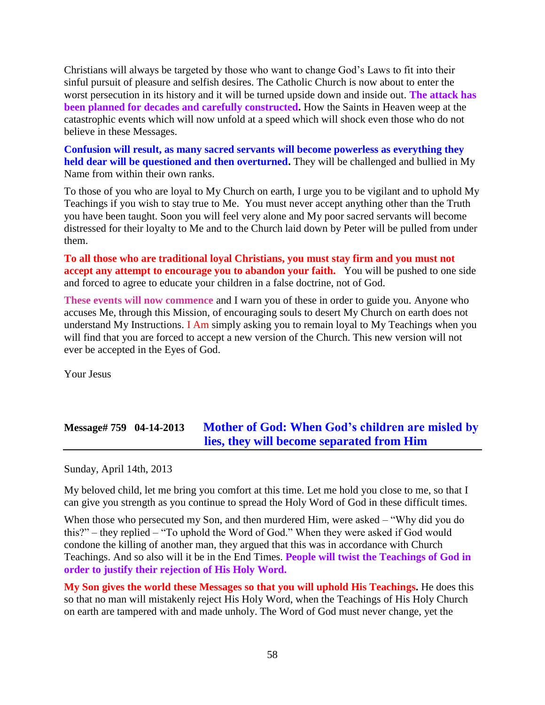Christians will always be targeted by those who want to change God's Laws to fit into their sinful pursuit of pleasure and selfish desires. The Catholic Church is now about to enter the worst persecution in its history and it will be turned upside down and inside out. **The attack has been planned for decades and carefully constructed.** How the Saints in Heaven weep at the catastrophic events which will now unfold at a speed which will shock even those who do not believe in these Messages.

**Confusion will result, as many sacred servants will become powerless as everything they held dear will be questioned and then overturned.** They will be challenged and bullied in My Name from within their own ranks.

To those of you who are loyal to My Church on earth, I urge you to be vigilant and to uphold My Teachings if you wish to stay true to Me. You must never accept anything other than the Truth you have been taught. Soon you will feel very alone and My poor sacred servants will become distressed for their loyalty to Me and to the Church laid down by Peter will be pulled from under them.

**To all those who are traditional loyal Christians, you must stay firm and you must not accept any attempt to encourage you to abandon your faith.** You will be pushed to one side and forced to agree to educate your children in a false doctrine, not of God.

**These events will now commence** and I warn you of these in order to guide you. Anyone who accuses Me, through this Mission, of encouraging souls to desert My Church on earth does not understand My Instructions. I Am simply asking you to remain loyal to My Teachings when you will find that you are forced to accept a new version of the Church. This new version will not ever be accepted in the Eyes of God.

Your Jesus

# **Message# 759 04-14-2013 Mother of God: When [God's children are misled by](http://www.thewarningsecondcoming.com/mother-of-god-when-gods-children-are-misled-by-lies-they-will-become-separated-from-him/)  [lies, they will become separated from Him](http://www.thewarningsecondcoming.com/mother-of-god-when-gods-children-are-misled-by-lies-they-will-become-separated-from-him/)**

Sunday, April 14th, 2013

My beloved child, let me bring you comfort at this time. Let me hold you close to me, so that I can give you strength as you continue to spread the Holy Word of God in these difficult times.

When those who persecuted my Son, and then murdered Him, were asked – "Why did you do this?" – they replied – "To uphold the Word of God." When they were asked if God would condone the killing of another man, they argued that this was in accordance with Church Teachings. And so also will it be in the End Times. **People will twist the Teachings of God in order to justify their rejection of His Holy Word.**

**My Son gives the world these Messages so that you will uphold His Teachings.** He does this so that no man will mistakenly reject His Holy Word, when the Teachings of His Holy Church on earth are tampered with and made unholy. The Word of God must never change, yet the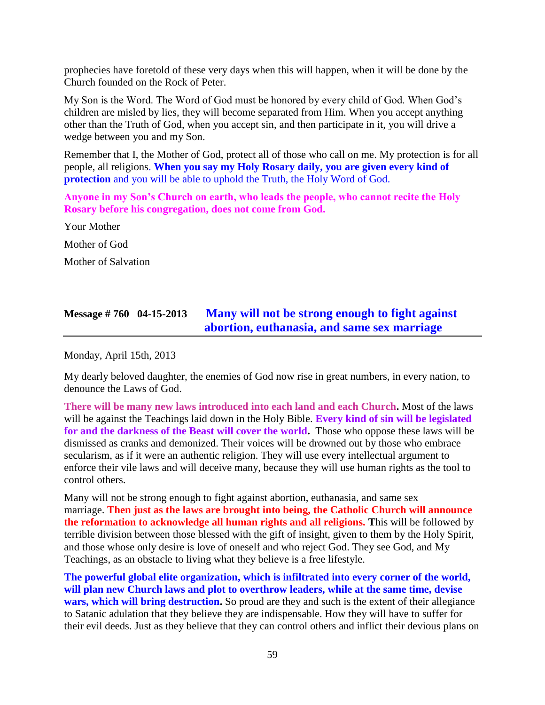prophecies have foretold of these very days when this will happen, when it will be done by the Church founded on the Rock of Peter.

My Son is the Word. The Word of God must be honored by every child of God. When God's children are misled by lies, they will become separated from Him. When you accept anything other than the Truth of God, when you accept sin, and then participate in it, you will drive a wedge between you and my Son.

Remember that I, the Mother of God, protect all of those who call on me. My protection is for all people, all religions. **When you say my Holy Rosary daily, you are given every kind of protection** and you will be able to uphold the Truth, the Holy Word of God.

**Anyone in my Son's Church on earth, who leads the people, who cannot recite the Holy Rosary before his congregation, does not come from God.**

Your Mother Mother of God Mother of Salvation

## **Message # 760 04-15-2013 [Many will not be strong enough to fight against](http://www.thewarningsecondcoming.com/many-will-not-be-strong-enough-to-fight-against-abortion-euthanasia-and-same-sex-marriage/)  abortion, euthanasia, [and same sex marriage](http://www.thewarningsecondcoming.com/many-will-not-be-strong-enough-to-fight-against-abortion-euthanasia-and-same-sex-marriage/)**

Monday, April 15th, 2013

My dearly beloved daughter, the enemies of God now rise in great numbers, in every nation, to denounce the Laws of God.

**There will be many new laws introduced into each land and each Church.** Most of the laws will be against the Teachings laid down in the Holy Bible. **Every kind of sin will be legislated for and the darkness of the Beast will cover the world.** Those who oppose these laws will be dismissed as cranks and demonized. Their voices will be drowned out by those who embrace secularism, as if it were an authentic religion. They will use every intellectual argument to enforce their vile laws and will deceive many, because they will use human rights as the tool to control others.

Many will not be strong enough to fight against abortion, euthanasia, and same sex marriage. **Then just as the laws are brought into being, the Catholic Church will announce the reformation to acknowledge all human rights and all religions. T**his will be followed by terrible division between those blessed with the gift of insight, given to them by the Holy Spirit, and those whose only desire is love of oneself and who reject God. They see God, and My Teachings, as an obstacle to living what they believe is a free lifestyle.

**The powerful global elite organization, which is infiltrated into every corner of the world, will plan new Church laws and plot to overthrow leaders, while at the same time, devise wars, which will bring destruction.** So proud are they and such is the extent of their allegiance to Satanic adulation that they believe they are indispensable. How they will have to suffer for their evil deeds. Just as they believe that they can control others and inflict their devious plans on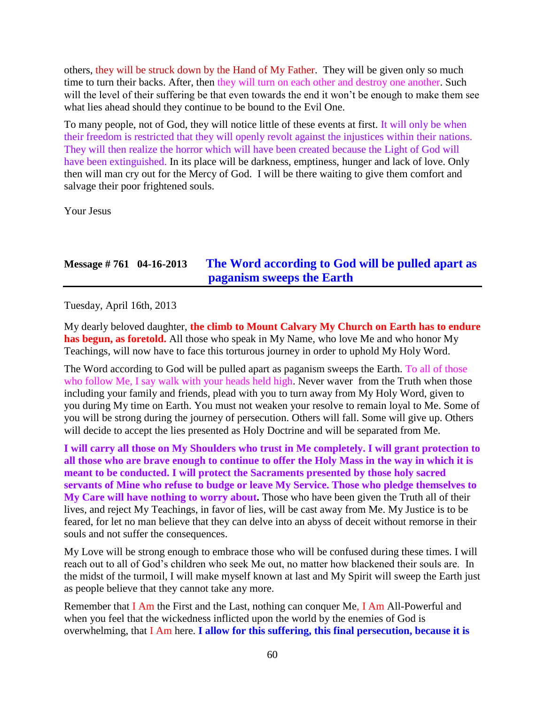others, they will be struck down by the Hand of My Father. They will be given only so much time to turn their backs. After, then they will turn on each other and destroy one another. Such will the level of their suffering be that even towards the end it won't be enough to make them see what lies ahead should they continue to be bound to the Evil One.

To many people, not of God, they will notice little of these events at first. It will only be when their freedom is restricted that they will openly revolt against the injustices within their nations. They will then realize the horror which will have been created because the Light of God will have been extinguished. In its place will be darkness, emptiness, hunger and lack of love. Only then will man cry out for the Mercy of God. I will be there waiting to give them comfort and salvage their poor frightened souls.

Your Jesus

## **Message # 761 04-16-2013 [The Word according to God will be pulled apart as](http://www.thewarningsecondcoming.com/the-word-according-to-god-will-be-pulled-apart-as-paganism-sweeps-the-earth/)  [paganism sweeps the Earth](http://www.thewarningsecondcoming.com/the-word-according-to-god-will-be-pulled-apart-as-paganism-sweeps-the-earth/)**

Tuesday, April 16th, 2013

My dearly beloved daughter, **the climb to Mount Calvary My Church on Earth has to endure has begun, as foretold.** All those who speak in My Name, who love Me and who honor My Teachings, will now have to face this torturous journey in order to uphold My Holy Word.

The Word according to God will be pulled apart as paganism sweeps the Earth. To all of those who follow Me, I say walk with your heads held high. Never waver from the Truth when those including your family and friends, plead with you to turn away from My Holy Word, given to you during My time on Earth. You must not weaken your resolve to remain loyal to Me. Some of you will be strong during the journey of persecution. Others will fall. Some will give up. Others will decide to accept the lies presented as Holy Doctrine and will be separated from Me.

**I will carry all those on My Shoulders who trust in Me completely. I will grant protection to all those who are brave enough to continue to offer the Holy Mass in the way in which it is meant to be conducted. I will protect the Sacraments presented by those holy sacred servants of Mine who refuse to budge or leave My Service. Those who pledge themselves to My Care will have nothing to worry about.** Those who have been given the Truth all of their lives, and reject My Teachings, in favor of lies, will be cast away from Me. My Justice is to be feared, for let no man believe that they can delve into an abyss of deceit without remorse in their souls and not suffer the consequences.

My Love will be strong enough to embrace those who will be confused during these times. I will reach out to all of God's children who seek Me out, no matter how blackened their souls are. In the midst of the turmoil, I will make myself known at last and My Spirit will sweep the Earth just as people believe that they cannot take any more.

Remember that I Am the First and the Last, nothing can conquer Me, I Am All-Powerful and when you feel that the wickedness inflicted upon the world by the enemies of God is overwhelming, that I Am here. **I allow for this suffering, this final persecution, because it is**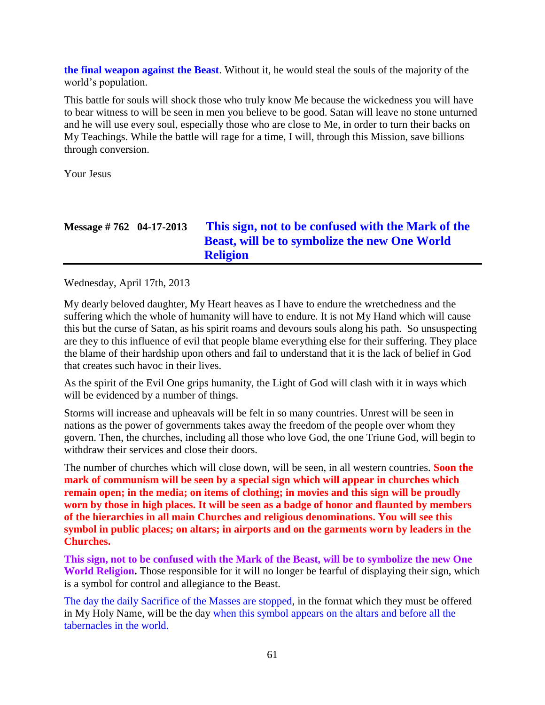**the final weapon against the Beast**. Without it, he would steal the souls of the majority of the world's population.

This battle for souls will shock those who truly know Me because the wickedness you will have to bear witness to will be seen in men you believe to be good. Satan will leave no stone unturned and he will use every soul, especially those who are close to Me, in order to turn their backs on My Teachings. While the battle will rage for a time, I will, through this Mission, save billions through conversion.

Your Jesus

# **Message # 762 04-17-2013 This sign, not to be [confused with the Mark of the](http://www.thewarningsecondcoming.com/this-sign-not-to-be-confused-with-the-mark-of-the-beast-will-be-to-symbolise-the-new-one-world-religion/)  [Beast, will be to symbolize the new One World](http://www.thewarningsecondcoming.com/this-sign-not-to-be-confused-with-the-mark-of-the-beast-will-be-to-symbolise-the-new-one-world-religion/)  [Religion](http://www.thewarningsecondcoming.com/this-sign-not-to-be-confused-with-the-mark-of-the-beast-will-be-to-symbolise-the-new-one-world-religion/)**

Wednesday, April 17th, 2013

My dearly beloved daughter, My Heart heaves as I have to endure the wretchedness and the suffering which the whole of humanity will have to endure. It is not My Hand which will cause this but the curse of Satan, as his spirit roams and devours souls along his path. So unsuspecting are they to this influence of evil that people blame everything else for their suffering. They place the blame of their hardship upon others and fail to understand that it is the lack of belief in God that creates such havoc in their lives.

As the spirit of the Evil One grips humanity, the Light of God will clash with it in ways which will be evidenced by a number of things.

Storms will increase and upheavals will be felt in so many countries. Unrest will be seen in nations as the power of governments takes away the freedom of the people over whom they govern. Then, the churches, including all those who love God, the one Triune God, will begin to withdraw their services and close their doors.

The number of churches which will close down, will be seen, in all western countries. **Soon the mark of communism will be seen by a special sign which will appear in churches which remain open; in the media; on items of clothing; in movies and this sign will be proudly worn by those in high places. It will be seen as a badge of honor and flaunted by members of the hierarchies in all main Churches and religious denominations. You will see this symbol in public places; on altars; in airports and on the garments worn by leaders in the Churches.**

**This sign, not to be confused with the Mark of the Beast, will be to symbolize the new One World Religion.** Those responsible for it will no longer be fearful of displaying their sign, which is a symbol for control and allegiance to the Beast.

The day the daily Sacrifice of the Masses are stopped, in the format which they must be offered in My Holy Name, will be the day when this symbol appears on the altars and before all the tabernacles in the world.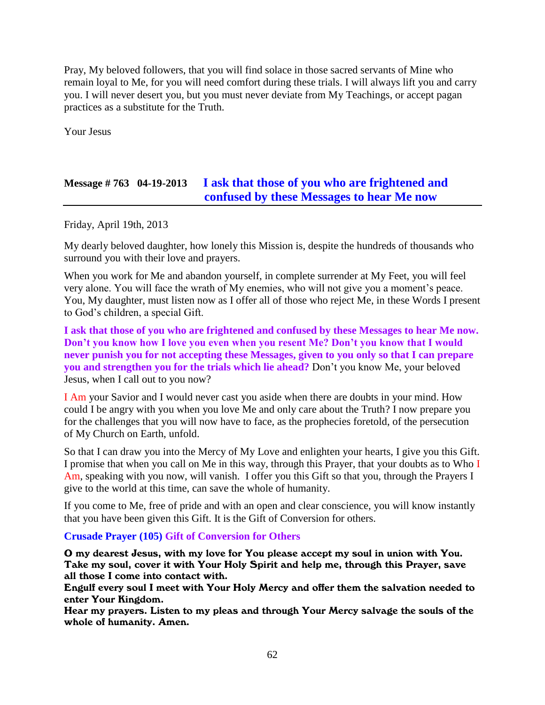Pray, My beloved followers, that you will find solace in those sacred servants of Mine who remain loyal to Me, for you will need comfort during these trials. I will always lift you and carry you. I will never desert you, but you must never deviate from My Teachings, or accept pagan practices as a substitute for the Truth.

Your Jesus

## **Message # 763 04-19-2013 [I ask that those of you who are frightened and](http://www.thewarningsecondcoming.com/i-ask-that-those-of-you-who-are-frightened-and-confused-by-these-messages-to-hear-me-now/)  [confused by these Messages to hear Me now](http://www.thewarningsecondcoming.com/i-ask-that-those-of-you-who-are-frightened-and-confused-by-these-messages-to-hear-me-now/)**

Friday, April 19th, 2013

My dearly beloved daughter, how lonely this Mission is, despite the hundreds of thousands who surround you with their love and prayers.

When you work for Me and abandon yourself, in complete surrender at My Feet, you will feel very alone. You will face the wrath of My enemies, who will not give you a moment's peace. You, My daughter, must listen now as I offer all of those who reject Me, in these Words I present to God's children, a special Gift.

**I ask that those of you who are frightened and confused by these Messages to hear Me now. Don't you know how I love you even when you resent Me? Don't you know that I would never punish you for not accepting these Messages, given to you only so that I can prepare you and strengthen you for the trials which lie ahead?** Don't you know Me, your beloved Jesus, when I call out to you now?

I Am your Savior and I would never cast you aside when there are doubts in your mind. How could I be angry with you when you love Me and only care about the Truth? I now prepare you for the challenges that you will now have to face, as the prophecies foretold, of the persecution of My Church on Earth, unfold.

So that I can draw you into the Mercy of My Love and enlighten your hearts, I give you this Gift. I promise that when you call on Me in this way, through this Prayer, that your doubts as to Who I Am, speaking with you now, will vanish. I offer you this Gift so that you, through the Prayers I give to the world at this time, can save the whole of humanity.

If you come to Me, free of pride and with an open and clear conscience, you will know instantly that you have been given this Gift. It is the Gift of Conversion for others.

#### **Crusade Prayer (105) Gift of Conversion for Others**

O my dearest Jesus, with my love for You please accept my soul in union with You. Take my soul, cover it with Your Holy Spirit and help me, through this Prayer, save all those I come into contact with.

Engulf every soul I meet with Your Holy Mercy and offer them the salvation needed to enter Your Kingdom.

Hear my prayers. Listen to my pleas and through Your Mercy salvage the souls of the whole of humanity. Amen.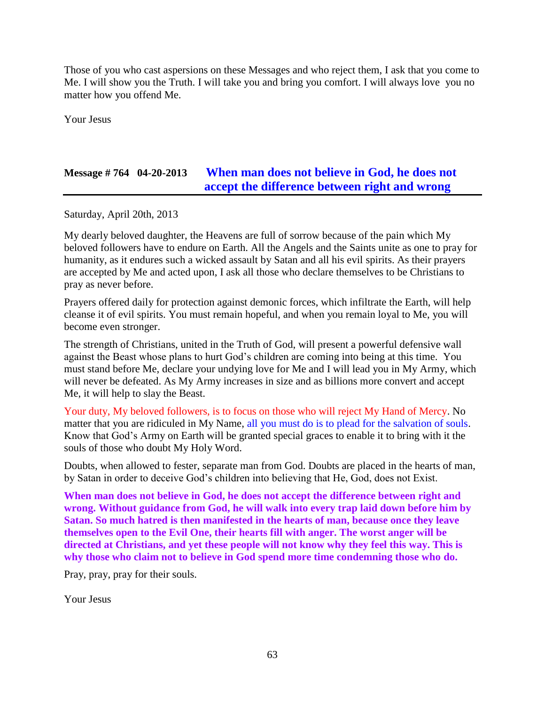Those of you who cast aspersions on these Messages and who reject them, I ask that you come to Me. I will show you the Truth. I will take you and bring you comfort. I will always love you no matter how you offend Me.

Your Jesus

## **Message # 764 04-20-2013 [When man does not believe in God, he does not](http://www.thewarningsecondcoming.com/when-man-does-not-believe-in-god-he-does-not-accept-the-difference-between-right-and-wrong/)  [accept the difference between right and wrong](http://www.thewarningsecondcoming.com/when-man-does-not-believe-in-god-he-does-not-accept-the-difference-between-right-and-wrong/)**

Saturday, April 20th, 2013

My dearly beloved daughter, the Heavens are full of sorrow because of the pain which My beloved followers have to endure on Earth. All the Angels and the Saints unite as one to pray for humanity, as it endures such a wicked assault by Satan and all his evil spirits. As their prayers are accepted by Me and acted upon, I ask all those who declare themselves to be Christians to pray as never before.

Prayers offered daily for protection against demonic forces, which infiltrate the Earth, will help cleanse it of evil spirits. You must remain hopeful, and when you remain loyal to Me, you will become even stronger.

The strength of Christians, united in the Truth of God, will present a powerful defensive wall against the Beast whose plans to hurt God's children are coming into being at this time. You must stand before Me, declare your undying love for Me and I will lead you in My Army, which will never be defeated. As My Army increases in size and as billions more convert and accept Me, it will help to slay the Beast.

Your duty, My beloved followers, is to focus on those who will reject My Hand of Mercy. No matter that you are ridiculed in My Name, all you must do is to plead for the salvation of souls. Know that God's Army on Earth will be granted special graces to enable it to bring with it the souls of those who doubt My Holy Word.

Doubts, when allowed to fester, separate man from God. Doubts are placed in the hearts of man, by Satan in order to deceive God's children into believing that He, God, does not Exist.

**When man does not believe in God, he does not accept the difference between right and wrong. Without guidance from God, he will walk into every trap laid down before him by Satan. So much hatred is then manifested in the hearts of man, because once they leave themselves open to the Evil One, their hearts fill with anger. The worst anger will be directed at Christians, and yet these people will not know why they feel this way. This is why those who claim not to believe in God spend more time condemning those who do.**

Pray, pray, pray for their souls.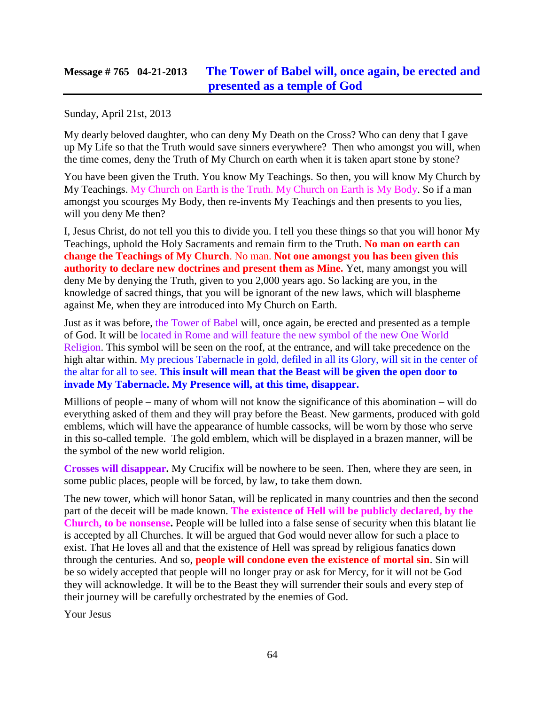## **Message # 765 04-21-2013 [The Tower of Babel will, once again, be erected and](http://www.thewarningsecondcoming.com/the-tower-of-babel-will-once-again-be-erected-and-presented-as-a-temple-of-god/)  [presented as a temple of God](http://www.thewarningsecondcoming.com/the-tower-of-babel-will-once-again-be-erected-and-presented-as-a-temple-of-god/)**

Sunday, April 21st, 2013

My dearly beloved daughter, who can deny My Death on the Cross? Who can deny that I gave up My Life so that the Truth would save sinners everywhere? Then who amongst you will, when the time comes, deny the Truth of My Church on earth when it is taken apart stone by stone?

You have been given the Truth. You know My Teachings. So then, you will know My Church by My Teachings. My Church on Earth is the Truth. My Church on Earth is My Body. So if a man amongst you scourges My Body, then re-invents My Teachings and then presents to you lies, will you deny Me then?

I, Jesus Christ, do not tell you this to divide you. I tell you these things so that you will honor My Teachings, uphold the Holy Sacraments and remain firm to the Truth. **No man on earth can change the Teachings of My Church**. No man. **Not one amongst you has been given this authority to declare new doctrines and present them as Mine.** Yet, many amongst you will deny Me by denying the Truth, given to you 2,000 years ago. So lacking are you, in the knowledge of sacred things, that you will be ignorant of the new laws, which will blaspheme against Me, when they are introduced into My Church on Earth.

Just as it was before, the Tower of Babel will, once again, be erected and presented as a temple of God. It will be located in Rome and will feature the new symbol of the new One World Religion. This symbol will be seen on the roof, at the entrance, and will take precedence on the high altar within. My precious Tabernacle in gold, defiled in all its Glory, will sit in the center of the altar for all to see. **This insult will mean that the Beast will be given the open door to invade My Tabernacle. My Presence will, at this time, disappear.**

Millions of people – many of whom will not know the significance of this abomination – will do everything asked of them and they will pray before the Beast. New garments, produced with gold emblems, which will have the appearance of humble cassocks, will be worn by those who serve in this so-called temple. The gold emblem, which will be displayed in a brazen manner, will be the symbol of the new world religion.

**Crosses will disappear.** My Crucifix will be nowhere to be seen. Then, where they are seen, in some public places, people will be forced, by law, to take them down.

The new tower, which will honor Satan, will be replicated in many countries and then the second part of the deceit will be made known. **The existence of Hell will be publicly declared, by the Church, to be nonsense.** People will be lulled into a false sense of security when this blatant lie is accepted by all Churches. It will be argued that God would never allow for such a place to exist. That He loves all and that the existence of Hell was spread by religious fanatics down through the centuries. And so, **people will condone even the existence of mortal sin**. Sin will be so widely accepted that people will no longer pray or ask for Mercy, for it will not be God they will acknowledge. It will be to the Beast they will surrender their souls and every step of their journey will be carefully orchestrated by the enemies of God.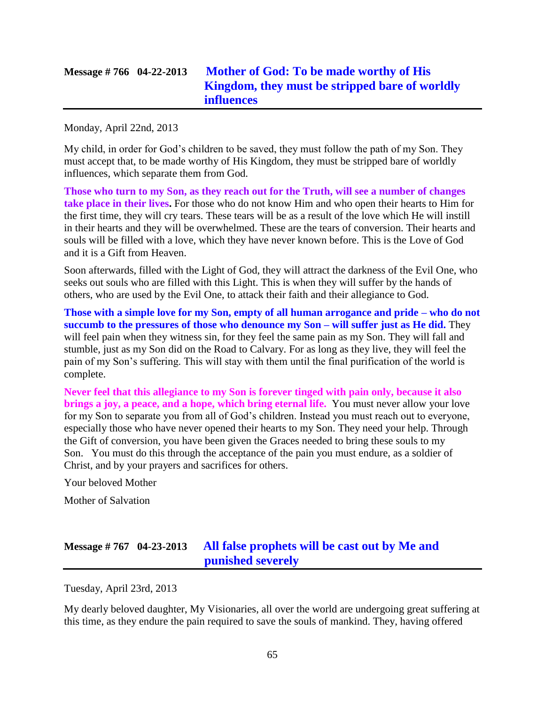# **Message # 766 04-22-2013 [Mother of God: To be made worthy of His](http://www.thewarningsecondcoming.com/mother-of-god-to-be-made-worthy-of-his-kingdom-they-must-be-stripped-bare-of-worldly-influences/)  [Kingdom, they must be stripped bare of worldly](http://www.thewarningsecondcoming.com/mother-of-god-to-be-made-worthy-of-his-kingdom-they-must-be-stripped-bare-of-worldly-influences/)  [influences](http://www.thewarningsecondcoming.com/mother-of-god-to-be-made-worthy-of-his-kingdom-they-must-be-stripped-bare-of-worldly-influences/)**

Monday, April 22nd, 2013

My child, in order for God's children to be saved, they must follow the path of my Son. They must accept that, to be made worthy of His Kingdom, they must be stripped bare of worldly influences, which separate them from God.

**Those who turn to my Son, as they reach out for the Truth, will see a number of changes take place in their lives.** For those who do not know Him and who open their hearts to Him for the first time, they will cry tears. These tears will be as a result of the love which He will instill in their hearts and they will be overwhelmed. These are the tears of conversion. Their hearts and souls will be filled with a love, which they have never known before. This is the Love of God and it is a Gift from Heaven.

Soon afterwards, filled with the Light of God, they will attract the darkness of the Evil One, who seeks out souls who are filled with this Light. This is when they will suffer by the hands of others, who are used by the Evil One, to attack their faith and their allegiance to God.

**Those with a simple love for my Son, empty of all human arrogance and pride – who do not succumb to the pressures of those who denounce my Son – will suffer just as He did.** They will feel pain when they witness sin, for they feel the same pain as my Son. They will fall and stumble, just as my Son did on the Road to Calvary. For as long as they live, they will feel the pain of my Son's suffering. This will stay with them until the final purification of the world is complete.

**Never feel that this allegiance to my Son is forever tinged with pain only, because it also brings a joy, a peace, and a hope, which bring eternal life.** You must never allow your love for my Son to separate you from all of God's children. Instead you must reach out to everyone, especially those who have never opened their hearts to my Son. They need your help. Through the Gift of conversion, you have been given the Graces needed to bring these souls to my Son. You must do this through the acceptance of the pain you must endure, as a soldier of Christ, and by your prayers and sacrifices for others.

Your beloved Mother

Mother of Salvation

# **Message # 767 04-23-2013 [All false prophets will be cast out by Me and](http://www.thewarningsecondcoming.com/all-false-prophets-will-be-cast-out-by-me-and-punished-severely/)  [punished severely](http://www.thewarningsecondcoming.com/all-false-prophets-will-be-cast-out-by-me-and-punished-severely/)**

Tuesday, April 23rd, 2013

My dearly beloved daughter, My Visionaries, all over the world are undergoing great suffering at this time, as they endure the pain required to save the souls of mankind. They, having offered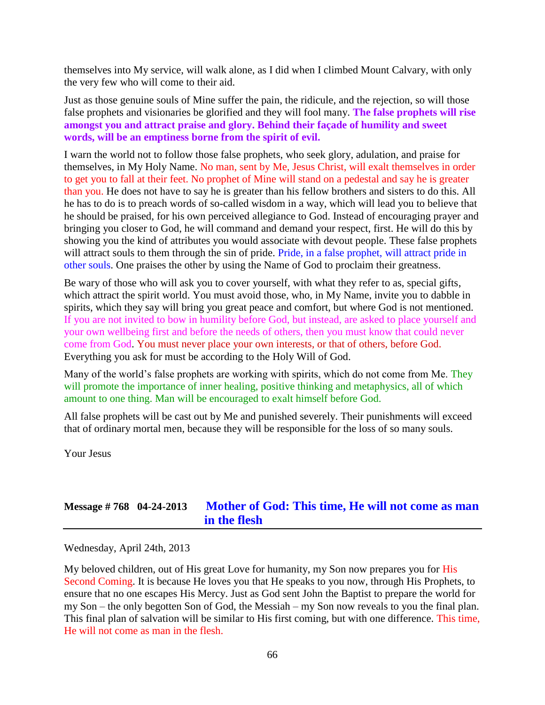themselves into My service, will walk alone, as I did when I climbed Mount Calvary, with only the very few who will come to their aid.

Just as those genuine souls of Mine suffer the pain, the ridicule, and the rejection, so will those false prophets and visionaries be glorified and they will fool many. **The false prophets will rise amongst you and attract praise and glory. Behind their façade of humility and sweet words, will be an emptiness borne from the spirit of evil.**

I warn the world not to follow those false prophets, who seek glory, adulation, and praise for themselves, in My Holy Name. No man, sent by Me, Jesus Christ, will exalt themselves in order to get you to fall at their feet. No prophet of Mine will stand on a pedestal and say he is greater than you. He does not have to say he is greater than his fellow brothers and sisters to do this. All he has to do is to preach words of so-called wisdom in a way, which will lead you to believe that he should be praised, for his own perceived allegiance to God. Instead of encouraging prayer and bringing you closer to God, he will command and demand your respect, first. He will do this by showing you the kind of attributes you would associate with devout people. These false prophets will attract souls to them through the sin of pride. Pride, in a false prophet, will attract pride in other souls. One praises the other by using the Name of God to proclaim their greatness.

Be wary of those who will ask you to cover yourself, with what they refer to as, special gifts, which attract the spirit world. You must avoid those, who, in My Name, invite you to dabble in spirits, which they say will bring you great peace and comfort, but where God is not mentioned. If you are not invited to bow in humility before God, but instead, are asked to place yourself and your own wellbeing first and before the needs of others, then you must know that could never come from God. You must never place your own interests, or that of others, before God. Everything you ask for must be according to the Holy Will of God.

Many of the world's false prophets are working with spirits, which do not come from Me. They will promote the importance of inner healing, positive thinking and metaphysics, all of which amount to one thing. Man will be encouraged to exalt himself before God.

All false prophets will be cast out by Me and punished severely. Their punishments will exceed that of ordinary mortal men, because they will be responsible for the loss of so many souls.

Your Jesus

## **Message # 768 04-24-2013 [Mother of God: This time, He will not come as man](http://www.thewarningsecondcoming.com/mother-of-god-this-time-he-will-not-come-as-man-in-the-flesh/)  [in the flesh](http://www.thewarningsecondcoming.com/mother-of-god-this-time-he-will-not-come-as-man-in-the-flesh/)**

Wednesday, April 24th, 2013

My beloved children, out of His great Love for humanity, my Son now prepares you for His Second Coming. It is because He loves you that He speaks to you now, through His Prophets, to ensure that no one escapes His Mercy. Just as God sent John the Baptist to prepare the world for my Son – the only begotten Son of God, the Messiah – my Son now reveals to you the final plan. This final plan of salvation will be similar to His first coming, but with one difference. This time, He will not come as man in the flesh.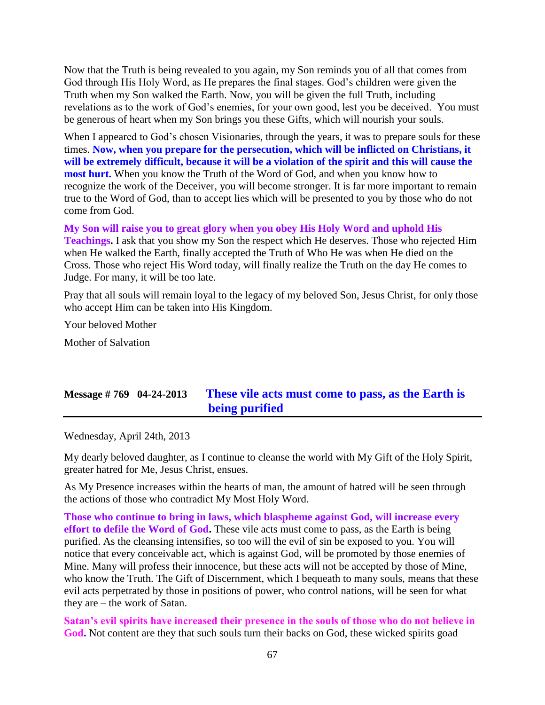Now that the Truth is being revealed to you again, my Son reminds you of all that comes from God through His Holy Word, as He prepares the final stages. God's children were given the Truth when my Son walked the Earth. Now, you will be given the full Truth, including revelations as to the work of God's enemies, for your own good, lest you be deceived. You must be generous of heart when my Son brings you these Gifts, which will nourish your souls.

When I appeared to God's chosen Visionaries, through the years, it was to prepare souls for these times. **Now, when you prepare for the persecution, which will be inflicted on Christians, it will be extremely difficult, because it will be a violation of the spirit and this will cause the most hurt.** When you know the Truth of the Word of God, and when you know how to recognize the work of the Deceiver, you will become stronger. It is far more important to remain true to the Word of God, than to accept lies which will be presented to you by those who do not come from God.

**My Son will raise you to great glory when you obey His Holy Word and uphold His Teachings.** I ask that you show my Son the respect which He deserves. Those who rejected Him when He walked the Earth, finally accepted the Truth of Who He was when He died on the Cross. Those who reject His Word today, will finally realize the Truth on the day He comes to Judge. For many, it will be too late.

Pray that all souls will remain loyal to the legacy of my beloved Son, Jesus Christ, for only those who accept Him can be taken into His Kingdom.

Your beloved Mother

Mother of Salvation

## **Message # 769 04-24-2013 [These vile acts must come to pass, as the Earth is](http://www.thewarningsecondcoming.com/these-vile-acts-must-come-to-pass-as-the-earth-is-being-purified/)  [being purified](http://www.thewarningsecondcoming.com/these-vile-acts-must-come-to-pass-as-the-earth-is-being-purified/)**

Wednesday, April 24th, 2013

My dearly beloved daughter, as I continue to cleanse the world with My Gift of the Holy Spirit, greater hatred for Me, Jesus Christ, ensues.

As My Presence increases within the hearts of man, the amount of hatred will be seen through the actions of those who contradict My Most Holy Word.

**Those who continue to bring in laws, which blaspheme against God, will increase every effort to defile the Word of God.** These vile acts must come to pass, as the Earth is being purified. As the cleansing intensifies, so too will the evil of sin be exposed to you. You will notice that every conceivable act, which is against God, will be promoted by those enemies of Mine. Many will profess their innocence, but these acts will not be accepted by those of Mine, who know the Truth. The Gift of Discernment, which I bequeath to many souls, means that these evil acts perpetrated by those in positions of power, who control nations, will be seen for what they are – the work of Satan.

**Satan's evil spirits have increased their presence in the souls of those who do not believe in God.** Not content are they that such souls turn their backs on God, these wicked spirits goad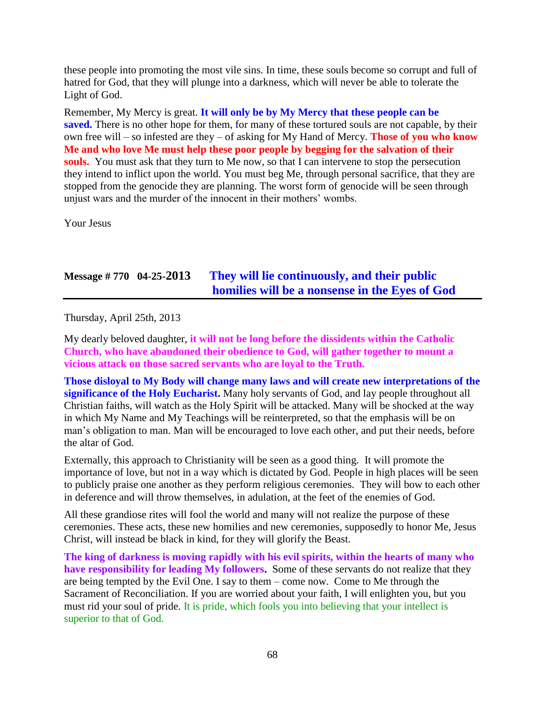these people into promoting the most vile sins. In time, these souls become so corrupt and full of hatred for God, that they will plunge into a darkness, which will never be able to tolerate the Light of God.

Remember, My Mercy is great. **It will only be by My Mercy that these people can be**  saved. There is no other hope for them, for many of these tortured souls are not capable, by their own free will – so infested are they – of asking for My Hand of Mercy. **Those of you who know Me and who love Me must help these poor people by begging for the salvation of their souls.** You must ask that they turn to Me now, so that I can intervene to stop the persecution they intend to inflict upon the world. You must beg Me, through personal sacrifice, that they are stopped from the genocide they are planning. The worst form of genocide will be seen through unjust wars and the murder of the innocent in their mothers' wombs.

Your Jesus

## **Message # 770 04-25-2013 [They will lie continuously, and their public](http://www.thewarningsecondcoming.com/they-will-lie-continuously-and-their-public-homilies-will-be-a-nonsense-in-the-eyes-of-god/)  [homilies will be a nonsense in the Eyes of God](http://www.thewarningsecondcoming.com/they-will-lie-continuously-and-their-public-homilies-will-be-a-nonsense-in-the-eyes-of-god/)**

Thursday, April 25th, 2013

My dearly beloved daughter, **it will not be long before the dissidents within the Catholic Church, who have abandoned their obedience to God, will gather together to mount a vicious attack on those sacred servants who are loyal to the Truth.**

**Those disloyal to My Body will change many laws and will create new interpretations of the significance of the Holy Eucharist.** Many holy servants of God, and lay people throughout all Christian faiths, will watch as the Holy Spirit will be attacked. Many will be shocked at the way in which My Name and My Teachings will be reinterpreted, so that the emphasis will be on man's obligation to man. Man will be encouraged to love each other, and put their needs, before the altar of God.

Externally, this approach to Christianity will be seen as a good thing. It will promote the importance of love, but not in a way which is dictated by God. People in high places will be seen to publicly praise one another as they perform religious ceremonies. They will bow to each other in deference and will throw themselves, in adulation, at the feet of the enemies of God.

All these grandiose rites will fool the world and many will not realize the purpose of these ceremonies. These acts, these new homilies and new ceremonies, supposedly to honor Me, Jesus Christ, will instead be black in kind, for they will glorify the Beast.

**The king of darkness is moving rapidly with his evil spirits, within the hearts of many who have responsibility for leading My followers.** Some of these servants do not realize that they are being tempted by the Evil One. I say to them – come now. Come to Me through the Sacrament of Reconciliation. If you are worried about your faith, I will enlighten you, but you must rid your soul of pride. It is pride, which fools you into believing that your intellect is superior to that of God.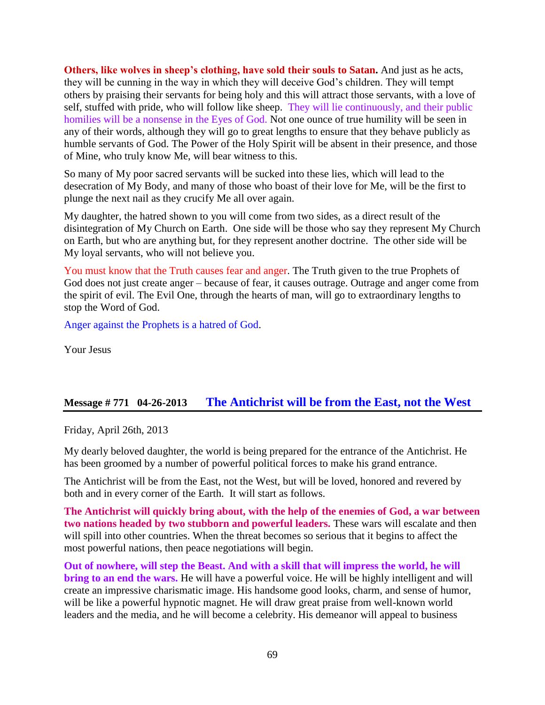**Others, like wolves in sheep's clothing, have sold their souls to Satan.** And just as he acts, they will be cunning in the way in which they will deceive God's children. They will tempt others by praising their servants for being holy and this will attract those servants, with a love of self, stuffed with pride, who will follow like sheep. They will lie continuously, and their public homilies will be a nonsense in the Eyes of God. Not one ounce of true humility will be seen in any of their words, although they will go to great lengths to ensure that they behave publicly as humble servants of God. The Power of the Holy Spirit will be absent in their presence, and those of Mine, who truly know Me, will bear witness to this.

So many of My poor sacred servants will be sucked into these lies, which will lead to the desecration of My Body, and many of those who boast of their love for Me, will be the first to plunge the next nail as they crucify Me all over again.

My daughter, the hatred shown to you will come from two sides, as a direct result of the disintegration of My Church on Earth. One side will be those who say they represent My Church on Earth, but who are anything but, for they represent another doctrine. The other side will be My loyal servants, who will not believe you.

You must know that the Truth causes fear and anger. The Truth given to the true Prophets of God does not just create anger – because of fear, it causes outrage. Outrage and anger come from the spirit of evil. The Evil One, through the hearts of man, will go to extraordinary lengths to stop the Word of God.

Anger against the Prophets is a hatred of God.

Your Jesus

### **Message # 771 04-26-2013 [The Antichrist will be from the East, not the West](http://www.thewarningsecondcoming.com/the-antichrist-will-be-from-the-east-not-the-west/)**

Friday, April 26th, 2013

My dearly beloved daughter, the world is being prepared for the entrance of the Antichrist. He has been groomed by a number of powerful political forces to make his grand entrance.

The Antichrist will be from the East, not the West, but will be loved, honored and revered by both and in every corner of the Earth. It will start as follows.

**The Antichrist will quickly bring about, with the help of the enemies of God, a war between two nations headed by two stubborn and powerful leaders.** These wars will escalate and then will spill into other countries. When the threat becomes so serious that it begins to affect the most powerful nations, then peace negotiations will begin.

**Out of nowhere, will step the Beast. And with a skill that will impress the world, he will bring to an end the wars.** He will have a powerful voice. He will be highly intelligent and will create an impressive charismatic image. His handsome good looks, charm, and sense of humor, will be like a powerful hypnotic magnet. He will draw great praise from well-known world leaders and the media, and he will become a celebrity. His demeanor will appeal to business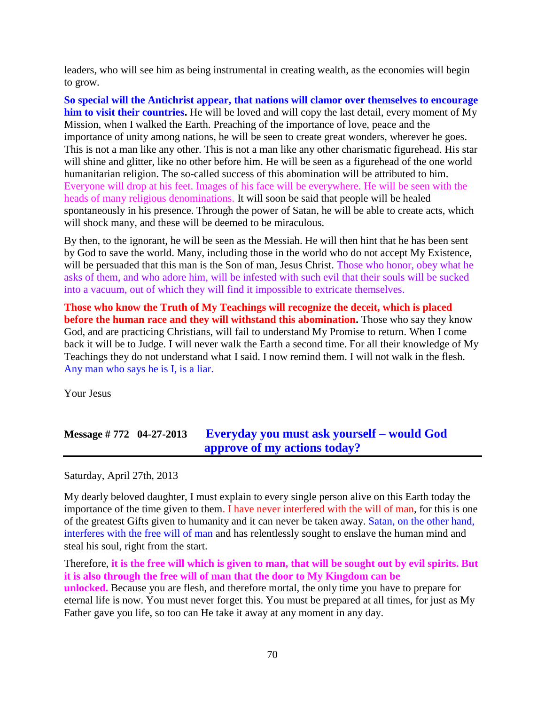leaders, who will see him as being instrumental in creating wealth, as the economies will begin to grow.

**So special will the Antichrist appear, that nations will clamor over themselves to encourage him to visit their countries.** He will be loved and will copy the last detail, every moment of My Mission, when I walked the Earth. Preaching of the importance of love, peace and the importance of unity among nations, he will be seen to create great wonders, wherever he goes. This is not a man like any other. This is not a man like any other charismatic figurehead. His star will shine and glitter, like no other before him. He will be seen as a figurehead of the one world humanitarian religion. The so-called success of this abomination will be attributed to him. Everyone will drop at his feet. Images of his face will be everywhere. He will be seen with the heads of many religious denominations. It will soon be said that people will be healed spontaneously in his presence. Through the power of Satan, he will be able to create acts, which will shock many, and these will be deemed to be miraculous.

By then, to the ignorant, he will be seen as the Messiah. He will then hint that he has been sent by God to save the world. Many, including those in the world who do not accept My Existence, will be persuaded that this man is the Son of man, Jesus Christ. Those who honor, obey what he asks of them, and who adore him, will be infested with such evil that their souls will be sucked into a vacuum, out of which they will find it impossible to extricate themselves.

**Those who know the Truth of My Teachings will recognize the deceit, which is placed before the human race and they will withstand this abomination.** Those who say they know God, and are practicing Christians, will fail to understand My Promise to return. When I come back it will be to Judge. I will never walk the Earth a second time. For all their knowledge of My Teachings they do not understand what I said. I now remind them. I will not walk in the flesh. Any man who says he is I, is a liar.

Your Jesus

# **Message # 772 04-27-2013 [Everyday you must ask yourself –](http://www.thewarningsecondcoming.com/every-day-you-must-ask-yourself-would-god-approve-of-my-actions-today/) would God [approve of my actions today?](http://www.thewarningsecondcoming.com/every-day-you-must-ask-yourself-would-god-approve-of-my-actions-today/)**

Saturday, April 27th, 2013

My dearly beloved daughter, I must explain to every single person alive on this Earth today the importance of the time given to them. I have never interfered with the will of man, for this is one of the greatest Gifts given to humanity and it can never be taken away. Satan, on the other hand, interferes with the free will of man and has relentlessly sought to enslave the human mind and steal his soul, right from the start.

Therefore, **it is the free will which is given to man, that will be sought out by evil spirits. But it is also through the free will of man that the door to My Kingdom can be unlocked.** Because you are flesh, and therefore mortal, the only time you have to prepare for eternal life is now. You must never forget this. You must be prepared at all times, for just as My Father gave you life, so too can He take it away at any moment in any day.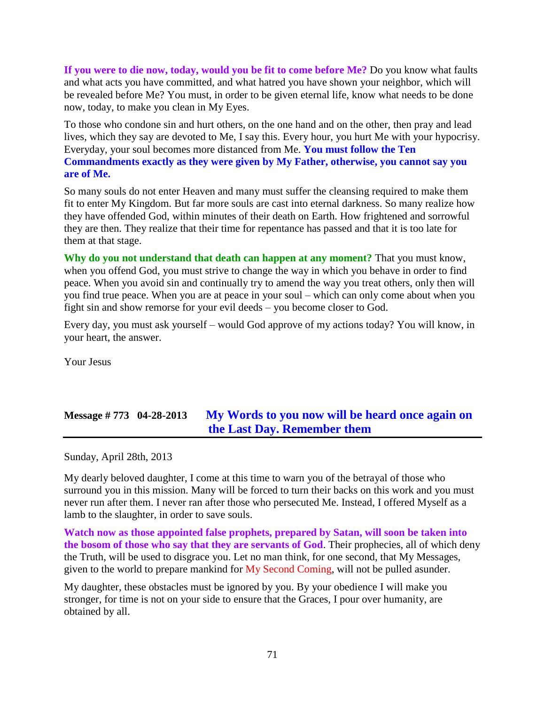**If you were to die now, today, would you be fit to come before Me?** Do you know what faults and what acts you have committed, and what hatred you have shown your neighbor, which will be revealed before Me? You must, in order to be given eternal life, know what needs to be done now, today, to make you clean in My Eyes.

To those who condone sin and hurt others, on the one hand and on the other, then pray and lead lives, which they say are devoted to Me, I say this. Every hour, you hurt Me with your hypocrisy. Everyday, your soul becomes more distanced from Me. **You must follow the Ten Commandments exactly as they were given by My Father, otherwise, you cannot say you are of Me.**

So many souls do not enter Heaven and many must suffer the cleansing required to make them fit to enter My Kingdom. But far more souls are cast into eternal darkness. So many realize how they have offended God, within minutes of their death on Earth. How frightened and sorrowful they are then. They realize that their time for repentance has passed and that it is too late for them at that stage.

**Why do you not understand that death can happen at any moment?** That you must know, when you offend God, you must strive to change the way in which you behave in order to find peace. When you avoid sin and continually try to amend the way you treat others, only then will you find true peace. When you are at peace in your soul – which can only come about when you fight sin and show remorse for your evil deeds – you become closer to God.

Every day, you must ask yourself – would God approve of my actions today? You will know, in your heart, the answer.

Your Jesus

## **Message # 773 04-28-2013 [My Words to you now will be heard once again on](http://www.thewarningsecondcoming.com/my-words-to-you-now-will-be-heard-once-again-on-the-last-day-remember-them-2/)  [the Last Day. Remember them](http://www.thewarningsecondcoming.com/my-words-to-you-now-will-be-heard-once-again-on-the-last-day-remember-them-2/)**

Sunday, April 28th, 2013

My dearly beloved daughter, I come at this time to warn you of the betrayal of those who surround you in this mission. Many will be forced to turn their backs on this work and you must never run after them. I never ran after those who persecuted Me. Instead, I offered Myself as a lamb to the slaughter, in order to save souls.

**Watch now as those appointed false prophets, prepared by Satan, will soon be taken into the bosom of those who say that they are servants of God**. Their prophecies, all of which deny the Truth, will be used to disgrace you. Let no man think, for one second, that My Messages, given to the world to prepare mankind for My Second Coming, will not be pulled asunder.

My daughter, these obstacles must be ignored by you. By your obedience I will make you stronger, for time is not on your side to ensure that the Graces, I pour over humanity, are obtained by all.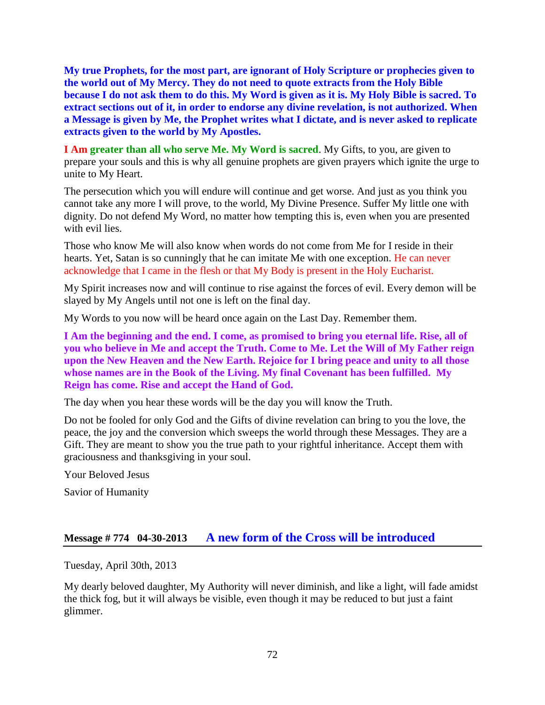**My true Prophets, for the most part, are ignorant of Holy Scripture or prophecies given to the world out of My Mercy. They do not need to quote extracts from the Holy Bible because I do not ask them to do this. My Word is given as it is. My Holy Bible is sacred. To extract sections out of it, in order to endorse any divine revelation, is not authorized. When a Message is given by Me, the Prophet writes what I dictate, and is never asked to replicate extracts given to the world by My Apostles.**

**I Am greater than all who serve Me. My Word is sacred.** My Gifts, to you, are given to prepare your souls and this is why all genuine prophets are given prayers which ignite the urge to unite to My Heart.

The persecution which you will endure will continue and get worse. And just as you think you cannot take any more I will prove, to the world, My Divine Presence. Suffer My little one with dignity. Do not defend My Word, no matter how tempting this is, even when you are presented with evil lies.

Those who know Me will also know when words do not come from Me for I reside in their hearts. Yet, Satan is so cunningly that he can imitate Me with one exception. He can never acknowledge that I came in the flesh or that My Body is present in the Holy Eucharist.

My Spirit increases now and will continue to rise against the forces of evil. Every demon will be slayed by My Angels until not one is left on the final day.

My Words to you now will be heard once again on the Last Day. Remember them.

**I Am the beginning and the end. I come, as promised to bring you eternal life. Rise, all of you who believe in Me and accept the Truth. Come to Me. Let the Will of My Father reign upon the New Heaven and the New Earth. Rejoice for I bring peace and unity to all those whose names are in the Book of the Living. My final Covenant has been fulfilled. My Reign has come. Rise and accept the Hand of God.**

The day when you hear these words will be the day you will know the Truth.

Do not be fooled for only God and the Gifts of divine revelation can bring to you the love, the peace, the joy and the conversion which sweeps the world through these Messages. They are a Gift. They are meant to show you the true path to your rightful inheritance. Accept them with graciousness and thanksgiving in your soul.

Your Beloved Jesus

Savior of Humanity

### **Message # 774 04-30-2013 [A new form of the Cross will be introduced](http://www.thewarningsecondcoming.com/a-new-form-of-the-cross-will-be-introduced/)**

Tuesday, April 30th, 2013

My dearly beloved daughter, My Authority will never diminish, and like a light, will fade amidst the thick fog, but it will always be visible, even though it may be reduced to but just a faint glimmer.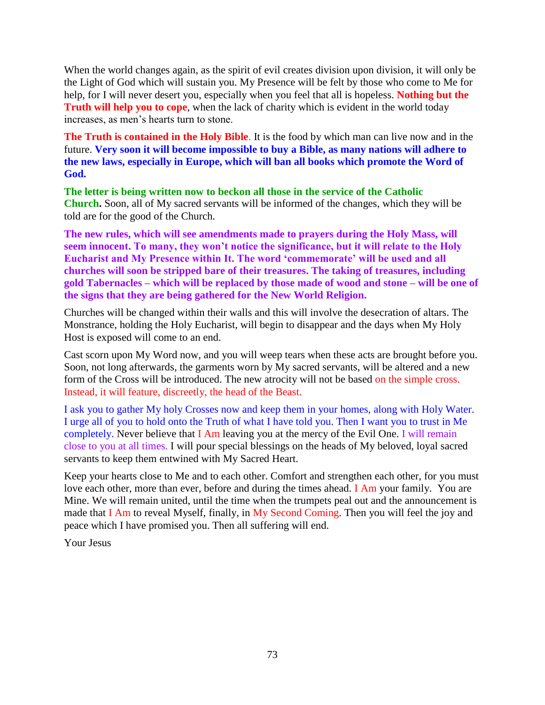When the world changes again, as the spirit of evil creates division upon division, it will only be the Light of God which will sustain you. My Presence will be felt by those who come to Me for help, for I will never desert you, especially when you feel that all is hopeless. **Nothing but the Truth will help you to cope**, when the lack of charity which is evident in the world today increases, as men's hearts turn to stone.

**The Truth is contained in the Holy Bible**. It is the food by which man can live now and in the future. **Very soon it will become impossible to buy a Bible, as many nations will adhere to the new laws, especially in Europe, which will ban all books which promote the Word of God.**

**The letter is being written now to beckon all those in the service of the Catholic Church.** Soon, all of My sacred servants will be informed of the changes, which they will be told are for the good of the Church.

**The new rules, which will see amendments made to prayers during the Holy Mass, will seem innocent. To many, they won't notice the significance, but it will relate to the Holy Eucharist and My Presence within It. The word 'commemorate' will be used and all churches will soon be stripped bare of their treasures. The taking of treasures, including gold Tabernacles – which will be replaced by those made of wood and stone – will be one of the signs that they are being gathered for the New World Religion.**

Churches will be changed within their walls and this will involve the desecration of altars. The Monstrance, holding the Holy Eucharist, will begin to disappear and the days when My Holy Host is exposed will come to an end.

Cast scorn upon My Word now, and you will weep tears when these acts are brought before you. Soon, not long afterwards, the garments worn by My sacred servants, will be altered and a new form of the Cross will be introduced. The new atrocity will not be based on the simple cross. Instead, it will feature, discreetly, the head of the Beast.

I ask you to gather My holy Crosses now and keep them in your homes, along with Holy Water. I urge all of you to hold onto the Truth of what I have told you. Then I want you to trust in Me completely. Never believe that I Am leaving you at the mercy of the Evil One. I will remain close to you at all times. I will pour special blessings on the heads of My beloved, loyal sacred servants to keep them entwined with My Sacred Heart.

Keep your hearts close to Me and to each other. Comfort and strengthen each other, for you must love each other, more than ever, before and during the times ahead. I Am your family. You are Mine. We will remain united, until the time when the trumpets peal out and the announcement is made that I Am to reveal Myself, finally, in My Second Coming. Then you will feel the joy and peace which I have promised you. Then all suffering will end.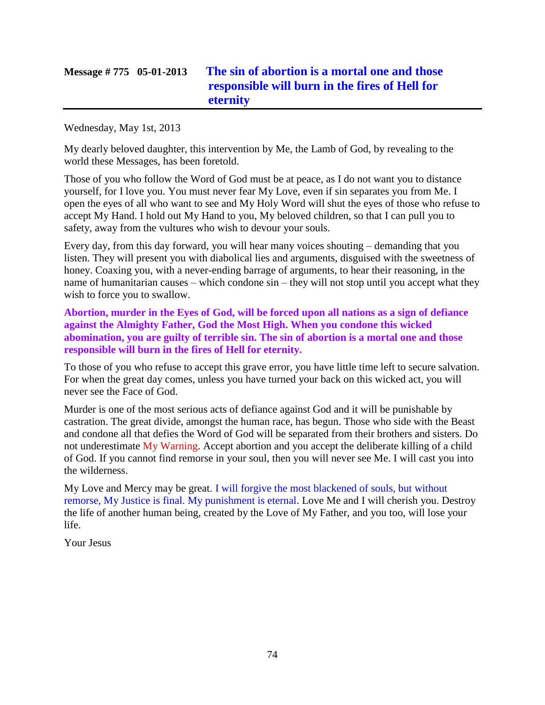# **Message # 775 05-01-2013 [The sin of abortion is a mortal one and those](http://www.thewarningsecondcoming.com/the-sin-of-abortion-is-a-mortal-one-and-those-responsible-will-burn-in-the-fires-of-hell-for-eternity/)  [responsible will burn in the fires of Hell for](http://www.thewarningsecondcoming.com/the-sin-of-abortion-is-a-mortal-one-and-those-responsible-will-burn-in-the-fires-of-hell-for-eternity/)  [eternity](http://www.thewarningsecondcoming.com/the-sin-of-abortion-is-a-mortal-one-and-those-responsible-will-burn-in-the-fires-of-hell-for-eternity/)**

Wednesday, May 1st, 2013

My dearly beloved daughter, this intervention by Me, the Lamb of God, by revealing to the world these Messages, has been foretold.

Those of you who follow the Word of God must be at peace, as I do not want you to distance yourself, for I love you. You must never fear My Love, even if sin separates you from Me. I open the eyes of all who want to see and My Holy Word will shut the eyes of those who refuse to accept My Hand. I hold out My Hand to you, My beloved children, so that I can pull you to safety, away from the vultures who wish to devour your souls.

Every day, from this day forward, you will hear many voices shouting – demanding that you listen. They will present you with diabolical lies and arguments, disguised with the sweetness of honey. Coaxing you, with a never-ending barrage of arguments, to hear their reasoning, in the name of humanitarian causes – which condone sin – they will not stop until you accept what they wish to force you to swallow.

**Abortion, murder in the Eyes of God, will be forced upon all nations as a sign of defiance against the Almighty Father, God the Most High. When you condone this wicked abomination, you are guilty of terrible sin. The sin of abortion is a mortal one and those responsible will burn in the fires of Hell for eternity.**

To those of you who refuse to accept this grave error, you have little time left to secure salvation. For when the great day comes, unless you have turned your back on this wicked act, you will never see the Face of God.

Murder is one of the most serious acts of defiance against God and it will be punishable by castration. The great divide, amongst the human race, has begun. Those who side with the Beast and condone all that defies the Word of God will be separated from their brothers and sisters. Do not underestimate My Warning. Accept abortion and you accept the deliberate killing of a child of God. If you cannot find remorse in your soul, then you will never see Me. I will cast you into the wilderness.

My Love and Mercy may be great. I will forgive the most blackened of souls, but without remorse, My Justice is final. My punishment is eternal. Love Me and I will cherish you. Destroy the life of another human being, created by the Love of My Father, and you too, will lose your life.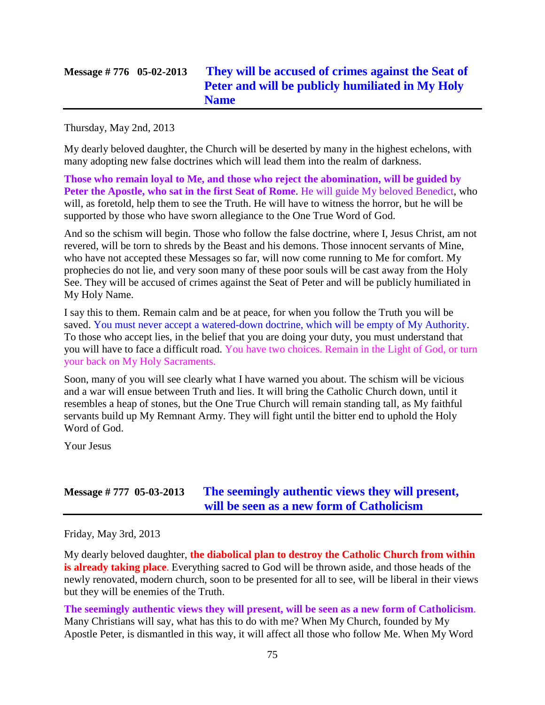# **Message # 776 05-02-2013 [They will be accused of crimes against the Seat of](http://www.thewarningsecondcoming.com/they-will-be-accused-of-crimes-against-the-seat-of-peter-and-will-be-publicly-humiliated-in-my-holy-name/)  [Peter and will be publicly humiliated in My Holy](http://www.thewarningsecondcoming.com/they-will-be-accused-of-crimes-against-the-seat-of-peter-and-will-be-publicly-humiliated-in-my-holy-name/)  [Name](http://www.thewarningsecondcoming.com/they-will-be-accused-of-crimes-against-the-seat-of-peter-and-will-be-publicly-humiliated-in-my-holy-name/)**

Thursday, May 2nd, 2013

My dearly beloved daughter, the Church will be deserted by many in the highest echelons, with many adopting new false doctrines which will lead them into the realm of darkness.

**Those who remain loyal to Me, and those who reject the abomination, will be guided by Peter the Apostle, who sat in the first Seat of Rome**. He will guide My beloved Benedict, who will, as foretold, help them to see the Truth. He will have to witness the horror, but he will be supported by those who have sworn allegiance to the One True Word of God.

And so the schism will begin. Those who follow the false doctrine, where I, Jesus Christ, am not revered, will be torn to shreds by the Beast and his demons. Those innocent servants of Mine, who have not accepted these Messages so far, will now come running to Me for comfort. My prophecies do not lie, and very soon many of these poor souls will be cast away from the Holy See. They will be accused of crimes against the Seat of Peter and will be publicly humiliated in My Holy Name.

I say this to them. Remain calm and be at peace, for when you follow the Truth you will be saved. You must never accept a watered-down doctrine, which will be empty of My Authority. To those who accept lies, in the belief that you are doing your duty, you must understand that you will have to face a difficult road. You have two choices. Remain in the Light of God, or turn your back on My Holy Sacraments.

Soon, many of you will see clearly what I have warned you about. The schism will be vicious and a war will ensue between Truth and lies. It will bring the Catholic Church down, until it resembles a heap of stones, but the One True Church will remain standing tall, as My faithful servants build up My Remnant Army. They will fight until the bitter end to uphold the Holy Word of God.

Your Jesus

# **Message # 777 05-03-2013 [The seemingly authentic views they will present,](http://www.thewarningsecondcoming.com/the-seemingly-authentic-views-they-will-present-will-be-seen-as-a-new-form-of-catholicism/)  [will be seen as a new form of Catholicism](http://www.thewarningsecondcoming.com/the-seemingly-authentic-views-they-will-present-will-be-seen-as-a-new-form-of-catholicism/)**

Friday, May 3rd, 2013

My dearly beloved daughter, **the diabolical plan to destroy the Catholic Church from within is already taking place**. Everything sacred to God will be thrown aside, and those heads of the newly renovated, modern church, soon to be presented for all to see, will be liberal in their views but they will be enemies of the Truth.

**The seemingly authentic views they will present, will be seen as a new form of Catholicism**. Many Christians will say, what has this to do with me? When My Church, founded by My Apostle Peter, is dismantled in this way, it will affect all those who follow Me. When My Word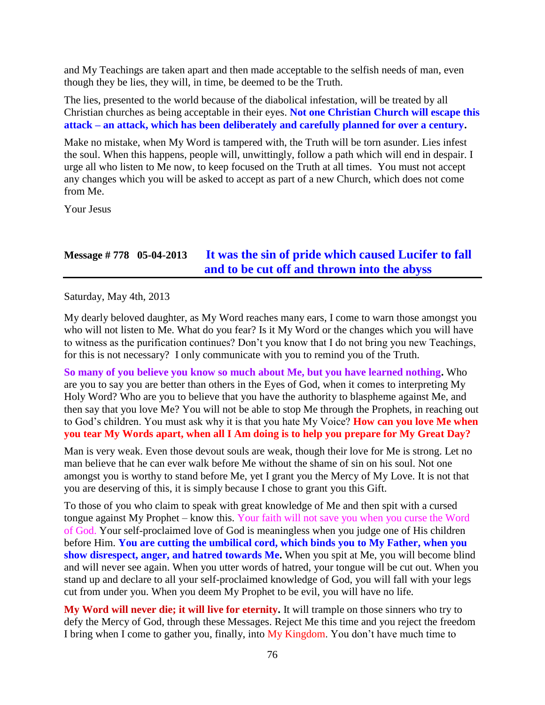and My Teachings are taken apart and then made acceptable to the selfish needs of man, even though they be lies, they will, in time, be deemed to be the Truth.

The lies, presented to the world because of the diabolical infestation, will be treated by all Christian churches as being acceptable in their eyes. **Not one Christian Church will escape this attack – an attack, which has been deliberately and carefully planned for over a century.**

Make no mistake, when My Word is tampered with, the Truth will be torn asunder. Lies infest the soul. When this happens, people will, unwittingly, follow a path which will end in despair. I urge all who listen to Me now, to keep focused on the Truth at all times. You must not accept any changes which you will be asked to accept as part of a new Church, which does not come from Me.

Your Jesus

# **Message # 778 05-04-2013 [It was the sin of pride which caused Lucifer to fall](http://www.thewarningsecondcoming.com/it-was-the-sin-of-pride-which-caused-lucifer-to-fall-and-to-be-cut-off-and-thrown-into-the-abyss/)  [and to be cut off and thrown into the abyss](http://www.thewarningsecondcoming.com/it-was-the-sin-of-pride-which-caused-lucifer-to-fall-and-to-be-cut-off-and-thrown-into-the-abyss/)**

Saturday, May 4th, 2013

My dearly beloved daughter, as My Word reaches many ears, I come to warn those amongst you who will not listen to Me. What do you fear? Is it My Word or the changes which you will have to witness as the purification continues? Don't you know that I do not bring you new Teachings, for this is not necessary? I only communicate with you to remind you of the Truth.

**So many of you believe you know so much about Me, but you have learned nothing.** Who are you to say you are better than others in the Eyes of God, when it comes to interpreting My Holy Word? Who are you to believe that you have the authority to blaspheme against Me, and then say that you love Me? You will not be able to stop Me through the Prophets, in reaching out to God's children. You must ask why it is that you hate My Voice? **How can you love Me when you tear My Words apart, when all I Am doing is to help you prepare for My Great Day?**

Man is very weak. Even those devout souls are weak, though their love for Me is strong. Let no man believe that he can ever walk before Me without the shame of sin on his soul. Not one amongst you is worthy to stand before Me, yet I grant you the Mercy of My Love. It is not that you are deserving of this, it is simply because I chose to grant you this Gift.

To those of you who claim to speak with great knowledge of Me and then spit with a cursed tongue against My Prophet – know this. Your faith will not save you when you curse the Word of God. Your self-proclaimed love of God is meaningless when you judge one of His children before Him. **You are cutting the umbilical cord, which binds you to My Father, when you show disrespect, anger, and hatred towards Me.** When you spit at Me, you will become blind and will never see again. When you utter words of hatred, your tongue will be cut out. When you stand up and declare to all your self-proclaimed knowledge of God, you will fall with your legs cut from under you. When you deem My Prophet to be evil, you will have no life.

**My Word will never die; it will live for eternity.** It will trample on those sinners who try to defy the Mercy of God, through these Messages. Reject Me this time and you reject the freedom I bring when I come to gather you, finally, into My Kingdom. You don't have much time to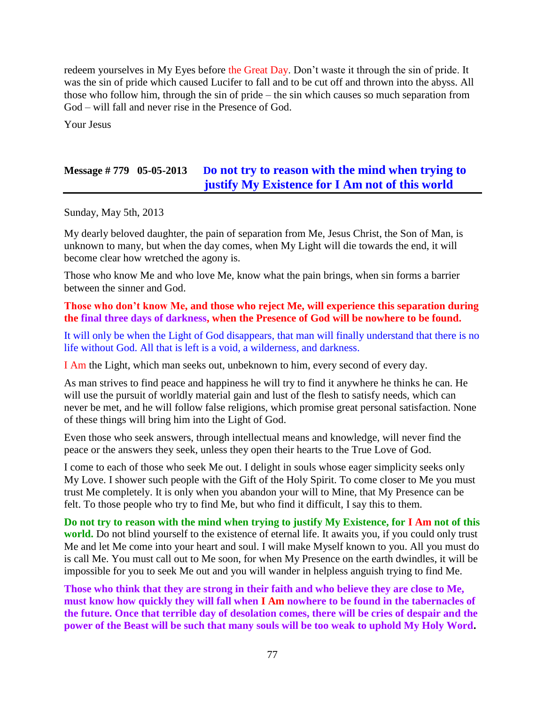redeem yourselves in My Eyes before the Great Day. Don't waste it through the sin of pride. It was the sin of pride which caused Lucifer to fall and to be cut off and thrown into the abyss. All those who follow him, through the sin of pride – the sin which causes so much separation from God – will fall and never rise in the Presence of God.

Your Jesus

# **Message # 779 05-05-2013 D[o not try to reason with the mind when trying to](http://www.thewarningsecondcoming.com/do-not-try-to-reason-with-the-mind-when-trying-to-justify-my-existence-for-i-am-not-of-this-world/)  [justify My Existence for I Am not of this world](http://www.thewarningsecondcoming.com/do-not-try-to-reason-with-the-mind-when-trying-to-justify-my-existence-for-i-am-not-of-this-world/)**

Sunday, May 5th, 2013

My dearly beloved daughter, the pain of separation from Me, Jesus Christ, the Son of Man, is unknown to many, but when the day comes, when My Light will die towards the end, it will become clear how wretched the agony is.

Those who know Me and who love Me, know what the pain brings, when sin forms a barrier between the sinner and God.

**Those who don't know Me, and those who reject Me, will experience this separation during the final three days of darkness, when the Presence of God will be nowhere to be found.**

It will only be when the Light of God disappears, that man will finally understand that there is no life without God. All that is left is a void, a wilderness, and darkness.

I Am the Light, which man seeks out, unbeknown to him, every second of every day.

As man strives to find peace and happiness he will try to find it anywhere he thinks he can. He will use the pursuit of worldly material gain and lust of the flesh to satisfy needs, which can never be met, and he will follow false religions, which promise great personal satisfaction. None of these things will bring him into the Light of God.

Even those who seek answers, through intellectual means and knowledge, will never find the peace or the answers they seek, unless they open their hearts to the True Love of God.

I come to each of those who seek Me out. I delight in souls whose eager simplicity seeks only My Love. I shower such people with the Gift of the Holy Spirit. To come closer to Me you must trust Me completely. It is only when you abandon your will to Mine, that My Presence can be felt. To those people who try to find Me, but who find it difficult, I say this to them.

**Do not try to reason with the mind when trying to justify My Existence, for I Am not of this world.** Do not blind yourself to the existence of eternal life. It awaits you, if you could only trust Me and let Me come into your heart and soul. I will make Myself known to you. All you must do is call Me. You must call out to Me soon, for when My Presence on the earth dwindles, it will be impossible for you to seek Me out and you will wander in helpless anguish trying to find Me.

**Those who think that they are strong in their faith and who believe they are close to Me, must know how quickly they will fall when I Am nowhere to be found in the tabernacles of the future. Once that terrible day of desolation comes, there will be cries of despair and the power of the Beast will be such that many souls will be too weak to uphold My Holy Word.**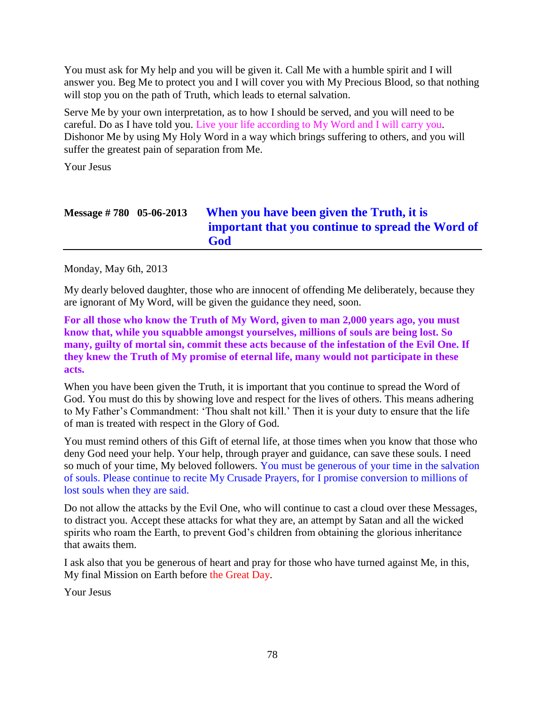You must ask for My help and you will be given it. Call Me with a humble spirit and I will answer you. Beg Me to protect you and I will cover you with My Precious Blood, so that nothing will stop you on the path of Truth, which leads to eternal salvation.

Serve Me by your own interpretation, as to how I should be served, and you will need to be careful. Do as I have told you. Live your life according to My Word and I will carry you. Dishonor Me by using My Holy Word in a way which brings suffering to others, and you will suffer the greatest pain of separation from Me.

Your Jesus

| Message $\# 780$ 05-06-2013 | When you have been given the Truth, it is<br>important that you continue to spread the Word of<br>God |
|-----------------------------|-------------------------------------------------------------------------------------------------------|
|-----------------------------|-------------------------------------------------------------------------------------------------------|

Monday, May 6th, 2013

My dearly beloved daughter, those who are innocent of offending Me deliberately, because they are ignorant of My Word, will be given the guidance they need, soon.

**For all those who know the Truth of My Word, given to man 2,000 years ago, you must know that, while you squabble amongst yourselves, millions of souls are being lost. So many, guilty of mortal sin, commit these acts because of the infestation of the Evil One. If they knew the Truth of My promise of eternal life, many would not participate in these acts.** 

When you have been given the Truth, it is important that you continue to spread the Word of God. You must do this by showing love and respect for the lives of others. This means adhering to My Father's Commandment: 'Thou shalt not kill.' Then it is your duty to ensure that the life of man is treated with respect in the Glory of God.

You must remind others of this Gift of eternal life, at those times when you know that those who deny God need your help. Your help, through prayer and guidance, can save these souls. I need so much of your time, My beloved followers. You must be generous of your time in the salvation of souls. Please continue to recite My Crusade Prayers, for I promise conversion to millions of lost souls when they are said.

Do not allow the attacks by the Evil One, who will continue to cast a cloud over these Messages, to distract you. Accept these attacks for what they are, an attempt by Satan and all the wicked spirits who roam the Earth, to prevent God's children from obtaining the glorious inheritance that awaits them.

I ask also that you be generous of heart and pray for those who have turned against Me, in this, My final Mission on Earth before the Great Day.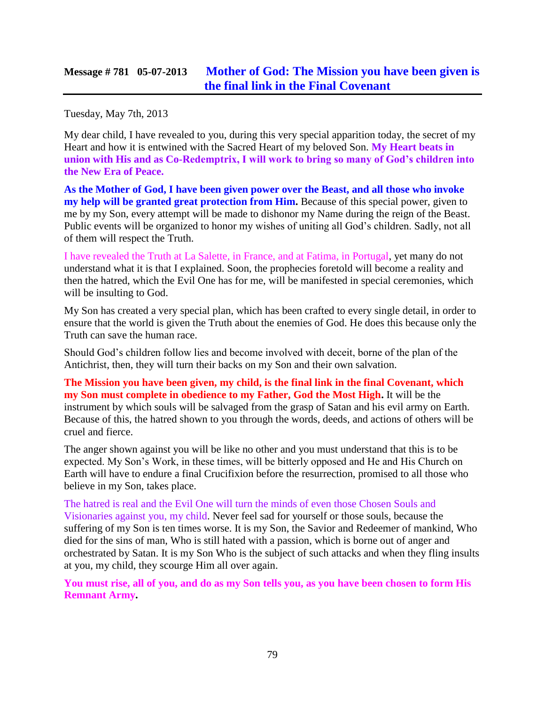### **Message # 781 05-07-2013 [Mother of God: The Mission you have been given is](http://www.thewarningsecondcoming.com/mother-of-god-the-mission-you-have-been-given-is-the-final-link-in-the-final-covenant/)  [the final link in the Final Covenant](http://www.thewarningsecondcoming.com/mother-of-god-the-mission-you-have-been-given-is-the-final-link-in-the-final-covenant/)**

Tuesday, May 7th, 2013

My dear child, I have revealed to you, during this very special apparition today, the secret of my Heart and how it is entwined with the Sacred Heart of my beloved Son. **My Heart beats in union with His and as Co-Redemptrix, I will work to bring so many of God's children into the New Era of Peace.**

**As the Mother of God, I have been given power over the Beast, and all those who invoke my help will be granted great protection from Him.** Because of this special power, given to me by my Son, every attempt will be made to dishonor my Name during the reign of the Beast. Public events will be organized to honor my wishes of uniting all God's children. Sadly, not all of them will respect the Truth.

I have revealed the Truth at La Salette, in France, and at Fatima, in Portugal, yet many do not understand what it is that I explained. Soon, the prophecies foretold will become a reality and then the hatred, which the Evil One has for me, will be manifested in special ceremonies, which will be insulting to God.

My Son has created a very special plan, which has been crafted to every single detail, in order to ensure that the world is given the Truth about the enemies of God. He does this because only the Truth can save the human race.

Should God's children follow lies and become involved with deceit, borne of the plan of the Antichrist, then, they will turn their backs on my Son and their own salvation.

**The Mission you have been given, my child, is the final link in the final Covenant, which my Son must complete in obedience to my Father, God the Most High.** It will be the instrument by which souls will be salvaged from the grasp of Satan and his evil army on Earth. Because of this, the hatred shown to you through the words, deeds, and actions of others will be cruel and fierce.

The anger shown against you will be like no other and you must understand that this is to be expected. My Son's Work, in these times, will be bitterly opposed and He and His Church on Earth will have to endure a final Crucifixion before the resurrection, promised to all those who believe in my Son, takes place.

The hatred is real and the Evil One will turn the minds of even those Chosen Souls and Visionaries against you, my child. Never feel sad for yourself or those souls, because the suffering of my Son is ten times worse. It is my Son, the Savior and Redeemer of mankind, Who died for the sins of man, Who is still hated with a passion, which is borne out of anger and orchestrated by Satan. It is my Son Who is the subject of such attacks and when they fling insults at you, my child, they scourge Him all over again.

**You must rise, all of you, and do as my Son tells you, as you have been chosen to form His Remnant Army.**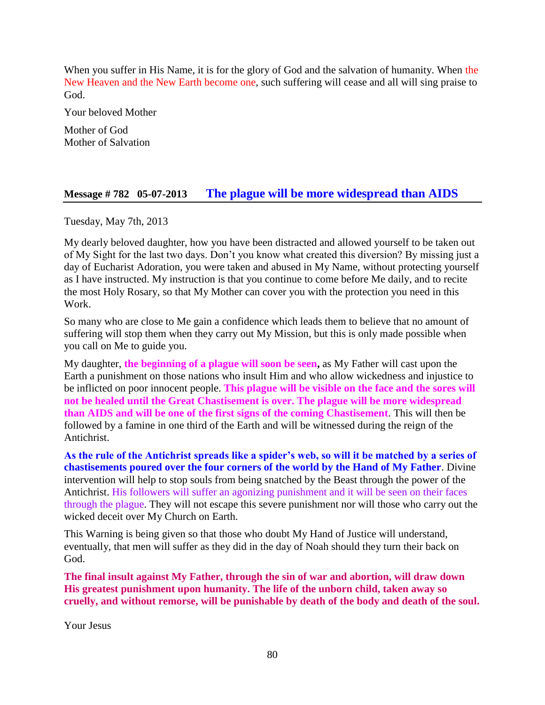When you suffer in His Name, it is for the glory of God and the salvation of humanity. When the New Heaven and the New Earth become one, such suffering will cease and all will sing praise to God.

Your beloved Mother

Mother of God Mother of Salvation

### **Message # 782 05-07-2013 [The plague will be more widespread than AIDS](http://www.thewarningsecondcoming.com/the-plague-will-be-more-widespread-than-aids/)**

Tuesday, May 7th, 2013

My dearly beloved daughter, how you have been distracted and allowed yourself to be taken out of My Sight for the last two days. Don't you know what created this diversion? By missing just a day of Eucharist Adoration, you were taken and abused in My Name, without protecting yourself as I have instructed. My instruction is that you continue to come before Me daily, and to recite the most Holy Rosary, so that My Mother can cover you with the protection you need in this Work.

So many who are close to Me gain a confidence which leads them to believe that no amount of suffering will stop them when they carry out My Mission, but this is only made possible when you call on Me to guide you.

My daughter, **the beginning of a plague will soon be seen,** as My Father will cast upon the Earth a punishment on those nations who insult Him and who allow wickedness and injustice to be inflicted on poor innocent people. **This plague will be visible on the face and the sores will not be healed until the Great Chastisement is over. The plague will be more widespread than AIDS and will be one of the first signs of the coming Chastisement**. This will then be followed by a famine in one third of the Earth and will be witnessed during the reign of the Antichrist.

**As the rule of the Antichrist spreads like a spider's web, so will it be matched by a series of chastisements poured over the four corners of the world by the Hand of My Father**. Divine intervention will help to stop souls from being snatched by the Beast through the power of the Antichrist. His followers will suffer an agonizing punishment and it will be seen on their faces through the plague. They will not escape this severe punishment nor will those who carry out the wicked deceit over My Church on Earth.

This Warning is being given so that those who doubt My Hand of Justice will understand, eventually, that men will suffer as they did in the day of Noah should they turn their back on God.

**The final insult against My Father, through the sin of war and abortion, will draw down His greatest punishment upon humanity. The life of the unborn child, taken away so cruelly, and without remorse, will be punishable by death of the body and death of the soul.**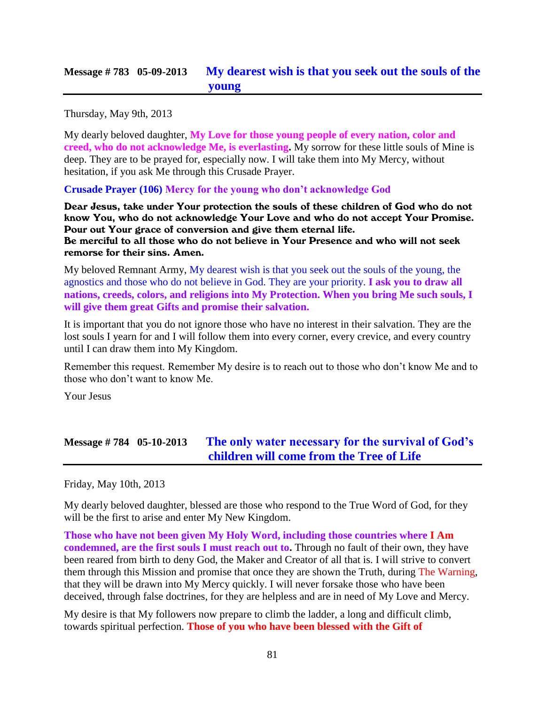### **Message # 783 05-09-2013 [My dearest wish is that you seek out the souls of the](http://www.thewarningsecondcoming.com/my-dearest-wish-is-that-you-seek-out-the-souls-of-the-young/)  [young](http://www.thewarningsecondcoming.com/my-dearest-wish-is-that-you-seek-out-the-souls-of-the-young/)**

Thursday, May 9th, 2013

My dearly beloved daughter, **My Love for those young people of every nation, color and creed, who do not acknowledge Me, is everlasting.** My sorrow for these little souls of Mine is deep. They are to be prayed for, especially now. I will take them into My Mercy, without hesitation, if you ask Me through this Crusade Prayer.

**Crusade Prayer (106) Mercy for the young who don't acknowledge God**

Dear Jesus, take under Your protection the souls of these children of God who do not know You, who do not acknowledge Your Love and who do not accept Your Promise. Pour out Your grace of conversion and give them eternal life. Be merciful to all those who do not believe in Your Presence and who will not seek remorse for their sins. Amen.

My beloved Remnant Army, My dearest wish is that you seek out the souls of the young, the agnostics and those who do not believe in God. They are your priority. **I ask you to draw all nations, creeds, colors, and religions into My Protection. When you bring Me such souls, I will give them great Gifts and promise their salvation.**

It is important that you do not ignore those who have no interest in their salvation. They are the lost souls I yearn for and I will follow them into every corner, every crevice, and every country until I can draw them into My Kingdom.

Remember this request. Remember My desire is to reach out to those who don't know Me and to those who don't want to know Me.

Your Jesus

# **Message # 784 05-10-2013 The [only water necessary for the survival of God's](http://www.thewarningsecondcoming.com/the-only-water-necessary-for-the-survival-of-gods-children-will-come-from-the-tree-of-life/)  [children will come from the Tree of Life](http://www.thewarningsecondcoming.com/the-only-water-necessary-for-the-survival-of-gods-children-will-come-from-the-tree-of-life/)**

Friday, May 10th, 2013

My dearly beloved daughter, blessed are those who respond to the True Word of God, for they will be the first to arise and enter My New Kingdom.

**Those who have not been given My Holy Word, including those countries where I Am condemned, are the first souls I must reach out to.** Through no fault of their own, they have been reared from birth to deny God, the Maker and Creator of all that is. I will strive to convert them through this Mission and promise that once they are shown the Truth, during The Warning, that they will be drawn into My Mercy quickly. I will never forsake those who have been deceived, through false doctrines, for they are helpless and are in need of My Love and Mercy.

My desire is that My followers now prepare to climb the ladder, a long and difficult climb, towards spiritual perfection. **Those of you who have been blessed with the Gift of**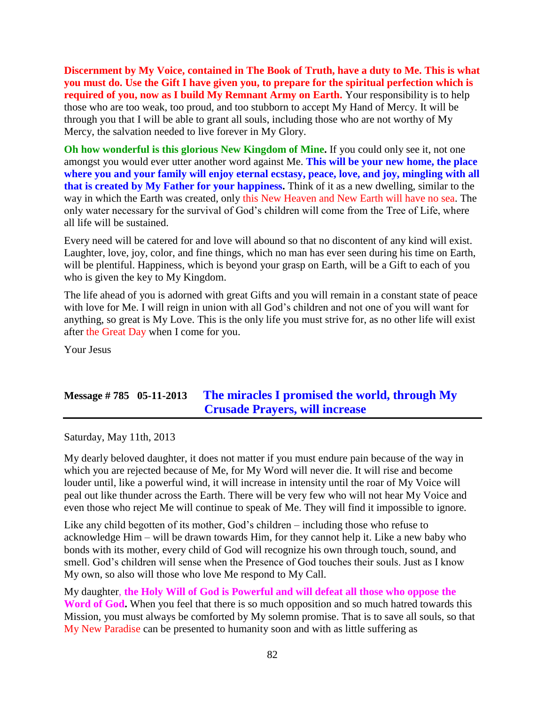**Discernment by My Voice, contained in The Book of Truth, have a duty to Me. This is what you must do. Use the Gift I have given you, to prepare for the spiritual perfection which is required of you, now as I build My Remnant Army on Earth.** Your responsibility is to help those who are too weak, too proud, and too stubborn to accept My Hand of Mercy. It will be through you that I will be able to grant all souls, including those who are not worthy of My Mercy, the salvation needed to live forever in My Glory.

**Oh how wonderful is this glorious New Kingdom of Mine.** If you could only see it, not one amongst you would ever utter another word against Me. **This will be your new home, the place where you and your family will enjoy eternal ecstasy, peace, love, and joy, mingling with all that is created by My Father for your happiness.** Think of it as a new dwelling, similar to the way in which the Earth was created, only this New Heaven and New Earth will have no sea. The only water necessary for the survival of God's children will come from the Tree of Life, where all life will be sustained.

Every need will be catered for and love will abound so that no discontent of any kind will exist. Laughter, love, joy, color, and fine things, which no man has ever seen during his time on Earth, will be plentiful. Happiness, which is beyond your grasp on Earth, will be a Gift to each of you who is given the key to My Kingdom.

The life ahead of you is adorned with great Gifts and you will remain in a constant state of peace with love for Me. I will reign in union with all God's children and not one of you will want for anything, so great is My Love. This is the only life you must strive for, as no other life will exist after the Great Day when I come for you.

Your Jesus

### **Message # 785 05-11-2013 [The miracles I promised the world, through My](http://www.thewarningsecondcoming.com/the-miracles-i-promised-the-world-through-my-crusade-prayers-will-increase/)  [Crusade Prayers, will increase](http://www.thewarningsecondcoming.com/the-miracles-i-promised-the-world-through-my-crusade-prayers-will-increase/)**

Saturday, May 11th, 2013

My dearly beloved daughter, it does not matter if you must endure pain because of the way in which you are rejected because of Me, for My Word will never die. It will rise and become louder until, like a powerful wind, it will increase in intensity until the roar of My Voice will peal out like thunder across the Earth. There will be very few who will not hear My Voice and even those who reject Me will continue to speak of Me. They will find it impossible to ignore.

Like any child begotten of its mother, God's children – including those who refuse to acknowledge Him – will be drawn towards Him, for they cannot help it. Like a new baby who bonds with its mother, every child of God will recognize his own through touch, sound, and smell. God's children will sense when the Presence of God touches their souls. Just as I know My own, so also will those who love Me respond to My Call.

My daughter, **the Holy Will of God is Powerful and will defeat all those who oppose the Word of God.** When you feel that there is so much opposition and so much hatred towards this Mission, you must always be comforted by My solemn promise. That is to save all souls, so that My New Paradise can be presented to humanity soon and with as little suffering as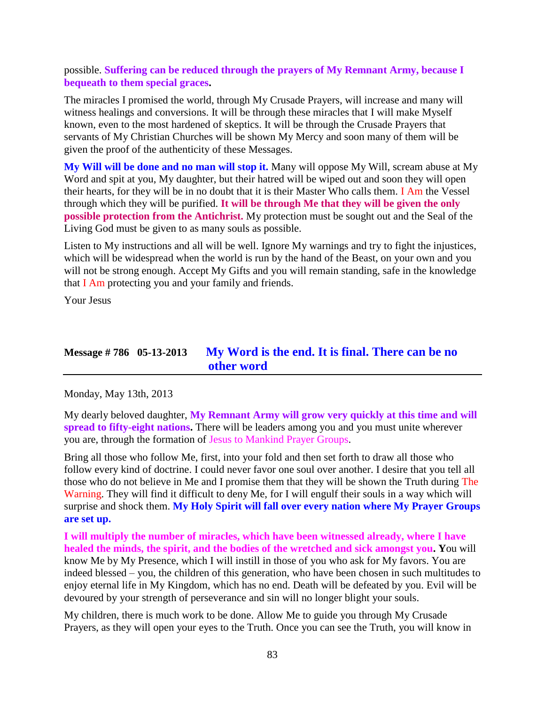possible. **Suffering can be reduced through the prayers of My Remnant Army, because I bequeath to them special graces.**

The miracles I promised the world, through My Crusade Prayers, will increase and many will witness healings and conversions. It will be through these miracles that I will make Myself known, even to the most hardened of skeptics. It will be through the Crusade Prayers that servants of My Christian Churches will be shown My Mercy and soon many of them will be given the proof of the authenticity of these Messages.

**My Will will be done and no man will stop it.** Many will oppose My Will, scream abuse at My Word and spit at you, My daughter, but their hatred will be wiped out and soon they will open their hearts, for they will be in no doubt that it is their Master Who calls them. I Am the Vessel through which they will be purified. **It will be through Me that they will be given the only possible protection from the Antichrist.** My protection must be sought out and the Seal of the Living God must be given to as many souls as possible.

Listen to My instructions and all will be well. Ignore My warnings and try to fight the injustices, which will be widespread when the world is run by the hand of the Beast, on your own and you will not be strong enough. Accept My Gifts and you will remain standing, safe in the knowledge that I Am protecting you and your family and friends.

Your Jesus

### **Message # 786 05-13-2013 [My Word is the end. It is final. There can be no](http://www.thewarningsecondcoming.com/my-word-is-the-end-it-is-final-there-can-be-no-other-word/)  [other word](http://www.thewarningsecondcoming.com/my-word-is-the-end-it-is-final-there-can-be-no-other-word/)**

Monday, May 13th, 2013

My dearly beloved daughter, **My Remnant Army will grow very quickly at this time and will spread to fifty-eight nations.** There will be leaders among you and you must unite wherever you are, through the formation of Jesus to Mankind Prayer Groups.

Bring all those who follow Me, first, into your fold and then set forth to draw all those who follow every kind of doctrine. I could never favor one soul over another. I desire that you tell all those who do not believe in Me and I promise them that they will be shown the Truth during The Warning. They will find it difficult to deny Me, for I will engulf their souls in a way which will surprise and shock them. **My Holy Spirit will fall over every nation where My Prayer Groups are set up.**

**I will multiply the number of miracles, which have been witnessed already, where I have healed the minds, the spirit, and the bodies of the wretched and sick amongst you. Y**ou will know Me by My Presence, which I will instill in those of you who ask for My favors. You are indeed blessed – you, the children of this generation, who have been chosen in such multitudes to enjoy eternal life in My Kingdom, which has no end. Death will be defeated by you. Evil will be devoured by your strength of perseverance and sin will no longer blight your souls.

My children, there is much work to be done. Allow Me to guide you through My Crusade Prayers, as they will open your eyes to the Truth. Once you can see the Truth, you will know in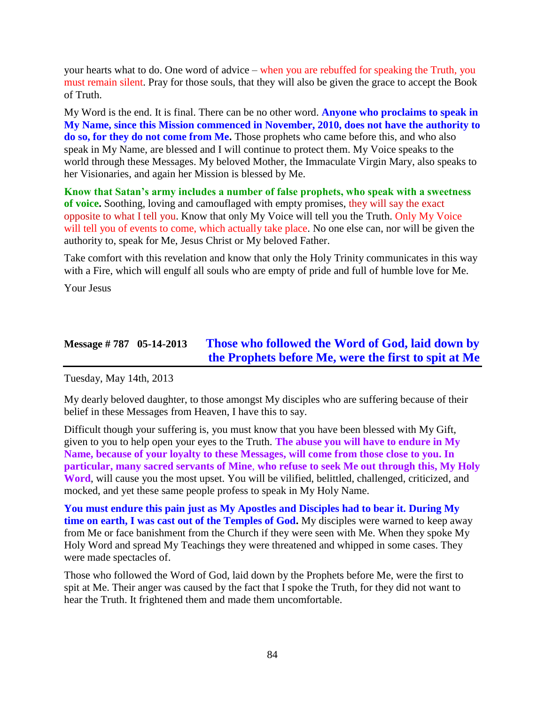your hearts what to do. One word of advice – when you are rebuffed for speaking the Truth, you must remain silent. Pray for those souls, that they will also be given the grace to accept the Book of Truth.

My Word is the end. It is final. There can be no other word. **Anyone who proclaims to speak in My Name, since this Mission commenced in November, 2010, does not have the authority to do so, for they do not come from Me.** Those prophets who came before this, and who also speak in My Name, are blessed and I will continue to protect them. My Voice speaks to the world through these Messages. My beloved Mother, the Immaculate Virgin Mary, also speaks to her Visionaries, and again her Mission is blessed by Me.

**Know that Satan's army includes a number of false prophets, who speak with a sweetness of voice.** Soothing, loving and camouflaged with empty promises, they will say the exact opposite to what I tell you. Know that only My Voice will tell you the Truth. Only My Voice will tell you of events to come, which actually take place. No one else can, nor will be given the authority to, speak for Me, Jesus Christ or My beloved Father.

Take comfort with this revelation and know that only the Holy Trinity communicates in this way with a Fire, which will engulf all souls who are empty of pride and full of humble love for Me.

Your Jesus

# **Message # 787 05-14-2013 Those who followed the [Word of God, laid down by](http://www.thewarningsecondcoming.com/those-who-followed-the-word-of-god-laid-down-by-the-prophets-before-me-were-the-first-to-spit-at-me/)  [the Prophets before Me, were the first to spit at Me](http://www.thewarningsecondcoming.com/those-who-followed-the-word-of-god-laid-down-by-the-prophets-before-me-were-the-first-to-spit-at-me/)**

Tuesday, May 14th, 2013

My dearly beloved daughter, to those amongst My disciples who are suffering because of their belief in these Messages from Heaven, I have this to say.

Difficult though your suffering is, you must know that you have been blessed with My Gift, given to you to help open your eyes to the Truth. **The abuse you will have to endure in My Name, because of your loyalty to these Messages, will come from those close to you. In particular, many sacred servants of Mine**, **who refuse to seek Me out through this, My Holy Word**, will cause you the most upset. You will be vilified, belittled, challenged, criticized, and mocked, and yet these same people profess to speak in My Holy Name.

**You must endure this pain just as My Apostles and Disciples had to bear it. During My time on earth, I was cast out of the Temples of God.** My disciples were warned to keep away from Me or face banishment from the Church if they were seen with Me. When they spoke My Holy Word and spread My Teachings they were threatened and whipped in some cases. They were made spectacles of.

Those who followed the Word of God, laid down by the Prophets before Me, were the first to spit at Me. Their anger was caused by the fact that I spoke the Truth, for they did not want to hear the Truth. It frightened them and made them uncomfortable.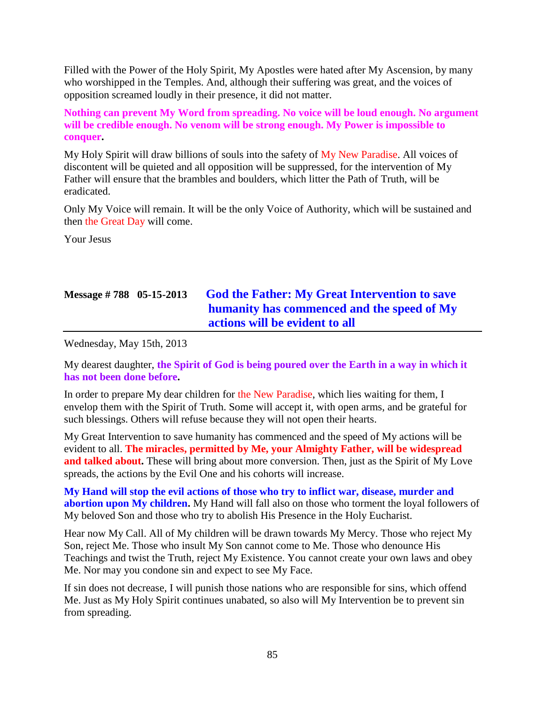Filled with the Power of the Holy Spirit, My Apostles were hated after My Ascension, by many who worshipped in the Temples. And, although their suffering was great, and the voices of opposition screamed loudly in their presence, it did not matter.

**Nothing can prevent My Word from spreading. No voice will be loud enough. No argument will be credible enough. No venom will be strong enough. My Power is impossible to conquer.**

My Holy Spirit will draw billions of souls into the safety of My New Paradise. All voices of discontent will be quieted and all opposition will be suppressed, for the intervention of My Father will ensure that the brambles and boulders, which litter the Path of Truth, will be eradicated.

Only My Voice will remain. It will be the only Voice of Authority, which will be sustained and then the Great Day will come.

Your Jesus

# **Message # 788 05-15-2013 [God the Father: My Great Intervention to save](http://www.thewarningsecondcoming.com/god-the-father-my-great-intervention-to-save-humanity-has-commenced-and-the-speed-of-my-actions-will-be-evident-to-all/)  [humanity has commenced and the speed of My](http://www.thewarningsecondcoming.com/god-the-father-my-great-intervention-to-save-humanity-has-commenced-and-the-speed-of-my-actions-will-be-evident-to-all/)  [actions will be evident to all](http://www.thewarningsecondcoming.com/god-the-father-my-great-intervention-to-save-humanity-has-commenced-and-the-speed-of-my-actions-will-be-evident-to-all/)**

Wednesday, May 15th, 2013

My dearest daughter, **the Spirit of God is being poured over the Earth in a way in which it has not been done before.**

In order to prepare My dear children for the New Paradise, which lies waiting for them, I envelop them with the Spirit of Truth. Some will accept it, with open arms, and be grateful for such blessings. Others will refuse because they will not open their hearts.

My Great Intervention to save humanity has commenced and the speed of My actions will be evident to all. **The miracles, permitted by Me, your Almighty Father, will be widespread and talked about.** These will bring about more conversion. Then, just as the Spirit of My Love spreads, the actions by the Evil One and his cohorts will increase.

**My Hand will stop the evil actions of those who try to inflict war, disease, murder and abortion upon My children.** My Hand will fall also on those who torment the loyal followers of My beloved Son and those who try to abolish His Presence in the Holy Eucharist.

Hear now My Call. All of My children will be drawn towards My Mercy. Those who reject My Son, reject Me. Those who insult My Son cannot come to Me. Those who denounce His Teachings and twist the Truth, reject My Existence. You cannot create your own laws and obey Me. Nor may you condone sin and expect to see My Face.

If sin does not decrease, I will punish those nations who are responsible for sins, which offend Me. Just as My Holy Spirit continues unabated, so also will My Intervention be to prevent sin from spreading.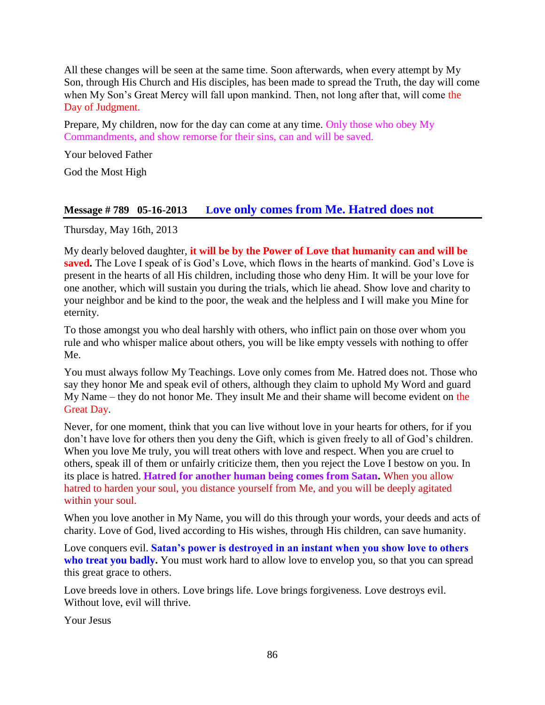All these changes will be seen at the same time. Soon afterwards, when every attempt by My Son, through His Church and His disciples, has been made to spread the Truth, the day will come when My Son's Great Mercy will fall upon mankind. Then, not long after that, will come the Day of Judgment.

Prepare, My children, now for the day can come at any time. Only those who obey My Commandments, and show remorse for their sins, can and will be saved.

Your beloved Father

God the Most High

### **Message # 789 05-16-2013 L[ove only comes from Me. Hatred does not](http://www.thewarningsecondcoming.com/love-only-comes-from-me-hatred-does-not/)**

Thursday, May 16th, 2013

My dearly beloved daughter, **it will be by the Power of Love that humanity can and will be saved.** The Love I speak of is God's Love, which flows in the hearts of mankind. God's Love is present in the hearts of all His children, including those who deny Him. It will be your love for one another, which will sustain you during the trials, which lie ahead. Show love and charity to your neighbor and be kind to the poor, the weak and the helpless and I will make you Mine for eternity.

To those amongst you who deal harshly with others, who inflict pain on those over whom you rule and who whisper malice about others, you will be like empty vessels with nothing to offer Me.

You must always follow My Teachings. Love only comes from Me. Hatred does not. Those who say they honor Me and speak evil of others, although they claim to uphold My Word and guard My Name – they do not honor Me. They insult Me and their shame will become evident on the Great Day.

Never, for one moment, think that you can live without love in your hearts for others, for if you don't have love for others then you deny the Gift, which is given freely to all of God's children. When you love Me truly, you will treat others with love and respect. When you are cruel to others, speak ill of them or unfairly criticize them, then you reject the Love I bestow on you. In its place is hatred. **Hatred for another human being comes from Satan.** When you allow hatred to harden your soul, you distance yourself from Me, and you will be deeply agitated within your soul.

When you love another in My Name, you will do this through your words, your deeds and acts of charity. Love of God, lived according to His wishes, through His children, can save humanity.

Love conquers evil. **Satan's power is destroyed in an instant when you show love to others**  who treat you badly. You must work hard to allow love to envelop you, so that you can spread this great grace to others.

Love breeds love in others. Love brings life. Love brings forgiveness. Love destroys evil. Without love, evil will thrive.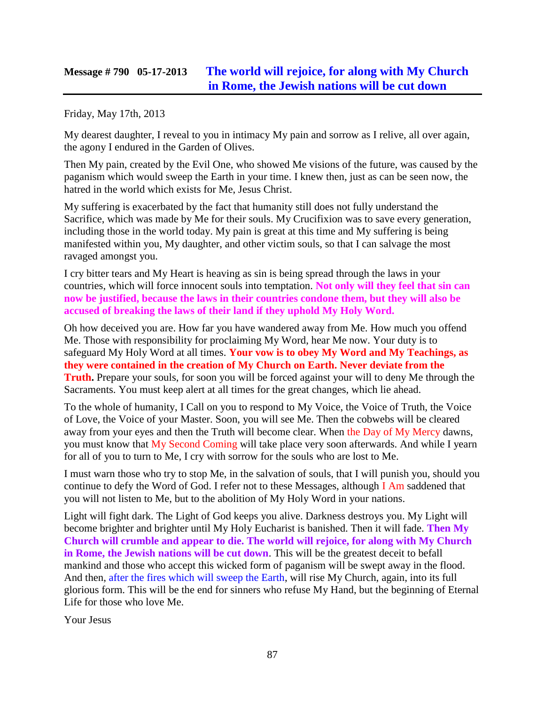### **Message # 790 05-17-2013 [The world will rejoice, for along with My Church](http://www.thewarningsecondcoming.com/the-world-will-rejoice-for-along-with-my-church-in-rome-the-jewish-nations-will-be-cut-down/)  [in Rome, the Jewish nations will be cut down](http://www.thewarningsecondcoming.com/the-world-will-rejoice-for-along-with-my-church-in-rome-the-jewish-nations-will-be-cut-down/)**

Friday, May 17th, 2013

My dearest daughter, I reveal to you in intimacy My pain and sorrow as I relive, all over again, the agony I endured in the Garden of Olives.

Then My pain, created by the Evil One, who showed Me visions of the future, was caused by the paganism which would sweep the Earth in your time. I knew then, just as can be seen now, the hatred in the world which exists for Me, Jesus Christ.

My suffering is exacerbated by the fact that humanity still does not fully understand the Sacrifice, which was made by Me for their souls. My Crucifixion was to save every generation, including those in the world today. My pain is great at this time and My suffering is being manifested within you, My daughter, and other victim souls, so that I can salvage the most ravaged amongst you.

I cry bitter tears and My Heart is heaving as sin is being spread through the laws in your countries, which will force innocent souls into temptation. **Not only will they feel that sin can now be justified, because the laws in their countries condone them, but they will also be accused of breaking the laws of their land if they uphold My Holy Word.**

Oh how deceived you are. How far you have wandered away from Me. How much you offend Me. Those with responsibility for proclaiming My Word, hear Me now. Your duty is to safeguard My Holy Word at all times. **Your vow is to obey My Word and My Teachings, as they were contained in the creation of My Church on Earth. Never deviate from the Truth.** Prepare your souls, for soon you will be forced against your will to deny Me through the Sacraments. You must keep alert at all times for the great changes, which lie ahead.

To the whole of humanity, I Call on you to respond to My Voice, the Voice of Truth, the Voice of Love, the Voice of your Master. Soon, you will see Me. Then the cobwebs will be cleared away from your eyes and then the Truth will become clear. When the Day of My Mercy dawns, you must know that My Second Coming will take place very soon afterwards. And while I yearn for all of you to turn to Me, I cry with sorrow for the souls who are lost to Me.

I must warn those who try to stop Me, in the salvation of souls, that I will punish you, should you continue to defy the Word of God. I refer not to these Messages, although I Am saddened that you will not listen to Me, but to the abolition of My Holy Word in your nations.

Light will fight dark. The Light of God keeps you alive. Darkness destroys you. My Light will become brighter and brighter until My Holy Eucharist is banished. Then it will fade. **Then My Church will crumble and appear to die. The world will rejoice, for along with My Church in Rome, the Jewish nations will be cut down**. This will be the greatest deceit to befall mankind and those who accept this wicked form of paganism will be swept away in the flood. And then, after the fires which will sweep the Earth, will rise My Church, again, into its full glorious form. This will be the end for sinners who refuse My Hand, but the beginning of Eternal Life for those who love Me.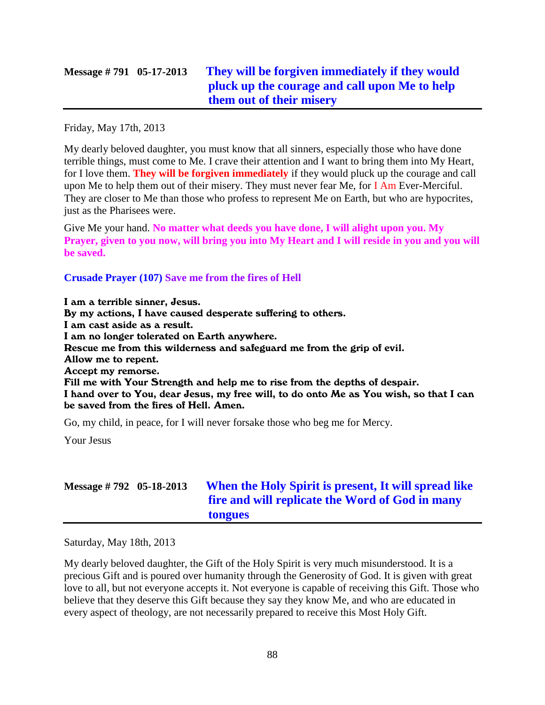# **Message # 791 05-17-2013 [They will be forgiven immediately if they would](http://www.thewarningsecondcoming.com/they-will-be-forgiven-immediately-if-they-would-pluck-up-the-courage-and-call-upon-me-to-help-them-out-of-their-misery/)  [pluck up the courage and call upon Me to help](http://www.thewarningsecondcoming.com/they-will-be-forgiven-immediately-if-they-would-pluck-up-the-courage-and-call-upon-me-to-help-them-out-of-their-misery/)  [them out of their misery](http://www.thewarningsecondcoming.com/they-will-be-forgiven-immediately-if-they-would-pluck-up-the-courage-and-call-upon-me-to-help-them-out-of-their-misery/)**

Friday, May 17th, 2013

My dearly beloved daughter, you must know that all sinners, especially those who have done terrible things, must come to Me. I crave their attention and I want to bring them into My Heart, for I love them. **They will be forgiven immediately** if they would pluck up the courage and call upon Me to help them out of their misery. They must never fear Me, for I Am Ever-Merciful. They are closer to Me than those who profess to represent Me on Earth, but who are hypocrites, just as the Pharisees were.

Give Me your hand. **No matter what deeds you have done, I will alight upon you. My Prayer, given to you now, will bring you into My Heart and I will reside in you and you will be saved.**

#### **Crusade Prayer (107) Save me from the fires of Hell**

I am a terrible sinner, Jesus. By my actions, I have caused desperate suffering to others. I am cast aside as a result. I am no longer tolerated on Earth anywhere. Rescue me from this wilderness and safeguard me from the grip of evil. Allow me to repent. Accept my remorse. Fill me with Your Strength and help me to rise from the depths of despair. I hand over to You, dear Jesus, my free will, to do onto Me as You wish, so that I can be saved from the fires of Hell. Amen.

Go, my child, in peace, for I will never forsake those who beg me for Mercy.

Your Jesus

| Message $\# 792 \quad 05-18-2013$ | When the Holy Spirit is present, It will spread like |
|-----------------------------------|------------------------------------------------------|
|                                   | fire and will replicate the Word of God in many      |
|                                   | tongues                                              |

Saturday, May 18th, 2013

My dearly beloved daughter, the Gift of the Holy Spirit is very much misunderstood. It is a precious Gift and is poured over humanity through the Generosity of God. It is given with great love to all, but not everyone accepts it. Not everyone is capable of receiving this Gift. Those who believe that they deserve this Gift because they say they know Me, and who are educated in every aspect of theology, are not necessarily prepared to receive this Most Holy Gift.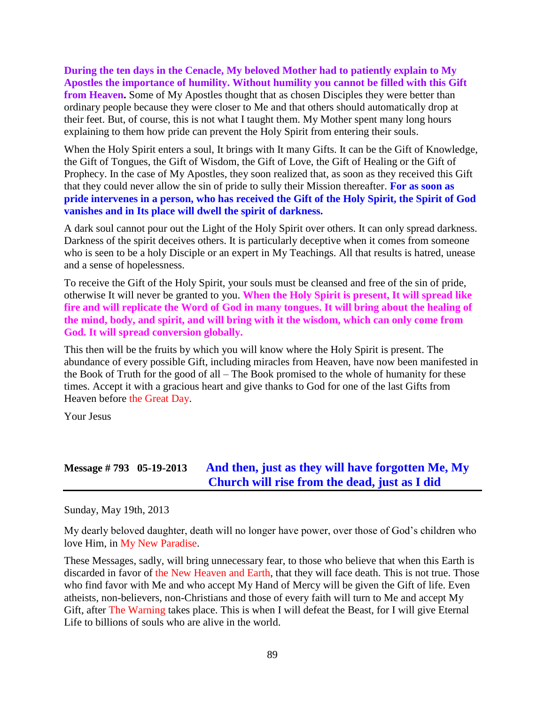**During the ten days in the Cenacle, My beloved Mother had to patiently explain to My Apostles the importance of humility. Without humility you cannot be filled with this Gift from Heaven.** Some of My Apostles thought that as chosen Disciples they were better than ordinary people because they were closer to Me and that others should automatically drop at their feet. But, of course, this is not what I taught them. My Mother spent many long hours explaining to them how pride can prevent the Holy Spirit from entering their souls.

When the Holy Spirit enters a soul, It brings with It many Gifts. It can be the Gift of Knowledge, the Gift of Tongues, the Gift of Wisdom, the Gift of Love, the Gift of Healing or the Gift of Prophecy. In the case of My Apostles, they soon realized that, as soon as they received this Gift that they could never allow the sin of pride to sully their Mission thereafter. **For as soon as pride intervenes in a person, who has received the Gift of the Holy Spirit, the Spirit of God vanishes and in Its place will dwell the spirit of darkness.**

A dark soul cannot pour out the Light of the Holy Spirit over others. It can only spread darkness. Darkness of the spirit deceives others. It is particularly deceptive when it comes from someone who is seen to be a holy Disciple or an expert in My Teachings. All that results is hatred, unease and a sense of hopelessness.

To receive the Gift of the Holy Spirit, your souls must be cleansed and free of the sin of pride, otherwise It will never be granted to you. **When the Holy Spirit is present, It will spread like fire and will replicate the Word of God in many tongues. It will bring about the healing of the mind, body, and spirit, and will bring with it the wisdom, which can only come from God. It will spread conversion globally.**

This then will be the fruits by which you will know where the Holy Spirit is present. The abundance of every possible Gift, including miracles from Heaven, have now been manifested in the Book of Truth for the good of all – The Book promised to the whole of humanity for these times. Accept it with a gracious heart and give thanks to God for one of the last Gifts from Heaven before the Great Day.

Your Jesus

### **Message # 793 05-19-2013 [And then, just as they will have forgotten Me, My](http://www.thewarningsecondcoming.com/and-then-just-as-they-will-have-forgotten-me-my-church-will-rise-from-the-dead-just-as-i-did/)  [Church will rise from the dead, just as I did](http://www.thewarningsecondcoming.com/and-then-just-as-they-will-have-forgotten-me-my-church-will-rise-from-the-dead-just-as-i-did/)**

Sunday, May 19th, 2013

My dearly beloved daughter, death will no longer have power, over those of God's children who love Him, in My New Paradise.

These Messages, sadly, will bring unnecessary fear, to those who believe that when this Earth is discarded in favor of the New Heaven and Earth, that they will face death. This is not true. Those who find favor with Me and who accept My Hand of Mercy will be given the Gift of life. Even atheists, non-believers, non-Christians and those of every faith will turn to Me and accept My Gift, after The Warning takes place. This is when I will defeat the Beast, for I will give Eternal Life to billions of souls who are alive in the world.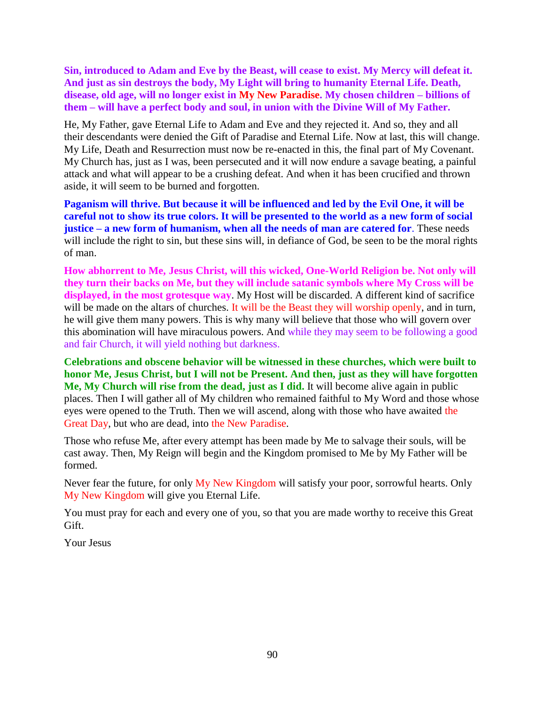**Sin, introduced to Adam and Eve by the Beast, will cease to exist. My Mercy will defeat it. And just as sin destroys the body, My Light will bring to humanity Eternal Life. Death, disease, old age, will no longer exist in My New Paradise. My chosen children – billions of them – will have a perfect body and soul, in union with the Divine Will of My Father.**

He, My Father, gave Eternal Life to Adam and Eve and they rejected it. And so, they and all their descendants were denied the Gift of Paradise and Eternal Life. Now at last, this will change. My Life, Death and Resurrection must now be re-enacted in this, the final part of My Covenant. My Church has, just as I was, been persecuted and it will now endure a savage beating, a painful attack and what will appear to be a crushing defeat. And when it has been crucified and thrown aside, it will seem to be burned and forgotten.

**Paganism will thrive. But because it will be influenced and led by the Evil One, it will be careful not to show its true colors. It will be presented to the world as a new form of social justice – a new form of humanism, when all the needs of man are catered for**. These needs will include the right to sin, but these sins will, in defiance of God, be seen to be the moral rights of man.

**How abhorrent to Me, Jesus Christ, will this wicked, One-World Religion be. Not only will they turn their backs on Me, but they will include satanic symbols where My Cross will be displayed, in the most grotesque way**. My Host will be discarded. A different kind of sacrifice will be made on the altars of churches. It will be the Beast they will worship openly, and in turn, he will give them many powers. This is why many will believe that those who will govern over this abomination will have miraculous powers. And while they may seem to be following a good and fair Church, it will yield nothing but darkness.

**Celebrations and obscene behavior will be witnessed in these churches, which were built to honor Me, Jesus Christ, but I will not be Present. And then, just as they will have forgotten Me, My Church will rise from the dead, just as I did.** It will become alive again in public places. Then I will gather all of My children who remained faithful to My Word and those whose eyes were opened to the Truth. Then we will ascend, along with those who have awaited the Great Day, but who are dead, into the New Paradise.

Those who refuse Me, after every attempt has been made by Me to salvage their souls, will be cast away. Then, My Reign will begin and the Kingdom promised to Me by My Father will be formed.

Never fear the future, for only My New Kingdom will satisfy your poor, sorrowful hearts. Only My New Kingdom will give you Eternal Life.

You must pray for each and every one of you, so that you are made worthy to receive this Great Gift.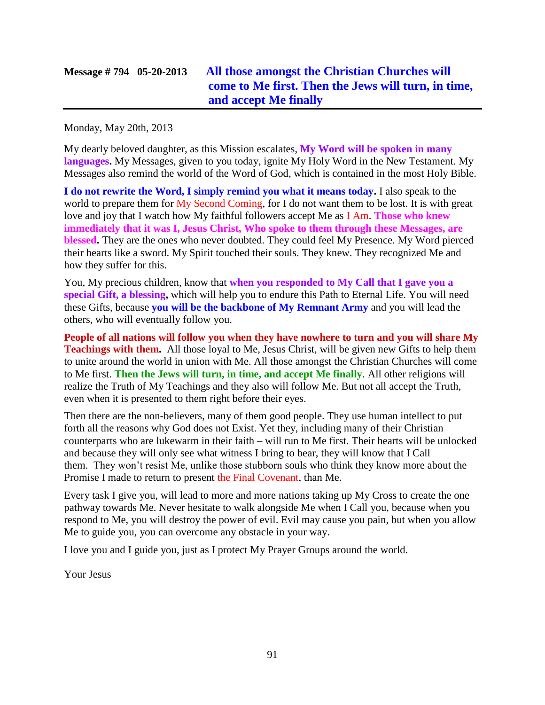# **Message # 794 05-20-2013 [All those amongst the Christian Churches will](http://www.thewarningsecondcoming.com/all-those-amongst-the-christian-churches-will-come-to-me-first-then-the-jews-will-turn-in-time-and-accept-me-finally/)  [come to Me first. Then the Jews will turn, in time,](http://www.thewarningsecondcoming.com/all-those-amongst-the-christian-churches-will-come-to-me-first-then-the-jews-will-turn-in-time-and-accept-me-finally/)  [and accept Me finally](http://www.thewarningsecondcoming.com/all-those-amongst-the-christian-churches-will-come-to-me-first-then-the-jews-will-turn-in-time-and-accept-me-finally/)**

Monday, May 20th, 2013

My dearly beloved daughter, as this Mission escalates, **My Word will be spoken in many languages.** My Messages, given to you today, ignite My Holy Word in the New Testament. My Messages also remind the world of the Word of God, which is contained in the most Holy Bible.

**I do not rewrite the Word, I simply remind you what it means today.** I also speak to the world to prepare them for My Second Coming, for I do not want them to be lost. It is with great love and joy that I watch how My faithful followers accept Me as I Am. **Those who knew immediately that it was I, Jesus Christ, Who spoke to them through these Messages, are blessed.** They are the ones who never doubted. They could feel My Presence. My Word pierced their hearts like a sword. My Spirit touched their souls. They knew. They recognized Me and how they suffer for this.

You, My precious children, know that **when you responded to My Call that I gave you a special Gift, a blessing,** which will help you to endure this Path to Eternal Life. You will need these Gifts, because **you will be the backbone of My Remnant Army** and you will lead the others, who will eventually follow you.

**People of all nations will follow you when they have nowhere to turn and you will share My Teachings with them.** All those loyal to Me, Jesus Christ, will be given new Gifts to help them to unite around the world in union with Me. All those amongst the Christian Churches will come to Me first. **Then the Jews will turn, in time, and accept Me finally**. All other religions will realize the Truth of My Teachings and they also will follow Me. But not all accept the Truth, even when it is presented to them right before their eyes.

Then there are the non-believers, many of them good people. They use human intellect to put forth all the reasons why God does not Exist. Yet they, including many of their Christian counterparts who are lukewarm in their faith – will run to Me first. Their hearts will be unlocked and because they will only see what witness I bring to bear, they will know that I Call them. They won't resist Me, unlike those stubborn souls who think they know more about the Promise I made to return to present the Final Covenant, than Me.

Every task I give you, will lead to more and more nations taking up My Cross to create the one pathway towards Me. Never hesitate to walk alongside Me when I Call you, because when you respond to Me, you will destroy the power of evil. Evil may cause you pain, but when you allow Me to guide you, you can overcome any obstacle in your way.

I love you and I guide you, just as I protect My Prayer Groups around the world.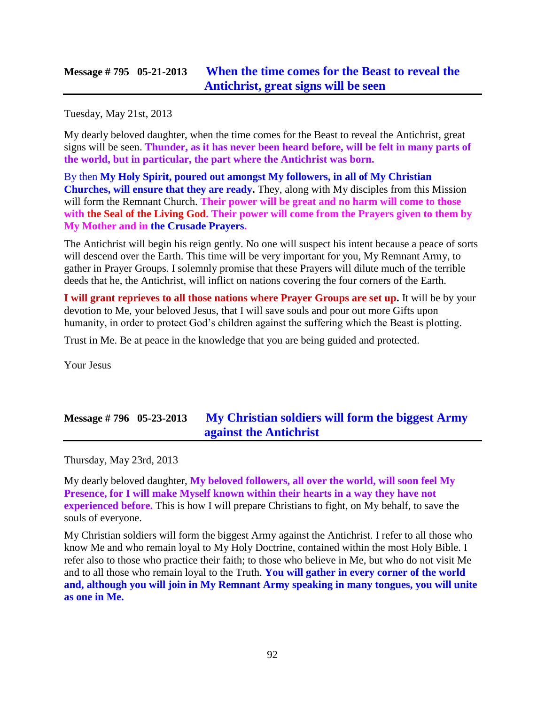### **Message # 795 05-21-2013 [When the time comes for the Beast to reveal the](http://www.thewarningsecondcoming.com/when-the-time-comes-for-the-beast-to-reveal-the-antichrist-great-signs-will-be-seen/)  [Antichrist, great signs will be seen](http://www.thewarningsecondcoming.com/when-the-time-comes-for-the-beast-to-reveal-the-antichrist-great-signs-will-be-seen/)**

Tuesday, May 21st, 2013

My dearly beloved daughter, when the time comes for the Beast to reveal the Antichrist, great signs will be seen. **Thunder, as it has never been heard before, will be felt in many parts of the world, but in particular, the part where the Antichrist was born.**

By then **My Holy Spirit, poured out amongst My followers, in all of My Christian Churches, will ensure that they are ready.** They, along with My disciples from this Mission will form the Remnant Church. **Their power will be great and no harm will come to those with the Seal of the Living God. Their power will come from the Prayers given to them by My Mother and in the Crusade Prayers.**

The Antichrist will begin his reign gently. No one will suspect his intent because a peace of sorts will descend over the Earth. This time will be very important for you, My Remnant Army, to gather in Prayer Groups. I solemnly promise that these Prayers will dilute much of the terrible deeds that he, the Antichrist, will inflict on nations covering the four corners of the Earth.

**I will grant reprieves to all those nations where Prayer Groups are set up.** It will be by your devotion to Me, your beloved Jesus, that I will save souls and pour out more Gifts upon humanity, in order to protect God's children against the suffering which the Beast is plotting.

Trust in Me. Be at peace in the knowledge that you are being guided and protected.

Your Jesus

# **Message # 796 05-23-2013 [My Christian soldiers will form the biggest Army](http://www.thewarningsecondcoming.com/my-christian-soldiers-will-form-the-biggest-army-against-the-antichrist/)  [against the Antichrist](http://www.thewarningsecondcoming.com/my-christian-soldiers-will-form-the-biggest-army-against-the-antichrist/)**

Thursday, May 23rd, 2013

My dearly beloved daughter, **My beloved followers, all over the world, will soon feel My Presence, for I will make Myself known within their hearts in a way they have not experienced before.** This is how I will prepare Christians to fight, on My behalf, to save the souls of everyone.

My Christian soldiers will form the biggest Army against the Antichrist. I refer to all those who know Me and who remain loyal to My Holy Doctrine, contained within the most Holy Bible. I refer also to those who practice their faith; to those who believe in Me, but who do not visit Me and to all those who remain loyal to the Truth. **You will gather in every corner of the world and, although you will join in My Remnant Army speaking in many tongues, you will unite as one in Me.**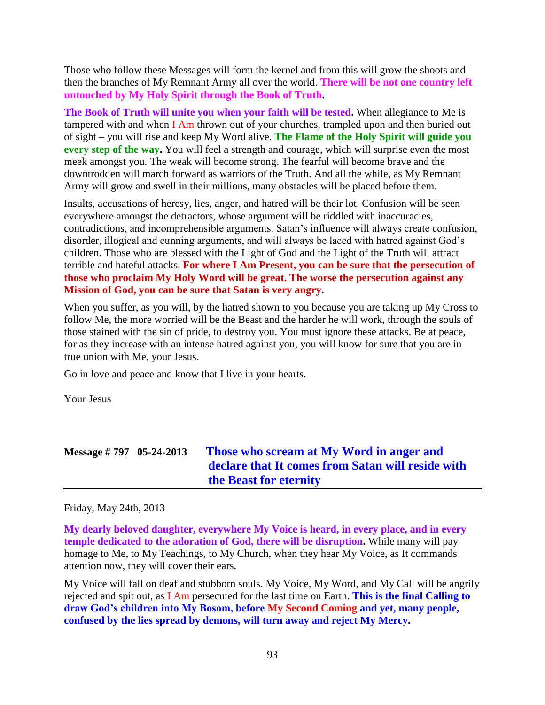Those who follow these Messages will form the kernel and from this will grow the shoots and then the branches of My Remnant Army all over the world. **There will be not one country left untouched by My Holy Spirit through the Book of Truth.**

**The Book of Truth will unite you when your faith will be tested.** When allegiance to Me is tampered with and when I Am thrown out of your churches, trampled upon and then buried out of sight – you will rise and keep My Word alive. **The Flame of the Holy Spirit will guide you every step of the way.** You will feel a strength and courage, which will surprise even the most meek amongst you. The weak will become strong. The fearful will become brave and the downtrodden will march forward as warriors of the Truth. And all the while, as My Remnant Army will grow and swell in their millions, many obstacles will be placed before them.

Insults, accusations of heresy, lies, anger, and hatred will be their lot. Confusion will be seen everywhere amongst the detractors, whose argument will be riddled with inaccuracies, contradictions, and incomprehensible arguments. Satan's influence will always create confusion, disorder, illogical and cunning arguments, and will always be laced with hatred against God's children. Those who are blessed with the Light of God and the Light of the Truth will attract terrible and hateful attacks. **For where I Am Present, you can be sure that the persecution of those who proclaim My Holy Word will be great. The worse the persecution against any Mission of God, you can be sure that Satan is very angry.**

When you suffer, as you will, by the hatred shown to you because you are taking up My Cross to follow Me, the more worried will be the Beast and the harder he will work, through the souls of those stained with the sin of pride, to destroy you. You must ignore these attacks. Be at peace, for as they increase with an intense hatred against you, you will know for sure that you are in true union with Me, your Jesus.

Go in love and peace and know that I live in your hearts.

Your Jesus

| Message $\# 797 \quad 05-24-2013$ | Those who scream at My Word in anger and          |
|-----------------------------------|---------------------------------------------------|
|                                   | declare that It comes from Satan will reside with |
|                                   | the Beast for eternity                            |

#### Friday, May 24th, 2013

**My dearly beloved daughter, everywhere My Voice is heard, in every place, and in every temple dedicated to the adoration of God, there will be disruption.** While many will pay homage to Me, to My Teachings, to My Church, when they hear My Voice, as It commands attention now, they will cover their ears.

My Voice will fall on deaf and stubborn souls. My Voice, My Word, and My Call will be angrily rejected and spit out, as I Am persecuted for the last time on Earth. **This is the final Calling to draw God's children into My Bosom, before My Second Coming and yet, many people, confused by the lies spread by demons, will turn away and reject My Mercy.**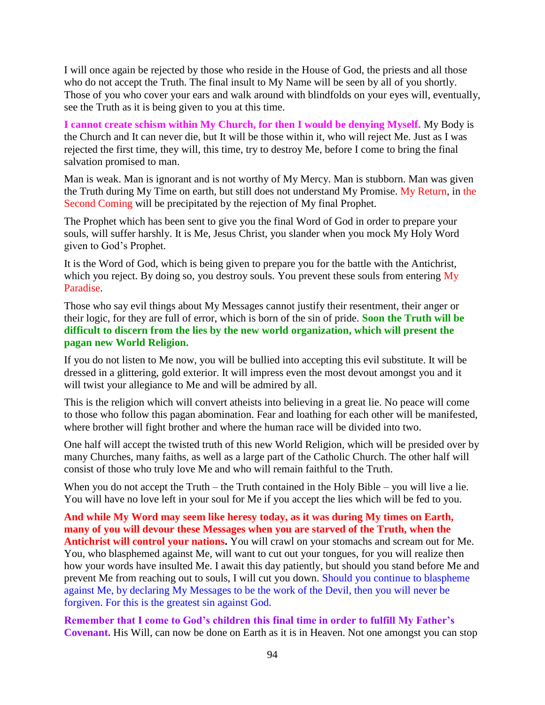I will once again be rejected by those who reside in the House of God, the priests and all those who do not accept the Truth. The final insult to My Name will be seen by all of you shortly. Those of you who cover your ears and walk around with blindfolds on your eyes will, eventually, see the Truth as it is being given to you at this time.

**I cannot create schism within My Church, for then I would be denying Myself.** My Body is the Church and It can never die, but It will be those within it, who will reject Me. Just as I was rejected the first time, they will, this time, try to destroy Me, before I come to bring the final salvation promised to man.

Man is weak. Man is ignorant and is not worthy of My Mercy. Man is stubborn. Man was given the Truth during My Time on earth, but still does not understand My Promise. My Return, in the Second Coming will be precipitated by the rejection of My final Prophet.

The Prophet which has been sent to give you the final Word of God in order to prepare your souls, will suffer harshly. It is Me, Jesus Christ, you slander when you mock My Holy Word given to God's Prophet.

It is the Word of God, which is being given to prepare you for the battle with the Antichrist, which you reject. By doing so, you destroy souls. You prevent these souls from entering My Paradise.

Those who say evil things about My Messages cannot justify their resentment, their anger or their logic, for they are full of error, which is born of the sin of pride. **Soon the Truth will be difficult to discern from the lies by the new world organization, which will present the pagan new World Religion.**

If you do not listen to Me now, you will be bullied into accepting this evil substitute. It will be dressed in a glittering, gold exterior. It will impress even the most devout amongst you and it will twist your allegiance to Me and will be admired by all.

This is the religion which will convert atheists into believing in a great lie. No peace will come to those who follow this pagan abomination. Fear and loathing for each other will be manifested, where brother will fight brother and where the human race will be divided into two.

One half will accept the twisted truth of this new World Religion, which will be presided over by many Churches, many faiths, as well as a large part of the Catholic Church. The other half will consist of those who truly love Me and who will remain faithful to the Truth.

When you do not accept the Truth – the Truth contained in the Holy Bible – you will live a lie. You will have no love left in your soul for Me if you accept the lies which will be fed to you.

**And while My Word may seem like heresy today, as it was during My times on Earth, many of you will devour these Messages when you are starved of the Truth, when the Antichrist will control your nations.** You will crawl on your stomachs and scream out for Me. You, who blasphemed against Me, will want to cut out your tongues, for you will realize then how your words have insulted Me. I await this day patiently, but should you stand before Me and prevent Me from reaching out to souls, I will cut you down. Should you continue to blaspheme against Me, by declaring My Messages to be the work of the Devil, then you will never be forgiven. For this is the greatest sin against God.

**Remember that I come to God's children this final time in order to fulfill My Father's Covenant.** His Will, can now be done on Earth as it is in Heaven. Not one amongst you can stop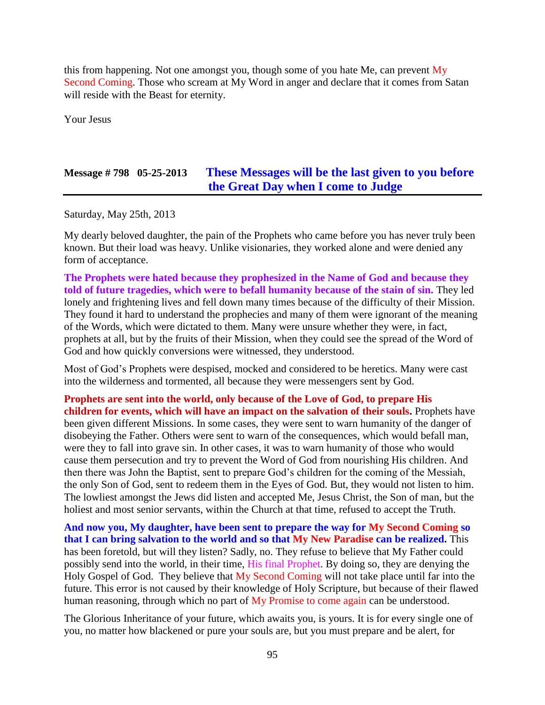this from happening. Not one amongst you, though some of you hate Me, can prevent My Second Coming. Those who scream at My Word in anger and declare that it comes from Satan will reside with the Beast for eternity.

Your Jesus

### **Message # 798 05-25-2013 [These Messages will be the last given to you before](http://www.thewarningsecondcoming.com/these-messages-will-be-the-last-given-to-you-before-the-great-day-when-i-come-to-judge/)  [the Great Day when I come to Judge](http://www.thewarningsecondcoming.com/these-messages-will-be-the-last-given-to-you-before-the-great-day-when-i-come-to-judge/)**

Saturday, May 25th, 2013

My dearly beloved daughter, the pain of the Prophets who came before you has never truly been known. But their load was heavy. Unlike visionaries, they worked alone and were denied any form of acceptance.

**The Prophets were hated because they prophesized in the Name of God and because they told of future tragedies, which were to befall humanity because of the stain of sin.** They led lonely and frightening lives and fell down many times because of the difficulty of their Mission. They found it hard to understand the prophecies and many of them were ignorant of the meaning of the Words, which were dictated to them. Many were unsure whether they were, in fact, prophets at all, but by the fruits of their Mission, when they could see the spread of the Word of God and how quickly conversions were witnessed, they understood.

Most of God's Prophets were despised, mocked and considered to be heretics. Many were cast into the wilderness and tormented, all because they were messengers sent by God.

**Prophets are sent into the world, only because of the Love of God, to prepare His children for events, which will have an impact on the salvation of their souls.** Prophets have been given different Missions. In some cases, they were sent to warn humanity of the danger of disobeying the Father. Others were sent to warn of the consequences, which would befall man, were they to fall into grave sin. In other cases, it was to warn humanity of those who would cause them persecution and try to prevent the Word of God from nourishing His children. And then there was John the Baptist, sent to prepare God's children for the coming of the Messiah, the only Son of God, sent to redeem them in the Eyes of God. But, they would not listen to him. The lowliest amongst the Jews did listen and accepted Me, Jesus Christ, the Son of man, but the holiest and most senior servants, within the Church at that time, refused to accept the Truth.

**And now you, My daughter, have been sent to prepare the way for My Second Coming so that I can bring salvation to the world and so that My New Paradise can be realized.** This has been foretold, but will they listen? Sadly, no. They refuse to believe that My Father could possibly send into the world, in their time, His final Prophet. By doing so, they are denying the Holy Gospel of God. They believe that My Second Coming will not take place until far into the future. This error is not caused by their knowledge of Holy Scripture, but because of their flawed human reasoning, through which no part of My Promise to come again can be understood.

The Glorious Inheritance of your future, which awaits you, is yours. It is for every single one of you, no matter how blackened or pure your souls are, but you must prepare and be alert, for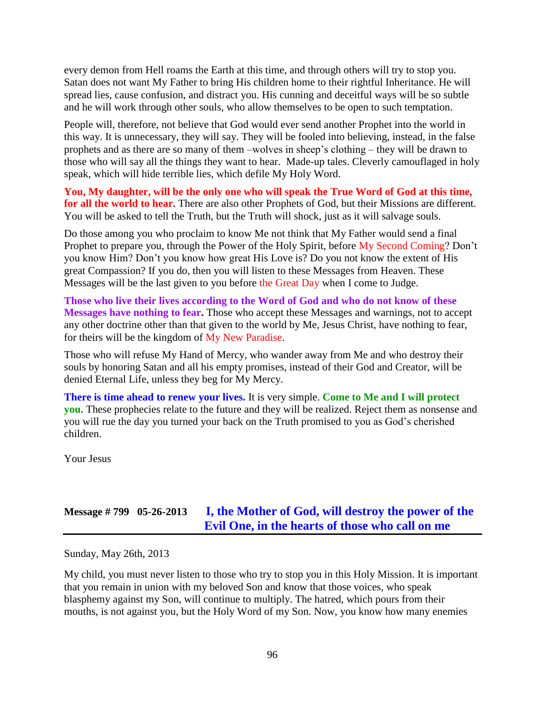every demon from Hell roams the Earth at this time, and through others will try to stop you. Satan does not want My Father to bring His children home to their rightful Inheritance. He will spread lies, cause confusion, and distract you. His cunning and deceitful ways will be so subtle and he will work through other souls, who allow themselves to be open to such temptation.

People will, therefore, not believe that God would ever send another Prophet into the world in this way. It is unnecessary, they will say. They will be fooled into believing, instead, in the false prophets and as there are so many of them –wolves in sheep's clothing – they will be drawn to those who will say all the things they want to hear. Made-up tales. Cleverly camouflaged in holy speak, which will hide terrible lies, which defile My Holy Word.

**You, My daughter, will be the only one who will speak the True Word of God at this time, for all the world to hear.** There are also other Prophets of God, but their Missions are different. You will be asked to tell the Truth, but the Truth will shock, just as it will salvage souls.

Do those among you who proclaim to know Me not think that My Father would send a final Prophet to prepare you, through the Power of the Holy Spirit, before My Second Coming? Don't you know Him? Don't you know how great His Love is? Do you not know the extent of His great Compassion? If you do, then you will listen to these Messages from Heaven. These Messages will be the last given to you before the Great Day when I come to Judge.

**Those who live their lives according to the Word of God and who do not know of these Messages have nothing to fear.** Those who accept these Messages and warnings, not to accept any other doctrine other than that given to the world by Me, Jesus Christ, have nothing to fear, for theirs will be the kingdom of My New Paradise.

Those who will refuse My Hand of Mercy, who wander away from Me and who destroy their souls by honoring Satan and all his empty promises, instead of their God and Creator, will be denied Eternal Life, unless they beg for My Mercy.

**There is time ahead to renew your lives.** It is very simple. **Come to Me and I will protect you.** These prophecies relate to the future and they will be realized. Reject them as nonsense and you will rue the day you turned your back on the Truth promised to you as God's cherished children.

Your Jesus

# **Message # 799 05-26-2013 [I, the Mother of God, will destroy the power of the](http://www.thewarningsecondcoming.com/i-the-mother-of-god-will-destroy-the-power-of-the-evil-one-in-the-hearts-of-those-who-call-on-me/)  [Evil One, in the hearts of those who call on me](http://www.thewarningsecondcoming.com/i-the-mother-of-god-will-destroy-the-power-of-the-evil-one-in-the-hearts-of-those-who-call-on-me/)**

Sunday, May 26th, 2013

My child, you must never listen to those who try to stop you in this Holy Mission. It is important that you remain in union with my beloved Son and know that those voices, who speak blasphemy against my Son, will continue to multiply. The hatred, which pours from their mouths, is not against you, but the Holy Word of my Son. Now, you know how many enemies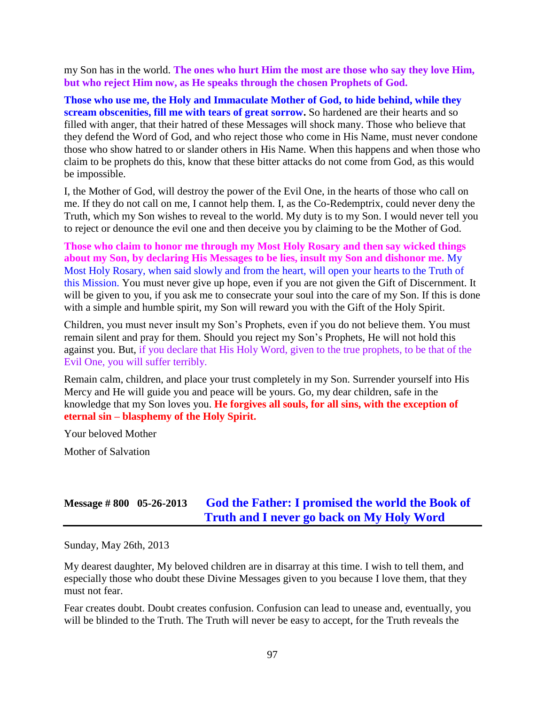my Son has in the world. **The ones who hurt Him the most are those who say they love Him, but who reject Him now, as He speaks through the chosen Prophets of God.**

**Those who use me, the Holy and Immaculate Mother of God, to hide behind, while they scream obscenities, fill me with tears of great sorrow.** So hardened are their hearts and so filled with anger, that their hatred of these Messages will shock many. Those who believe that they defend the Word of God, and who reject those who come in His Name, must never condone those who show hatred to or slander others in His Name. When this happens and when those who claim to be prophets do this, know that these bitter attacks do not come from God, as this would be impossible.

I, the Mother of God, will destroy the power of the Evil One, in the hearts of those who call on me. If they do not call on me, I cannot help them. I, as the Co-Redemptrix, could never deny the Truth, which my Son wishes to reveal to the world. My duty is to my Son. I would never tell you to reject or denounce the evil one and then deceive you by claiming to be the Mother of God.

**Those who claim to honor me through my Most Holy Rosary and then say wicked things about my Son, by declaring His Messages to be lies, insult my Son and dishonor me.** My Most Holy Rosary, when said slowly and from the heart, will open your hearts to the Truth of this Mission. You must never give up hope, even if you are not given the Gift of Discernment. It will be given to you, if you ask me to consecrate your soul into the care of my Son. If this is done with a simple and humble spirit, my Son will reward you with the Gift of the Holy Spirit.

Children, you must never insult my Son's Prophets, even if you do not believe them. You must remain silent and pray for them. Should you reject my Son's Prophets, He will not hold this against you. But, if you declare that His Holy Word, given to the true prophets, to be that of the Evil One, you will suffer terribly.

Remain calm, children, and place your trust completely in my Son. Surrender yourself into His Mercy and He will guide you and peace will be yours. Go, my dear children, safe in the knowledge that my Son loves you. **He forgives all souls, for all sins, with the exception of eternal sin – blasphemy of the Holy Spirit.**

Your beloved Mother

Mother of Salvation

# **Message # 800 05-26-2013 [God the Father: I promised the world the Book of](http://www.thewarningsecondcoming.com/god-the-father-i-promised-the-world-the-book-of-truth-and-i-never-go-back-on-my-holy-word-2/)  [Truth and I never go back on My Holy Word](http://www.thewarningsecondcoming.com/god-the-father-i-promised-the-world-the-book-of-truth-and-i-never-go-back-on-my-holy-word-2/)**

Sunday, May 26th, 2013

My dearest daughter, My beloved children are in disarray at this time. I wish to tell them, and especially those who doubt these Divine Messages given to you because I love them, that they must not fear.

Fear creates doubt. Doubt creates confusion. Confusion can lead to unease and, eventually, you will be blinded to the Truth. The Truth will never be easy to accept, for the Truth reveals the